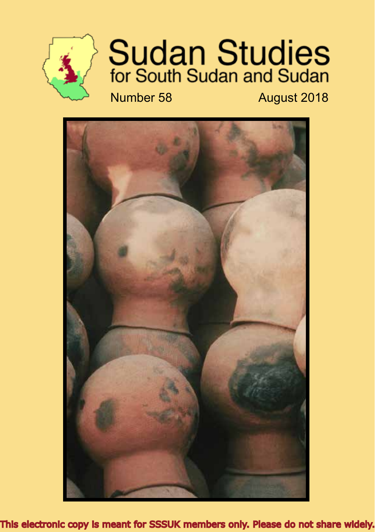

# **Sudan Studies**<br>for South Sudan and Sudan

# Number 58 August 2018

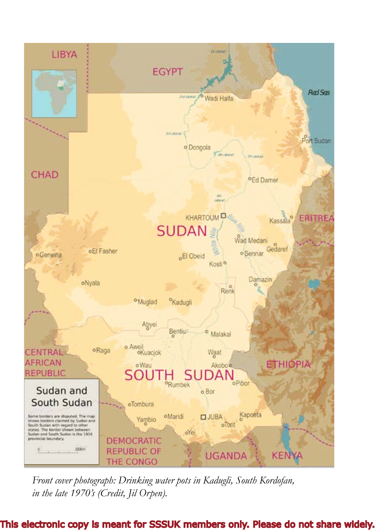

*Front cover photograph: Drinking water pots in Kadugli, South Kordofan, in the late 1970's (Credit, Jil Orpen).*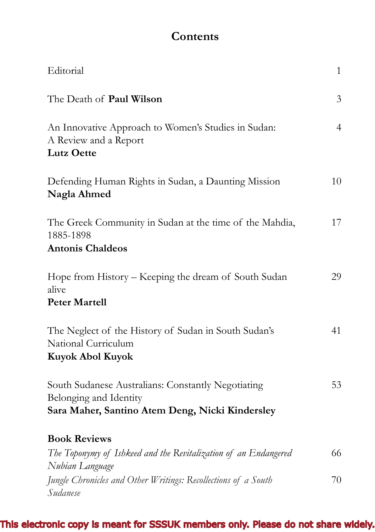# **Contents**

| Editorial                                                                                                                       | $\mathbf{1}$ |
|---------------------------------------------------------------------------------------------------------------------------------|--------------|
| The Death of Paul Wilson                                                                                                        | 3            |
| An Innovative Approach to Women's Studies in Sudan:<br>A Review and a Report<br><b>Lutz Oette</b>                               | 4            |
| Defending Human Rights in Sudan, a Daunting Mission<br>Nagla Ahmed                                                              | 10           |
| The Greek Community in Sudan at the time of the Mahdia,<br>1885-1898<br><b>Antonis Chaldeos</b>                                 | 17           |
| Hope from History – Keeping the dream of South Sudan<br>alive<br><b>Peter Martell</b>                                           | 29           |
| The Neglect of the History of Sudan in South Sudan's<br>National Curriculum<br><b>Kuyok Abol Kuyok</b>                          | 41           |
| South Sudanese Australians: Constantly Negotiating<br>Belonging and Identity<br>Sara Maher, Santino Atem Deng, Nicki Kindersley | 53           |
| <b>Book Reviews</b>                                                                                                             |              |
| The Toponymy of Ishkeed and the Revitalization of an Endangered                                                                 | 66           |
| Nubian Language                                                                                                                 |              |
| Jungle Chronicles and Other Writings: Recollections of a South<br>Sudanese                                                      | 70           |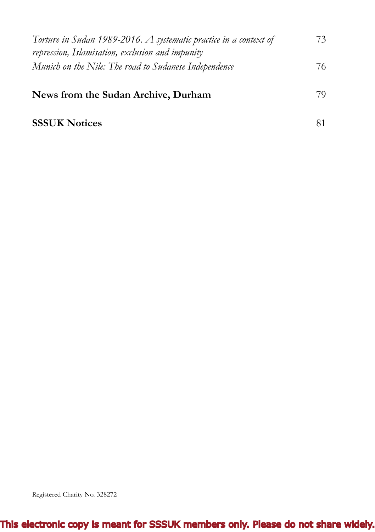| Torture in Sudan 1989-2016. A systematic practice in a context of | 73 |
|-------------------------------------------------------------------|----|
| repression, Islamisation, exclusion and impunity                  |    |
| Munich on the Nile: The road to Sudanese Independence             | 76 |
|                                                                   |    |
| News from the Sudan Archive, Durham                               | 79 |
|                                                                   |    |
| <b>SSSUK Notices</b>                                              |    |

Registered Charity No. 328272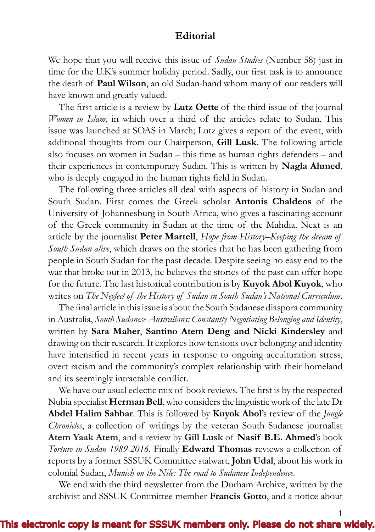# **Editorial**

We hope that you will receive this issue of *Sudan Studies* (Number 58) just in time for the U.K's summer holiday period. Sadly, our frst task is to announce the death of **Paul Wilson**, an old Sudan-hand whom many of our readers will have known and greatly valued.

The frst article is a review by **Lutz Oette** of the third issue of the journal *Women in Islam*, in which over a third of the articles relate to Sudan. This issue was launched at SOAS in March; Lutz gives a report of the event, with additional thoughts from our Chairperson, **Gill Lusk**. The following article also focuses on women in Sudan – this time as human rights defenders – and their experiences in contemporary Sudan. This is written by **Nagla Ahmed**, who is deeply engaged in the human rights feld in Sudan.

The following three articles all deal with aspects of history in Sudan and South Sudan. First comes the Greek scholar **Antonis Chaldeos** of the University of Johannesburg in South Africa, who gives a fascinating account of the Greek community in Sudan at the time of the Mahdia. Next is an article by the journalist **Peter Martell**, *Hope from History–Keeping the dream of South Sudan alive*, which draws on the stories that he has been gathering from people in South Sudan for the past decade. Despite seeing no easy end to the war that broke out in 2013, he believes the stories of the past can offer hope for the future. The last historical contribution is by **Kuyok Abol Kuyok**, who writes on *The Neglect of the History of Sudan in South Sudan's National Curriculum*.

The fnal article in this issue is about the South Sudanese diaspora community in Australia, *South Sudanese Australians: Constantly Negotiating Belonging and Identity*, written by **Sara Maher**, **Santino Atem Deng and Nicki Kindersley** and drawing on their research. It explores how tensions over belonging and identity have intensified in recent years in response to ongoing acculturation stress, overt racism and the community's complex relationship with their homeland and its seemingly intractable confict.

We have our usual eclectic mix of book reviews. The frst is by the respected Nubia specialist **Herman Bell**, who considers the linguistic work of the late Dr **Abdel Halim Sabbar**. This is followed by **Kuyok Abol**'s review of the *Jungle Chronicles*, a collection of writings by the veteran South Sudanese journalist **Atem Yaak Atem**, and a review by **Gill Lusk** of **Nasif B.E. Ahmed**'s book *Torture in Sudan 1989-2016*. Finally **Edward Thomas** reviews a collection of reports by a former SSSUK Committee stalwart, **John Udal**, about his work in colonial Sudan, *Munich on the Nile: The road to Sudanese Independence*.

We end with the third newsletter from the Durham Archive, written by the archivist and SSSUK Committee member **Francis Gotto**, and a notice about

1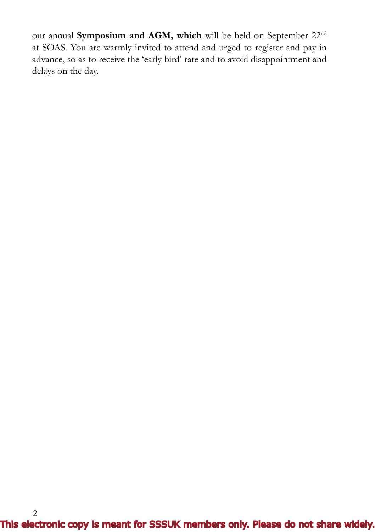our annual **Symposium and AGM, which** will be held on September 22nd at SOAS. You are warmly invited to attend and urged to register and pay in advance, so as to receive the 'early bird' rate and to avoid disappointment and delays on the day.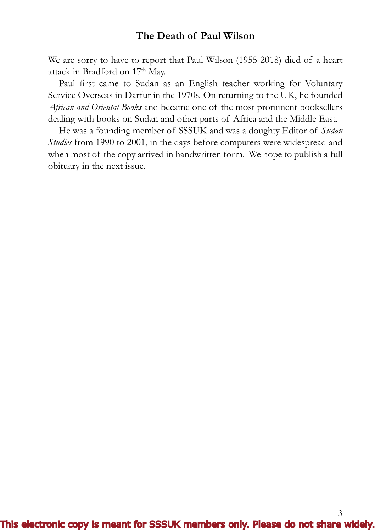# **The Death of Paul Wilson**

We are sorry to have to report that Paul Wilson (1955-2018) died of a heart attack in Bradford on 17th May.

Paul frst came to Sudan as an English teacher working for Voluntary Service Overseas in Darfur in the 1970s. On returning to the UK, he founded *African and Oriental Books* and became one of the most prominent booksellers dealing with books on Sudan and other parts of Africa and the Middle East.

He was a founding member of SSSUK and was a doughty Editor of *Sudan Studies* from 1990 to 2001, in the days before computers were widespread and when most of the copy arrived in handwritten form. We hope to publish a full obituary in the next issue.

3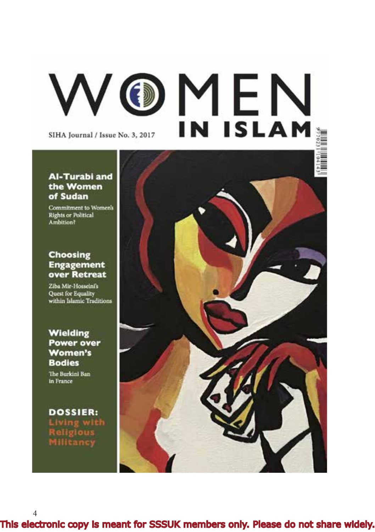#### Al-Turabi and the Women of Sudan

Commitment to Women's **Rights or Political** Ambition?

#### **Choosing Engagement** over Retreat

Ziba Mir-Hosseini's Quest for Equality<br>within Islamic Traditions

**Wielding Power over Women's Bodies** 

The Burkini Ban in France

**DOSSIER:** Living with **Religious Militancy** 



WOMEN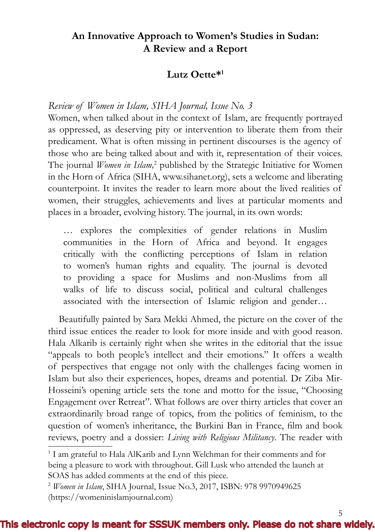# **An Innovative Approach to Women's Studies in Sudan: A Review and a Report**

#### **Lutz Oette\*1**

#### *Review of Women in Islam, SIHA Journal, Issue No. 3*

Women, when talked about in the context of Islam, are frequently portrayed as oppressed, as deserving pity or intervention to liberate them from their predicament. What is often missing in pertinent discourses is the agency of those who are being talked about and with it, representation of their voices. The journal *Women in Islam*,<sup>2</sup> published by the Strategic Initiative for Women in the Horn of Africa (SIHA, www.sihanet.org), sets a welcome and liberating counterpoint. It invites the reader to learn more about the lived realities of women, their struggles, achievements and lives at particular moments and places in a broader, evolving history. The journal, in its own words:

… explores the complexities of gender relations in Muslim communities in the Horn of Africa and beyond. It engages critically with the conficting perceptions of Islam in relation to women's human rights and equality. The journal is devoted to providing a space for Muslims and non-Muslims from all walks of life to discuss social, political and cultural challenges associated with the intersection of Islamic religion and gender…

Beautifully painted by Sara Mekki Ahmed, the picture on the cover of the third issue entices the reader to look for more inside and with good reason. Hala Alkarib is certainly right when she writes in the editorial that the issue "appeals to both people's intellect and their emotions." It offers a wealth of perspectives that engage not only with the challenges facing women in Islam but also their experiences, hopes, dreams and potential. Dr Ziba Mir-Hosseini's opening article sets the tone and motto for the issue, "Choosing Engagement over Retreat". What follows are over thirty articles that cover an extraordinarily broad range of topics, from the politics of feminism, to the question of women's inheritance, the Burkini Ban in France, flm and book reviews, poetry and a dossier: *Living with Religious Militancy*. The reader with

5

<sup>&</sup>lt;sup>1</sup> I am grateful to Hala AlKarib and Lynn Welchman for their comments and for being a pleasure to work with throughout. Gill Lusk who attended the launch at SOAS has added comments at the end of this piece.

<sup>2</sup> *Women in Islam*, SIHA Journal, Issue No.3, 2017, ISBN: 978 9970949625 (https://womeninislamjournal.com)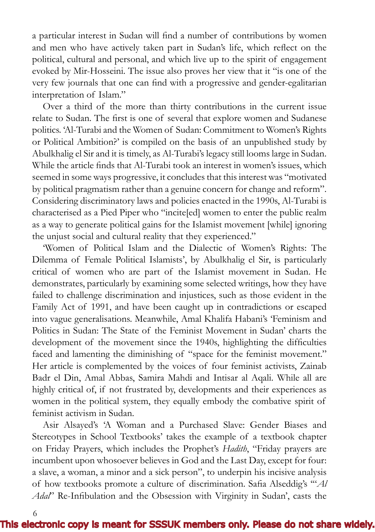a particular interest in Sudan will fnd a number of contributions by women and men who have actively taken part in Sudan's life, which refect on the political, cultural and personal, and which live up to the spirit of engagement evoked by Mir-Hosseini. The issue also proves her view that it "is one of the very few journals that one can fnd with a progressive and gender-egalitarian interpretation of Islam."

Over a third of the more than thirty contributions in the current issue relate to Sudan. The frst is one of several that explore women and Sudanese politics. 'Al-Turabi and the Women of Sudan: Commitment to Women's Rights or Political Ambition?' is compiled on the basis of an unpublished study by Abulkhalig el Sir and it is timely, as Al-Turabi's legacy still looms large in Sudan. While the article fnds that Al-Turabi took an interest in women's issues, which seemed in some ways progressive, it concludes that this interest was "motivated by political pragmatism rather than a genuine concern for change and reform". Considering discriminatory laws and policies enacted in the 1990s, Al-Turabi is characterised as a Pied Piper who "incite[ed] women to enter the public realm as a way to generate political gains for the Islamist movement [while] ignoring the unjust social and cultural reality that they experienced."

'Women of Political Islam and the Dialectic of Women's Rights: The Dilemma of Female Political Islamists', by Abulkhalig el Sir, is particularly critical of women who are part of the Islamist movement in Sudan. He demonstrates, particularly by examining some selected writings, how they have failed to challenge discrimination and injustices, such as those evident in the Family Act of 1991, and have been caught up in contradictions or escaped into vague generalisations. Meanwhile, Amal Khalifa Habani's 'Feminism and Politics in Sudan: The State of the Feminist Movement in Sudan' charts the development of the movement since the 1940s, highlighting the diffculties faced and lamenting the diminishing of "space for the feminist movement." Her article is complemented by the voices of four feminist activists, Zainab Badr el Din, Amal Abbas, Samira Mahdi and Intisar al Aqali. While all are highly critical of, if not frustrated by, developments and their experiences as women in the political system, they equally embody the combative spirit of feminist activism in Sudan.

Asir Alsayed's 'A Woman and a Purchased Slave: Gender Biases and Stereotypes in School Textbooks' takes the example of a textbook chapter on Friday Prayers, which includes the Prophet's *Hadith*, "Friday prayers are incumbent upon whosoever believes in God and the Last Day, except for four: a slave, a woman, a minor and a sick person", to underpin his incisive analysis of how textbooks promote a culture of discrimination. Safa Alseddig's '"*Al Adal*" Re-Infbulation and the Obsession with Virginity in Sudan', casts the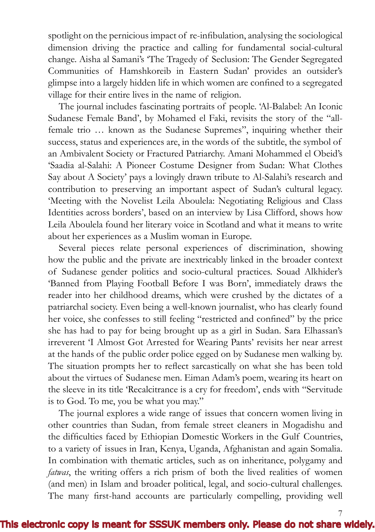spotlight on the pernicious impact of re-infbulation, analysing the sociological dimension driving the practice and calling for fundamental social-cultural change. Aisha al Samani's 'The Tragedy of Seclusion: The Gender Segregated Communities of Hamshkoreib in Eastern Sudan' provides an outsider's glimpse into a largely hidden life in which women are confned to a segregated village for their entire lives in the name of religion.

The journal includes fascinating portraits of people. 'Al-Balabel: An Iconic Sudanese Female Band', by Mohamed el Faki, revisits the story of the "allfemale trio … known as the Sudanese Supremes", inquiring whether their success, status and experiences are, in the words of the subtitle, the symbol of an Ambivalent Society or Fractured Patriarchy. Amani Mohammed el Obeid's 'Saadia al-Salahi: A Pioneer Costume Designer from Sudan: What Clothes Say about A Society' pays a lovingly drawn tribute to Al-Salahi's research and contribution to preserving an important aspect of Sudan's cultural legacy. 'Meeting with the Novelist Leila Aboulela: Negotiating Religious and Class Identities across borders', based on an interview by Lisa Clifford, shows how Leila Aboulela found her literary voice in Scotland and what it means to write about her experiences as a Muslim woman in Europe.

Several pieces relate personal experiences of discrimination, showing how the public and the private are inextricably linked in the broader context of Sudanese gender politics and socio-cultural practices. Souad Alkhider's 'Banned from Playing Football Before I was Born', immediately draws the reader into her childhood dreams, which were crushed by the dictates of a patriarchal society. Even being a well-known journalist, who has clearly found her voice, she confesses to still feeling "restricted and confned" by the price she has had to pay for being brought up as a girl in Sudan. Sara Elhassan's irreverent 'I Almost Got Arrested for Wearing Pants' revisits her near arrest at the hands of the public order police egged on by Sudanese men walking by. The situation prompts her to refect sarcastically on what she has been told about the virtues of Sudanese men. Eiman Adam's poem, wearing its heart on the sleeve in its title 'Recalcitrance is a cry for freedom', ends with "Servitude is to God. To me, you be what you may."

The journal explores a wide range of issues that concern women living in other countries than Sudan, from female street cleaners in Mogadishu and the diffculties faced by Ethiopian Domestic Workers in the Gulf Countries, to a variety of issues in Iran, Kenya, Uganda, Afghanistan and again Somalia. In combination with thematic articles, such as on inheritance, polygamy and *fatwas*, the writing offers a rich prism of both the lived realities of women (and men) in Islam and broader political, legal, and socio-cultural challenges. The many frst-hand accounts are particularly compelling, providing well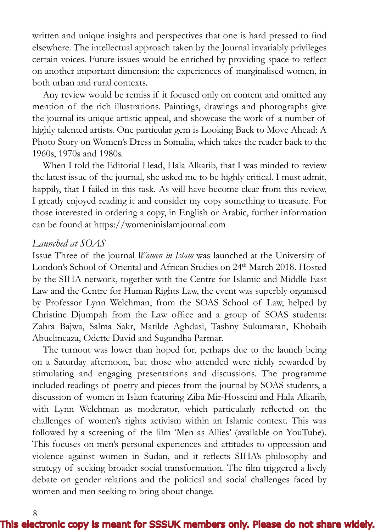written and unique insights and perspectives that one is hard pressed to fnd elsewhere. The intellectual approach taken by the Journal invariably privileges certain voices. Future issues would be enriched by providing space to refect on another important dimension: the experiences of marginalised women, in both urban and rural contexts.

Any review would be remiss if it focused only on content and omitted any mention of the rich illustrations. Paintings, drawings and photographs give the journal its unique artistic appeal, and showcase the work of a number of highly talented artists. One particular gem is Looking Back to Move Ahead: A Photo Story on Women's Dress in Somalia, which takes the reader back to the 1960s, 1970s and 1980s.

When I told the Editorial Head, Hala Alkarib, that I was minded to review the latest issue of the journal, she asked me to be highly critical. I must admit, happily, that I failed in this task. As will have become clear from this review, I greatly enjoyed reading it and consider my copy something to treasure. For those interested in ordering a copy, in English or Arabic, further information can be found at https://womeninislamjournal.com

#### *Launched at SOAS*

Issue Three of the journal *Women in Islam* was launched at the University of London's School of Oriental and African Studies on 24<sup>th</sup> March 2018. Hosted by the SIHA network, together with the Centre for Islamic and Middle East Law and the Centre for Human Rights Law, the event was superbly organised by Professor Lynn Welchman, from the SOAS School of Law, helped by Christine Djumpah from the Law office and a group of SOAS students: Zahra Bajwa, Salma Sakr, Matilde Aghdasi, Tashny Sukumaran, Khobaib Abuelmeaza, Odette David and Sugandha Parmar.

The turnout was lower than hoped for, perhaps due to the launch being on a Saturday afternoon, but those who attended were richly rewarded by stimulating and engaging presentations and discussions. The programme included readings of poetry and pieces from the journal by SOAS students, a discussion of women in Islam featuring Ziba Mir-Hosseini and Hala Alkarib, with Lynn Welchman as moderator, which particularly refected on the challenges of women's rights activism within an Islamic context. This was followed by a screening of the flm 'Men as Allies' (available on YouTube). This focuses on men's personal experiences and attitudes to oppression and violence against women in Sudan, and it refects SIHA's philosophy and strategy of seeking broader social transformation. The flm triggered a lively debate on gender relations and the political and social challenges faced by women and men seeking to bring about change.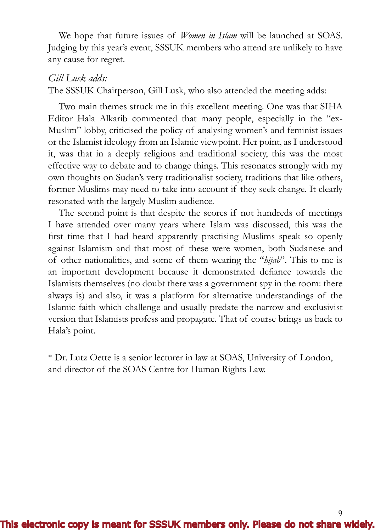We hope that future issues of *Women in Islam* will be launched at SOAS. Judging by this year's event, SSSUK members who attend are unlikely to have any cause for regret.

#### *Gill Lusk adds:*

The SSSUK Chairperson, Gill Lusk, who also attended the meeting adds:

Two main themes struck me in this excellent meeting. One was that SIHA Editor Hala Alkarib commented that many people, especially in the "ex-Muslim" lobby, criticised the policy of analysing women's and feminist issues or the Islamist ideology from an Islamic viewpoint. Her point, as I understood it, was that in a deeply religious and traditional society, this was the most effective way to debate and to change things. This resonates strongly with my own thoughts on Sudan's very traditionalist society, traditions that like others, former Muslims may need to take into account if they seek change. It clearly resonated with the largely Muslim audience.

The second point is that despite the scores if not hundreds of meetings I have attended over many years where Islam was discussed, this was the frst time that I had heard apparently practising Muslims speak so openly against Islamism and that most of these were women, both Sudanese and of other nationalities, and some of them wearing the "*hijab*". This to me is an important development because it demonstrated defance towards the Islamists themselves (no doubt there was a government spy in the room: there always is) and also, it was a platform for alternative understandings of the Islamic faith which challenge and usually predate the narrow and exclusivist version that Islamists profess and propagate. That of course brings us back to Hala's point.

\* Dr. Lutz Oette is a senior lecturer in law at SOAS, University of London, and director of the SOAS Centre for Human Rights Law.

9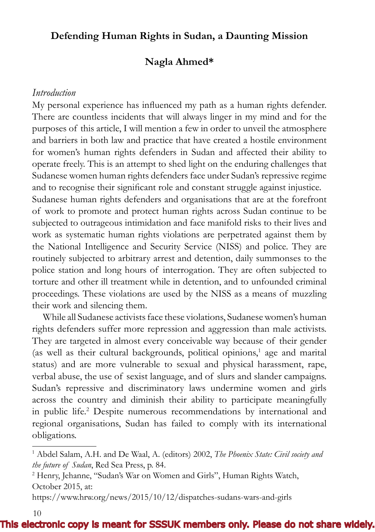# **Defending Human Rights in Sudan, a Daunting Mission**

# **Nagla Ahmed\***

#### *Introduction*

My personal experience has infuenced my path as a human rights defender. There are countless incidents that will always linger in my mind and for the purposes of this article, I will mention a few in order to unveil the atmosphere and barriers in both law and practice that have created a hostile environment for women's human rights defenders in Sudan and affected their ability to operate freely. This is an attempt to shed light on the enduring challenges that Sudanese women human rights defenders face under Sudan's repressive regime and to recognise their signifcant role and constant struggle against injustice. Sudanese human rights defenders and organisations that are at the forefront of work to promote and protect human rights across Sudan continue to be subjected to outrageous intimidation and face manifold risks to their lives and work as systematic human rights violations are perpetrated against them by the National Intelligence and Security Service (NISS) and police. They are routinely subjected to arbitrary arrest and detention, daily summonses to the police station and long hours of interrogation. They are often subjected to torture and other ill treatment while in detention, and to unfounded criminal proceedings. These violations are used by the NISS as a means of muzzling their work and silencing them.

While all Sudanese activists face these violations, Sudanese women's human rights defenders suffer more repression and aggression than male activists. They are targeted in almost every conceivable way because of their gender (as well as their cultural backgrounds, political opinions,<sup>1</sup> age and marital status) and are more vulnerable to sexual and physical harassment, rape, verbal abuse, the use of sexist language, and of slurs and slander campaigns. Sudan's repressive and discriminatory laws undermine women and girls across the country and diminish their ability to participate meaningfully in public life.2 Despite numerous recommendations by international and regional organisations, Sudan has failed to comply with its international obligations.

<sup>&</sup>lt;sup>1</sup> Abdel Salam, A.H. and De Waal, A. (editors) 2002, *The Phoenix State: Civil society and the future of Sudan*, Red Sea Press, p. 84.

<sup>&</sup>lt;sup>2</sup> Henry, Jehanne, "Sudan's War on Women and Girls", Human Rights Watch, October 2015, at:

https://www.hrw.org/news/2015/10/12/dispatches-sudans-wars-and-girls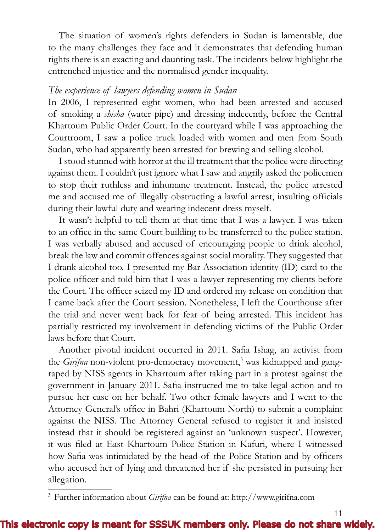The situation of women's rights defenders in Sudan is lamentable, due to the many challenges they face and it demonstrates that defending human rights there is an exacting and daunting task. The incidents below highlight the entrenched injustice and the normalised gender inequality.

#### *The experience of lawyers defending women in Sudan*

In 2006, I represented eight women, who had been arrested and accused of smoking a *shisha* (water pipe) and dressing indecently, before the Central Khartoum Public Order Court. In the courtyard while I was approaching the Courtroom, I saw a police truck loaded with women and men from South Sudan, who had apparently been arrested for brewing and selling alcohol.

I stood stunned with horror at the ill treatment that the police were directing against them. I couldn't just ignore what I saw and angrily asked the policemen to stop their ruthless and inhumane treatment. Instead, the police arrested me and accused me of illegally obstructing a lawful arrest, insulting offcials during their lawful duty and wearing indecent dress myself.

It wasn't helpful to tell them at that time that I was a lawyer. I was taken to an offce in the same Court building to be transferred to the police station. I was verbally abused and accused of encouraging people to drink alcohol, break the law and commit offences against social morality. They suggested that I drank alcohol too. I presented my Bar Association identity (ID) card to the police officer and told him that I was a lawyer representing my clients before the Court. The officer seized my ID and ordered my release on condition that I came back after the Court session. Nonetheless, I left the Courthouse after the trial and never went back for fear of being arrested. This incident has partially restricted my involvement in defending victims of the Public Order laws before that Court.

Another pivotal incident occurred in 2011. Safa Ishag, an activist from the *Girifna* non-violent pro-democracy movement,<sup>3</sup> was kidnapped and gangraped by NISS agents in Khartoum after taking part in a protest against the government in January 2011. Safa instructed me to take legal action and to pursue her case on her behalf. Two other female lawyers and I went to the Attorney General's office in Bahri (Khartoum North) to submit a complaint against the NISS. The Attorney General refused to register it and insisted instead that it should be registered against an 'unknown suspect'. However, it was fled at East Khartoum Police Station in Kafuri, where I witnessed how Safia was intimidated by the head of the Police Station and by officers who accused her of lying and threatened her if she persisted in pursuing her allegation.

<sup>3</sup> Further information about *Girifna* can be found at: http://www.girifna.com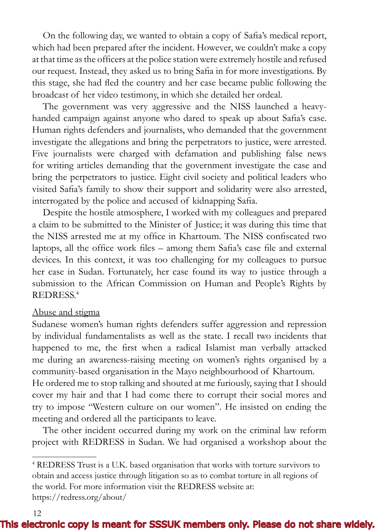On the following day, we wanted to obtain a copy of Safa's medical report, which had been prepared after the incident. However, we couldn't make a copy at that time as the offcers at the police station were extremely hostile and refused our request. Instead, they asked us to bring Safa in for more investigations. By this stage, she had fed the country and her case became public following the broadcast of her video testimony, in which she detailed her ordeal.

The government was very aggressive and the NISS launched a heavyhanded campaign against anyone who dared to speak up about Safa's case. Human rights defenders and journalists, who demanded that the government investigate the allegations and bring the perpetrators to justice, were arrested. Five journalists were charged with defamation and publishing false news for writing articles demanding that the government investigate the case and bring the perpetrators to justice. Eight civil society and political leaders who visited Safa's family to show their support and solidarity were also arrested, interrogated by the police and accused of kidnapping Safa.

Despite the hostile atmosphere, I worked with my colleagues and prepared a claim to be submitted to the Minister of Justice; it was during this time that the NISS arrested me at my office in Khartoum. The NISS confiscated two laptops, all the office work files – among them Safia's case file and external devices. In this context, it was too challenging for my colleagues to pursue her case in Sudan. Fortunately, her case found its way to justice through a submission to the African Commission on Human and People's Rights by REDRESS.4

#### Abuse and stigma

Sudanese women's human rights defenders suffer aggression and repression by individual fundamentalists as well as the state. I recall two incidents that happened to me, the frst when a radical Islamist man verbally attacked me during an awareness-raising meeting on women's rights organised by a community-based organisation in the Mayo neighbourhood of Khartoum. He ordered me to stop talking and shouted at me furiously, saying that I should cover my hair and that I had come there to corrupt their social mores and try to impose "Western culture on our women". He insisted on ending the meeting and ordered all the participants to leave.

The other incident occurred during my work on the criminal law reform project with REDRESS in Sudan. We had organised a workshop about the

<sup>4</sup> REDRESS Trust is a U.K. based organisation that works with torture survivors to obtain and access justice through litigation so as to combat torture in all regions of the world. For more information visit the REDRESS website at: https://redress.org/about/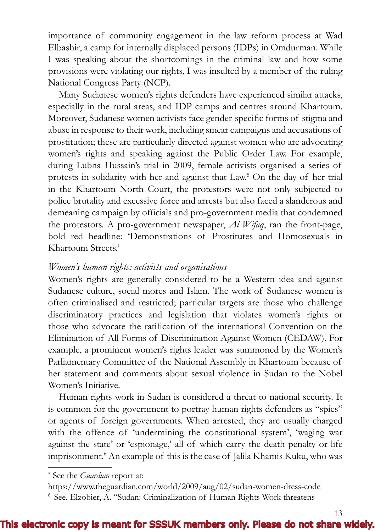importance of community engagement in the law reform process at Wad Elbashir, a camp for internally displaced persons (IDPs) in Omdurman. While I was speaking about the shortcomings in the criminal law and how some provisions were violating our rights, I was insulted by a member of the ruling National Congress Party (NCP).

Many Sudanese women's rights defenders have experienced similar attacks, especially in the rural areas, and IDP camps and centres around Khartoum. Moreover, Sudanese women activists face gender-specifc forms of stigma and abuse in response to their work, including smear campaigns and accusations of prostitution; these are particularly directed against women who are advocating women's rights and speaking against the Public Order Law. For example, during Lubna Hussain's trial in 2009, female activists organised a series of protests in solidarity with her and against that Law.5 On the day of her trial in the Khartoum North Court, the protestors were not only subjected to police brutality and excessive force and arrests but also faced a slanderous and demeaning campaign by officials and pro-government media that condemned the protestors. A pro-government newspaper, *Al Wifaq*, ran the front-page, bold red headline: 'Demonstrations of Prostitutes and Homosexuals in Khartoum Streets.'

#### *Women's human rights: activists and organisations*

Women's rights are generally considered to be a Western idea and against Sudanese culture, social mores and Islam. The work of Sudanese women is often criminalised and restricted; particular targets are those who challenge discriminatory practices and legislation that violates women's rights or those who advocate the ratifcation of the international Convention on the Elimination of All Forms of Discrimination Against Women (CEDAW). For example, a prominent women's rights leader was summoned by the Women's Parliamentary Committee of the National Assembly in Khartoum because of her statement and comments about sexual violence in Sudan to the Nobel Women's Initiative.

Human rights work in Sudan is considered a threat to national security. It is common for the government to portray human rights defenders as "spies" or agents of foreign governments. When arrested, they are usually charged with the offence of 'undermining the constitutional system', 'waging war against the state' or 'espionage,' all of which carry the death penalty or life imprisonment.<sup>6</sup> An example of this is the case of Jalila Khamis Kuku, who was

<sup>5</sup> See the *Guardian* report at:

https://www.theguardian.com/world/2009/aug/02/sudan-women-dress-code

<sup>6</sup> See, Elzobier, A. "Sudan: Criminalization of Human Rights Work threatens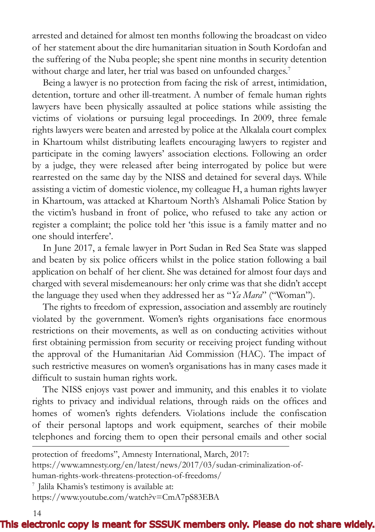arrested and detained for almost ten months following the broadcast on video of her statement about the dire humanitarian situation in South Kordofan and the suffering of the Nuba people; she spent nine months in security detention without charge and later, her trial was based on unfounded charges.<sup>7</sup>

Being a lawyer is no protection from facing the risk of arrest, intimidation, detention, torture and other ill-treatment. A number of female human rights lawyers have been physically assaulted at police stations while assisting the victims of violations or pursuing legal proceedings. In 2009, three female rights lawyers were beaten and arrested by police at the Alkalala court complex in Khartoum whilst distributing leafets encouraging lawyers to register and participate in the coming lawyers' association elections. Following an order by a judge, they were released after being interrogated by police but were rearrested on the same day by the NISS and detained for several days. While assisting a victim of domestic violence, my colleague H, a human rights lawyer in Khartoum, was attacked at Khartoum North's Alshamali Police Station by the victim's husband in front of police, who refused to take any action or register a complaint; the police told her 'this issue is a family matter and no one should interfere'.

In June 2017, a female lawyer in Port Sudan in Red Sea State was slapped and beaten by six police officers whilst in the police station following a bail application on behalf of her client. She was detained for almost four days and charged with several misdemeanours: her only crime was that she didn't accept the language they used when they addressed her as "*Ya Mara*" ("Woman").

The rights to freedom of expression, association and assembly are routinely violated by the government. Women's rights organisations face enormous restrictions on their movements, as well as on conducting activities without frst obtaining permission from security or receiving project funding without the approval of the Humanitarian Aid Commission (HAC). The impact of such restrictive measures on women's organisations has in many cases made it diffcult to sustain human rights work.

The NISS enjoys vast power and immunity, and this enables it to violate rights to privacy and individual relations, through raids on the offces and homes of women's rights defenders. Violations include the confscation of their personal laptops and work equipment, searches of their mobile telephones and forcing them to open their personal emails and other social

https://www.amnesty.org/en/latest/news/2017/03/sudan-criminalization-of-

human-rights-work-threatens-protection-of-freedoms/

<sup>7</sup> Jalila Khamis's testimony is available at:

https://www.youtube.com/watch?v=CmA7pS83EBA

14

protection of freedoms", Amnesty International, March, 2017: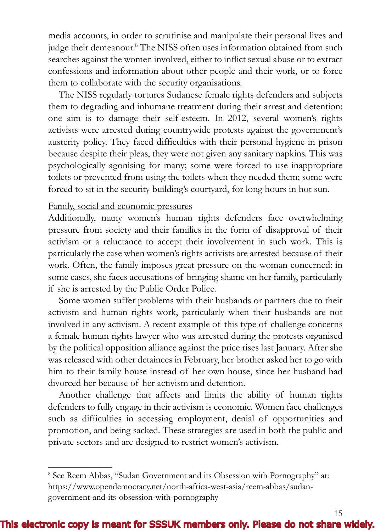media accounts, in order to scrutinise and manipulate their personal lives and judge their demeanour.<sup>8</sup> The NISS often uses information obtained from such searches against the women involved, either to infict sexual abuse or to extract confessions and information about other people and their work, or to force them to collaborate with the security organisations.

The NISS regularly tortures Sudanese female rights defenders and subjects them to degrading and inhumane treatment during their arrest and detention: one aim is to damage their self-esteem. In 2012, several women's rights activists were arrested during countrywide protests against the government's austerity policy. They faced diffculties with their personal hygiene in prison because despite their pleas, they were not given any sanitary napkins. This was psychologically agonising for many; some were forced to use inappropriate toilets or prevented from using the toilets when they needed them; some were forced to sit in the security building's courtyard, for long hours in hot sun.

#### Family, social and economic pressures

Additionally, many women's human rights defenders face overwhelming pressure from society and their families in the form of disapproval of their activism or a reluctance to accept their involvement in such work. This is particularly the case when women's rights activists are arrested because of their work. Often, the family imposes great pressure on the woman concerned: in some cases, she faces accusations of bringing shame on her family, particularly if she is arrested by the Public Order Police.

Some women suffer problems with their husbands or partners due to their activism and human rights work, particularly when their husbands are not involved in any activism. A recent example of this type of challenge concerns a female human rights lawyer who was arrested during the protests organised by the political opposition alliance against the price rises last January. After she was released with other detainees in February, her brother asked her to go with him to their family house instead of her own house, since her husband had divorced her because of her activism and detention.

Another challenge that affects and limits the ability of human rights defenders to fully engage in their activism is economic. Women face challenges such as difficulties in accessing employment, denial of opportunities and promotion, and being sacked. These strategies are used in both the public and private sectors and are designed to restrict women's activism.

15

<sup>&</sup>lt;sup>8</sup> See Reem Abbas, "Sudan Government and its Obsession with Pornography" at: https://www.opendemocracy.net/north-africa-west-asia/reem-abbas/sudangovernment-and-its-obsession-with-pornography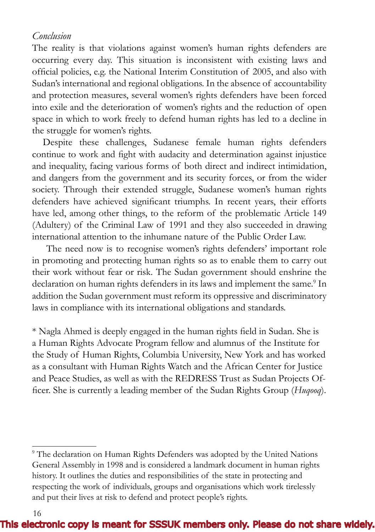#### *Conclusion*

The reality is that violations against women's human rights defenders are occurring every day. This situation is inconsistent with existing laws and offcial policies, e.g. the National Interim Constitution of 2005, and also with Sudan's international and regional obligations. In the absence of accountability and protection measures, several women's rights defenders have been forced into exile and the deterioration of women's rights and the reduction of open space in which to work freely to defend human rights has led to a decline in the struggle for women's rights.

Despite these challenges, Sudanese female human rights defenders continue to work and fght with audacity and determination against injustice and inequality, facing various forms of both direct and indirect intimidation, and dangers from the government and its security forces, or from the wider society. Through their extended struggle, Sudanese women's human rights defenders have achieved signifcant triumphs. In recent years, their efforts have led, among other things, to the reform of the problematic Article 149 (Adultery) of the Criminal Law of 1991 and they also succeeded in drawing international attention to the inhumane nature of the Public Order Law.

 The need now is to recognise women's rights defenders' important role in promoting and protecting human rights so as to enable them to carry out their work without fear or risk. The Sudan government should enshrine the declaration on human rights defenders in its laws and implement the same.<sup>9</sup> In addition the Sudan government must reform its oppressive and discriminatory laws in compliance with its international obligations and standards.

\* Nagla Ahmed is deeply engaged in the human rights feld in Sudan. She is a Human Rights Advocate Program fellow and alumnus of the Institute for the Study of Human Rights, Columbia University, New York and has worked as a consultant with Human Rights Watch and the African Center for Justice and Peace Studies, as well as with the REDRESS Trust as Sudan Projects Offcer. She is currently a leading member of the Sudan Rights Group (*Huqooq*).

<sup>&</sup>lt;sup>9</sup> The declaration on Human Rights Defenders was adopted by the United Nations General Assembly in 1998 and is considered a landmark document in human rights history. It outlines the duties and responsibilities of the state in protecting and respecting the work of individuals, groups and organisations which work tirelessly and put their lives at risk to defend and protect people's rights.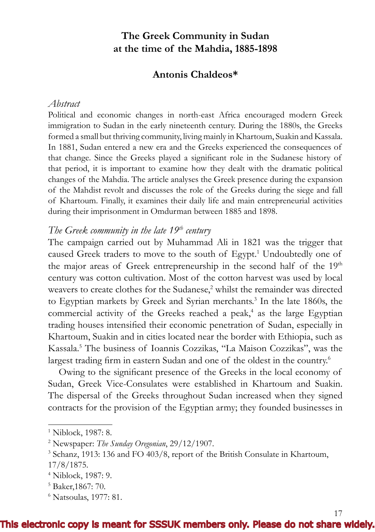# **The Greek Community in Sudan at the time of the Mahdia, 1885-1898**

#### **Antonis Chaldeos\***

#### *Abstract*

Political and economic changes in north-east Africa encouraged modern Greek immigration to Sudan in the early nineteenth century. During the 1880s, the Greeks formed a small but thriving community, living mainly in Khartoum, Suakin and Kassala. In 1881, Sudan entered a new era and the Greeks experienced the consequences of that change. Since the Greeks played a signifcant role in the Sudanese history of that period, it is important to examine how they dealt with the dramatic political changes of the Mahdia. The article analyses the Greek presence during the expansion of the Mahdist revolt and discusses the role of the Greeks during the siege and fall of Khartoum. Finally, it examines their daily life and main entrepreneurial activities during their imprisonment in Omdurman between 1885 and 1898.

#### *The Greek community in the late 19th century*

The campaign carried out by Muhammad Ali in 1821 was the trigger that caused Greek traders to move to the south of Egypt.<sup>1</sup> Undoubtedly one of the major areas of Greek entrepreneurship in the second half of the 19<sup>th</sup> century was cotton cultivation. Most of the cotton harvest was used by local weavers to create clothes for the Sudanese,<sup>2</sup> whilst the remainder was directed to Egyptian markets by Greek and Syrian merchants.<sup>3</sup> In the late 1860s, the commercial activity of the Greeks reached a peak,<sup>4</sup> as the large Egyptian trading houses intensifed their economic penetration of Sudan, especially in Khartoum, Suakin and in cities located near the border with Ethiopia, such as Kassala.5 The business of Ioannis Cozzikas, "La Maison Cozzikas", was the largest trading firm in eastern Sudan and one of the oldest in the country.<sup>6</sup>

Owing to the signifcant presence of the Greeks in the local economy of Sudan, Greek Vice-Consulates were established in Khartoum and Suakin. The dispersal of the Greeks throughout Sudan increased when they signed contracts for the provision of the Egyptian army; they founded businesses in

<sup>3</sup> Schanz, 1913: 136 and FO 403/8, report of the British Consulate in Khartoum,

<sup>1</sup> Niblock, 1987: 8.

<sup>2</sup> Newspaper: *The Sunday Oregonian*, 29/12/1907.

<sup>17/8/1875.</sup>

<sup>4</sup> Niblock, 1987: 9.

<sup>5</sup> Βaker,1867: 70.

<sup>6</sup> Νatsoulas, 1977: 81.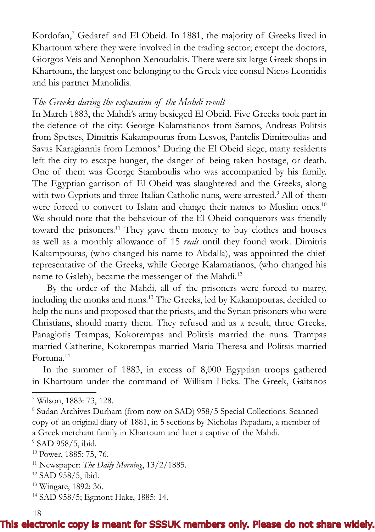Kordofan,<sup>7</sup> Gedaref and El Obeid. In 1881, the majority of Greeks lived in Khartoum where they were involved in the trading sector; except the doctors, Giorgos Veis and Xenophon Xenoudakis. There were six large Greek shops in Khartoum, the largest one belonging to the Greek vice consul Nicos Leontidis and his partner Manolidis.

#### *The Greeks during the expansion of the Mahdi revolt*

In March 1883, the Mahdi's army besieged El Obeid. Five Greeks took part in the defence of the city: George Kalamatianos from Samos, Andreas Politsis from Spetses, Dimitris Kakampouras from Lesvos, Pantelis Dimitroulias and Savas Karagiannis from Lemnos.<sup>8</sup> During the El Obeid siege, many residents left the city to escape hunger, the danger of being taken hostage, or death. One of them was George Stamboulis who was accompanied by his family. The Egyptian garrison of El Obeid was slaughtered and the Greeks, along with two Cypriots and three Italian Catholic nuns, were arrested.<sup>9</sup> All of them were forced to convert to Islam and change their names to Muslim ones.<sup>10</sup> We should note that the behaviour of the El Obeid conquerors was friendly toward the prisoners.<sup>11</sup> They gave them money to buy clothes and houses as well as a monthly allowance of 15 *reals* until they found work. Dimitris Kakampouras, (who changed his name to Abdalla), was appointed the chief representative of the Greeks, while George Kalamatianos, (who changed his name to Galeb), became the messenger of the Mahdi.<sup>12</sup>

 By the order of the Mahdi, all of the prisoners were forced to marry, including the monks and nuns.13 The Greeks, led by Kakampouras, decided to help the nuns and proposed that the priests, and the Syrian prisoners who were Christians, should marry them. They refused and as a result, three Greeks, Panagiotis Trampas, Kokorempas and Politsis married the nuns. Trampas married Catherine, Kokorempas married Maria Theresa and Politsis married Fortuna.14

In the summer of 1883, in excess of 8,000 Egyptian troops gathered in Khartoum under the command of William Hicks. The Greek, Gaitanos

<sup>7</sup> Wilson, 1883: 73, 128.

<sup>8</sup> Sudan Archives Durham (from now on SAD) 958/5 Special Collections. Scanned copy of an original diary of 1881, in 5 sections by Nicholas Papadam, a member of a Greek merchant family in Khartoum and later a captive of the Mahdi.

<sup>9</sup> SAD 958/5, ibid.

<sup>&</sup>lt;sup>10</sup> Power, 1885: 75, 76.

<sup>11</sup> Newspaper: *Τhe Daily Morning*, 13/2/1885.

<sup>12</sup> SAD 958/5, ibid.

<sup>13</sup> Wingate, 1892: 36.

<sup>14</sup> SAD 958/5; Egmont Hake, 1885: 14.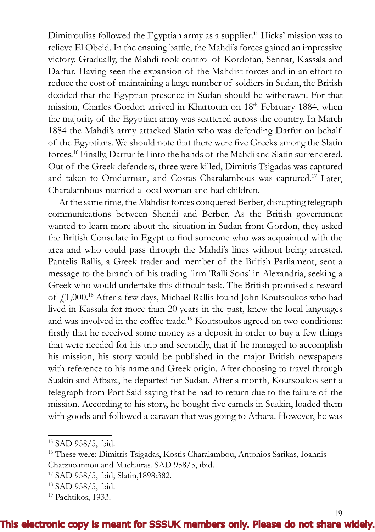Dimitroulias followed the Egyptian army as a supplier.<sup>15</sup> Hicks' mission was to relieve El Obeid. In the ensuing battle, the Mahdi's forces gained an impressive victory. Gradually, the Mahdi took control of Kordofan, Sennar, Kassala and Darfur. Having seen the expansion of the Mahdist forces and in an effort to reduce the cost of maintaining a large number of soldiers in Sudan, the British decided that the Egyptian presence in Sudan should be withdrawn. For that mission, Charles Gordon arrived in Khartoum on 18<sup>th</sup> February 1884, when the majority of the Egyptian army was scattered across the country. In March 1884 the Mahdi's army attacked Slatin who was defending Darfur on behalf of the Egyptians. We should note that there were fve Greeks among the Slatin forces.16 Finally, Darfur fell into the hands of the Mahdi and Slatin surrendered. Out of the Greek defenders, three were killed, Dimitris Tsigadas was captured and taken to Omdurman, and Costas Charalambous was captured.17 Later, Charalambous married a local woman and had children.

At the same time, the Mahdist forces conquered Berber, disrupting telegraph communications between Shendi and Berber. As the British government wanted to learn more about the situation in Sudan from Gordon, they asked the British Consulate in Egypt to fnd someone who was acquainted with the area and who could pass through the Mahdi's lines without being arrested. Pantelis Rallis, a Greek trader and member of the British Parliament, sent a message to the branch of his trading frm 'Ralli Sons' in Alexandria, seeking a Greek who would undertake this diffcult task. The British promised a reward of £1,000.18 After a few days, Michael Rallis found John Koutsoukos who had lived in Kassala for more than 20 years in the past, knew the local languages and was involved in the coffee trade.19 Koutsoukos agreed on two conditions: frstly that he received some money as a deposit in order to buy a few things that were needed for his trip and secondly, that if he managed to accomplish his mission, his story would be published in the major British newspapers with reference to his name and Greek origin. After choosing to travel through Suakin and Atbara, he departed for Sudan. After a month, Koutsoukos sent a telegraph from Port Said saying that he had to return due to the failure of the mission. According to his story, he bought fve camels in Suakin, loaded them with goods and followed a caravan that was going to Atbara. However, he was

17 SAD 958/5, ibid; Slatin,1898:382.

<sup>15</sup> SAD 958/5, ibid.

<sup>16</sup> These were: Dimitris Tsigadas, Kostis Charalambou, Antonios Sarikas, Ioannis Chatziioannou and Machairas. SAD 958/5, ibid.

<sup>18</sup> SAD 958/5, ibid.

<sup>19</sup> Pachtikos, 1933.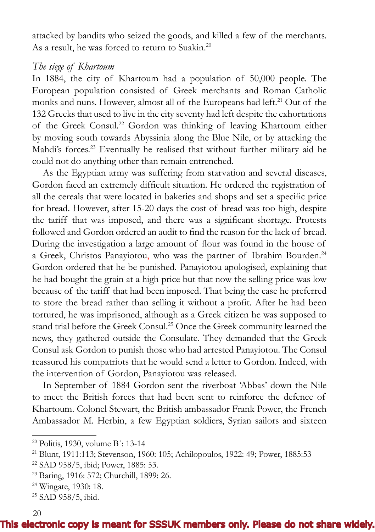attacked by bandits who seized the goods, and killed a few of the merchants. As a result, he was forced to return to Suakin.<sup>20</sup>

#### *The siege of Khartoum*

In 1884, the city of Khartoum had a population of 50,000 people. The European population consisted of Greek merchants and Roman Catholic monks and nuns. However, almost all of the Europeans had left.<sup>21</sup> Out of the 132 Greeks that used to live in the city seventy had left despite the exhortations of the Greek Consul.22 Gordon was thinking of leaving Khartoum either by moving south towards Abyssinia along the Blue Nile, or by attacking the Mahdi's forces.<sup>23</sup> Eventually he realised that without further military aid he could not do anything other than remain entrenched.

As the Egyptian army was suffering from starvation and several diseases, Gordon faced an extremely diffcult situation. He ordered the registration of all the cereals that were located in bakeries and shops and set a specifc price for bread. However, after 15-20 days the cost of bread was too high, despite the tariff that was imposed, and there was a signifcant shortage. Protests followed and Gordon ordered an audit to fnd the reason for the lack of bread. During the investigation a large amount of flour was found in the house of a Greek, Christos Panayiotou, who was the partner of Ibrahim Bourden.24 Gordon ordered that he be punished. Panayiotou apologised, explaining that he had bought the grain at a high price but that now the selling price was low because of the tariff that had been imposed. That being the case he preferred to store the bread rather than selling it without a proft. After he had been tortured, he was imprisoned, although as a Greek citizen he was supposed to stand trial before the Greek Consul.25 Once the Greek community learned the news, they gathered outside the Consulate. They demanded that the Greek Consul ask Gordon to punish those who had arrested Panayiotou. The Consul reassured his compatriots that he would send a letter to Gordon. Indeed, with the intervention of Gordon, Panayiotou was released.

In September of 1884 Gordon sent the riverboat 'Abbas' down the Nile to meet the British forces that had been sent to reinforce the defence of Khartoum. Colonel Stewart, the British ambassador Frank Power, the French Ambassador M. Herbin, a few Egyptian soldiers, Syrian sailors and sixteen

<sup>&</sup>lt;sup>20</sup> Politis, 1930, volume Β': 13-14

<sup>21</sup> Blunt, 1911:113; Stevenson, 1960: 105; Αchilopoulos, 1922: 49; Power, 1885:53

<sup>22</sup> SAD 958/5, ibid; Power, 1885: 53.

<sup>23</sup> Baring, 1916: 572; Churchill, 1899: 26.

<sup>24</sup> Wingate, 1930: 18.

<sup>&</sup>lt;sup>25</sup> SAD 958/5, ibid.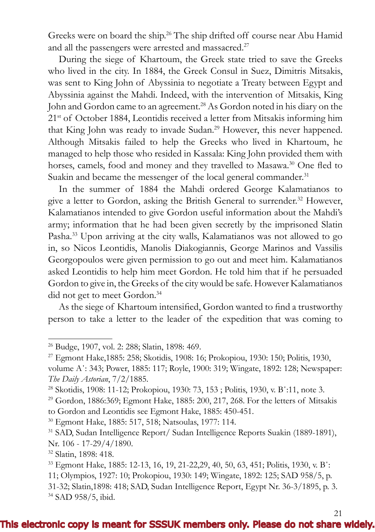Greeks were on board the ship.<sup>26</sup> The ship drifted off course near Abu Hamid and all the passengers were arrested and massacred.27

During the siege of Khartoum, the Greek state tried to save the Greeks who lived in the city. In 1884, the Greek Consul in Suez, Dimitris Mitsakis, was sent to King John of Abyssinia to negotiate a Treaty between Egypt and Abyssinia against the Mahdi. Indeed, with the intervention of Mitsakis, King John and Gordon came to an agreement.<sup>28</sup> As Gordon noted in his diary on the 21<sup>st</sup> of October 1884, Leontidis received a letter from Mitsakis informing him that King John was ready to invade Sudan.<sup>29</sup> However, this never happened. Although Mitsakis failed to help the Greeks who lived in Khartoum, he managed to help those who resided in Kassala: King John provided them with horses, camels, food and money and they travelled to Masawa.<sup>30</sup> One fled to Suakin and became the messenger of the local general commander.<sup>31</sup>

In the summer of 1884 the Mahdi ordered George Kalamatianos to give a letter to Gordon, asking the British General to surrender.<sup>32</sup> However, Kalamatianos intended to give Gordon useful information about the Mahdi's army; information that he had been given secretly by the imprisoned Slatin Pasha.33 Upon arriving at the city walls, Kalamatianos was not allowed to go in, so Nicos Leontidis, Manolis Diakogiannis, George Marinos and Vassilis Georgopoulos were given permission to go out and meet him. Kalamatianos asked Leontidis to help him meet Gordon. He told him that if he persuaded Gordon to give in, the Greeks of the city would be safe. However Kalamatianos did not get to meet Gordon.<sup>34</sup>

As the siege of Khartoum intensifed, Gordon wanted to fnd a trustworthy person to take a letter to the leader of the expedition that was coming to

<sup>26</sup> Budge, 1907, vol. 2: 288; Slatin, 1898: 469.

<sup>27</sup> Egmont Hake,1885: 258; Skotidis, 1908: 16; Prokopiou, 1930: 150; Politis, 1930, volume Α΄: 343; Power, 1885: 117; Royle, 1900: 319; Wingate, 1892: 128; Newspaper: *The Daily Astorian*, 7/2/1885.

<sup>28</sup> Skotidis, 1908: 11-12; Prokopiou, 1930: 73, 153 ; Politis, 1930, v. Β΄:11, note 3.

 $29$  Gordon, 1886:369; Egmont Hake, 1885: 200, 217, 268. For the letters of Mitsakis to Gordon and Leontidis see Egmont Hake, 1885: 450-451.

<sup>30</sup> Egmont Hake, 1885: 517, 518; Natsoulas, 1977: 114.

<sup>31</sup> SAD, Sudan Intelligence Report/ Sudan Intelligence Reports Suakin (1889-1891), Nr. 106 - 17-29/4/1890.

<sup>32</sup> Slatin, 1898: 418.

<sup>33</sup> Egmont Hake, 1885: 12-13, 16, 19, 21-22,29, 40, 50, 63, 451; Politis, 1930, v. Β΄: 11; Olympios, 1927: 10; Prokopiou, 1930: 149; Wingate, 1892: 125; SAD 958/5, p.

<sup>31-32;</sup> Slatin,1898: 418; SAD, Sudan Intelligence Report, Egypt Nr. 36-3/1895, p. 3. 34 SAD 958/5, ibid.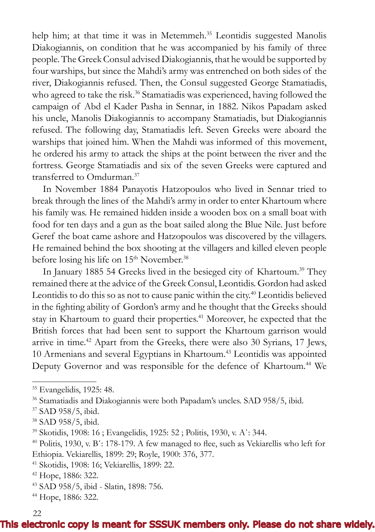help him; at that time it was in Metemmeh.<sup>35</sup> Leontidis suggested Manolis Diakogiannis, on condition that he was accompanied by his family of three people. The Greek Consul advised Diakogiannis, that he would be supported by four warships, but since the Mahdi's army was entrenched on both sides of the river, Diakogiannis refused. Then, the Consul suggested George Stamatiadis, who agreed to take the risk.<sup>36</sup> Stamatiadis was experienced, having followed the campaign of Abd el Kader Pasha in Sennar, in 1882. Nikos Papadam asked his uncle, Manolis Diakogiannis to accompany Stamatiadis, but Diakogiannis refused. The following day, Stamatiadis left. Seven Greeks were aboard the warships that joined him. When the Mahdi was informed of this movement, he ordered his army to attack the ships at the point between the river and the fortress. George Stamatiadis and six of the seven Greeks were captured and transferred to Omdurman.37

In November 1884 Panayotis Hatzopoulos who lived in Sennar tried to break through the lines of the Mahdi's army in order to enter Khartoum where his family was. He remained hidden inside a wooden box on a small boat with food for ten days and a gun as the boat sailed along the Blue Nile. Just before Geref the boat came ashore and Hatzopoulos was discovered by the villagers. He remained behind the box shooting at the villagers and killed eleven people before losing his life on 15<sup>th</sup> November.<sup>38</sup>

In January 1885 54 Greeks lived in the besieged city of Khartoum.<sup>39</sup> They remained there at the advice of the Greek Consul, Leontidis. Gordon had asked Leontidis to do this so as not to cause panic within the city.<sup>40</sup> Leontidis believed in the fghting ability of Gordon's army and he thought that the Greeks should stay in Khartoum to guard their properties.<sup>41</sup> Moreover, he expected that the British forces that had been sent to support the Khartoum garrison would arrive in time.42 Apart from the Greeks, there were also 30 Syrians, 17 Jews, 10 Armenians and several Egyptians in Khartoum.43 Leontidis was appointed Deputy Governor and was responsible for the defence of Khartoum.<sup>44</sup> We

- <sup>40</sup> Politis, 1930, v. B΄: 178-179. A few managed to fee, such as Vekiarellis who left for Ethiopia. Vekiarellis, 1899: 29; Royle, 1900: 376, 377.
- <sup>41</sup> Skotidis, 1908: 16; Vekiarellis, 1899: 22.

- 43 SAD 958/5, ibid Slatin, 1898: 756.
- 44 Hope, 1886: 322.

<sup>35</sup> Evangelidis, 1925: 48.

<sup>36</sup> Stamatiadis and Diakogiannis were both Papadam's uncles. SAD 958/5, ibid.

<sup>37</sup> SAD 958/5, ibid.

<sup>38</sup> SAD 958/5, ibid.

<sup>39</sup> Skotidis, 1908: 16 ; Evangelidis, 1925: 52 ; Politis, 1930, v. Α΄: 344.

<sup>42</sup> Hope, 1886: 322.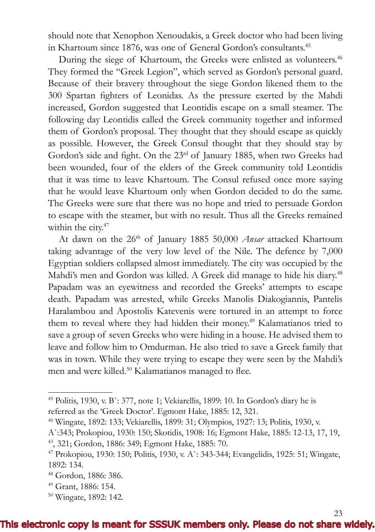should note that Xenophon Xenoudakis, a Greek doctor who had been living in Khartoum since 1876, was one of General Gordon's consultants.45

During the siege of Khartoum, the Greeks were enlisted as volunteers.<sup>46</sup> They formed the "Greek Legion", which served as Gordon's personal guard. Because of their bravery throughout the siege Gordon likened them to the 300 Spartan fghters of Leonidas. As the pressure exerted by the Mahdi increased, Gordon suggested that Leontidis escape on a small steamer. The following day Leontidis called the Greek community together and informed them of Gordon's proposal. They thought that they should escape as quickly as possible. However, the Greek Consul thought that they should stay by Gordon's side and fght. On the 23rd of January 1885, when two Greeks had been wounded, four of the elders of the Greek community told Leontidis that it was time to leave Khartoum. The Consul refused once more saying that he would leave Khartoum only when Gordon decided to do the same. The Greeks were sure that there was no hope and tried to persuade Gordon to escape with the steamer, but with no result. Thus all the Greeks remained within the city.<sup>47</sup>

At dawn on the 26<sup>th</sup> of January 1885 50,000 *Ansar* attacked Khartoum taking advantage of the very low level of the Nile. The defence by 7,000 Egyptian soldiers collapsed almost immediately. The city was occupied by the Mahdi's men and Gordon was killed. A Greek did manage to hide his diary.<sup>48</sup> Papadam was an eyewitness and recorded the Greeks' attempts to escape death. Papadam was arrested, while Greeks Manolis Diakogiannis, Pantelis Haralambou and Apostolis Katevenis were tortured in an attempt to force them to reveal where they had hidden their money.49 Kalamatianos tried to save a group of seven Greeks who were hiding in a house. He advised them to leave and follow him to Omdurman. He also tried to save a Greek family that was in town. While they were trying to escape they were seen by the Mahdi's men and were killed.<sup>50</sup> Kalamatianos managed to flee.

<sup>45</sup> Politis, 1930, v. B΄: 377, note 1; Vekiarellis, 1899: 10. In Gordon's diary he is referred as the 'Greek Doctor'. Egmont Hake, 1885: 12, 321.

<sup>46</sup> Wingate, 1892: 133; Vekiarellis, 1899: 31; Olympios, 1927: 13; Politis, 1930, v.

Α΄:343; Prokopiou, 1930: 150; Skotidis, 1908: 16; Egmont Hake, 1885: 12-13, 17, 19,

<sup>43, 321;</sup> Gordon, 1886: 349; Egmont Hake, 1885: 70.

<sup>47</sup> Prokopiou, 1930: 150; Politis, 1930, v. Α΄: 343-344; Evangelidis, 1925: 51; Wingate, 1892: 134.

<sup>48</sup> Gordon, 1886: 386.

<sup>49</sup> Grant, 1886: 154.

<sup>50</sup> Wingate, 1892: 142.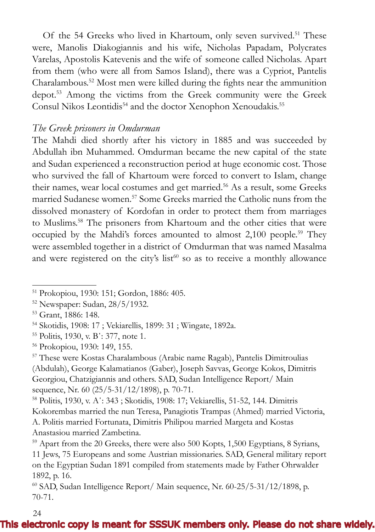Of the 54 Greeks who lived in Khartoum, only seven survived.<sup>51</sup> These were, Manolis Diakogiannis and his wife, Nicholas Papadam, Polycrates Varelas, Apostolis Katevenis and the wife of someone called Nicholas. Apart from them (who were all from Samos Island), there was a Cypriot, Pantelis Charalambous.52 Most men were killed during the fghts near the ammunition depot.53 Among the victims from the Greek community were the Greek Consul Nikos Leontidis<sup>54</sup> and the doctor Xenophon Xenoudakis.<sup>55</sup>

#### *The Greek prisoners in Omdurman*

The Mahdi died shortly after his victory in 1885 and was succeeded by Abdullah ibn Muhammed. Omdurman became the new capital of the state and Sudan experienced a reconstruction period at huge economic cost. Those who survived the fall of Khartoum were forced to convert to Islam, change their names, wear local costumes and get married.<sup>56</sup> As a result, some Greeks married Sudanese women.57 Some Greeks married the Catholic nuns from the dissolved monastery of Kordofan in order to protect them from marriages to Muslims.58 The prisoners from Khartoum and the other cities that were occupied by the Mahdi's forces amounted to almost 2,100 people.<sup>59</sup> They were assembled together in a district of Omdurman that was named Masalma and were registered on the city's list<sup>60</sup> so as to receive a monthly allowance

24

<sup>51</sup> Prokopiou, 1930: 151; Gordon, 1886: 405.

<sup>52</sup> Newspaper: Sudan, 28/5/1932.

<sup>53</sup> Grant, 1886: 148.

<sup>54</sup> Skotidis, 1908: 17 ; Vekiarellis, 1899: 31 ; Wingate, 1892a.

<sup>55</sup> Politis, 1930, v. B΄: 377, note 1.

<sup>56</sup> Prokopiou, 1930: 149, 155.

<sup>57</sup> These were Kostas Charalambous (Arabic name Ragab), Pantelis Dimitroulias (Αbdulah), George Kalamatianos (Gaber), Joseph Savvas, George Kokos, Dimitris Georgiou, Chatzigiannis and others. SAD, Sudan Intelligence Report/ Main sequence, Nr. 60 (25/5-31/12/1898), p. 70-71.

<sup>58</sup> Politis, 1930, v. Α΄: 343 ; Skotidis, 1908: 17; Vekiarellis, 51-52, 144. Dimitris Kokorembas married the nun Teresa, Panagiotis Trampas (Αhmed) married Victoria, A. Politis married Fortunata, Dimitris Philipou married Margeta and Kostas Anastasiou married Zambetina.

<sup>&</sup>lt;sup>59</sup> Apart from the 20 Greeks, there were also 500 Kopts, 1,500 Egyptians, 8 Syrians, 11 Jews, 75 Europeans and some Austrian missionaries. SAD, General military report on the Egyptian Sudan 1891 compiled from statements made by Father Ohrwalder 1892, p. 16.

 $60$  SAD, Sudan Intelligence Report/ Main sequence, Nr.  $60-25/5-31/12/1898$ , p. 70-71.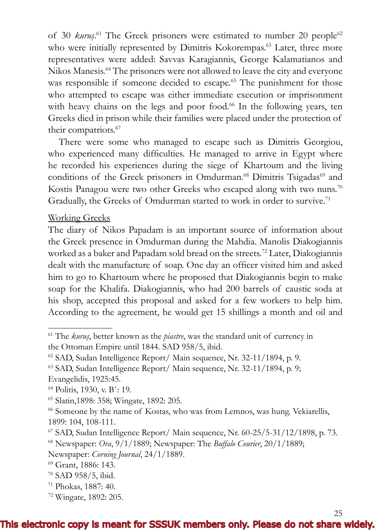of 30 *kuruş*.<sup>61</sup> The Greek prisoners were estimated to number 20 people<sup>62</sup> who were initially represented by Dimitris Kokorempas.<sup>63</sup> Later, three more representatives were added: Savvas Karagiannis, George Kalamatianos and Nikos Manesis.64 The prisoners were not allowed to leave the city and everyone was responsible if someone decided to escape.<sup>65</sup> The punishment for those who attempted to escape was either immediate execution or imprisonment with heavy chains on the legs and poor food.<sup>66</sup> In the following years, ten Greeks died in prison while their families were placed under the protection of their compatriots.<sup>67</sup>

There were some who managed to escape such as Dimitris Georgiou, who experienced many difficulties. He managed to arrive in Egypt where he recorded his experiences during the siege of Khartoum and the living conditions of the Greek prisoners in Omdurman.<sup>68</sup> Dimitris Tsigadas<sup>69</sup> and Kostis Panagou were two other Greeks who escaped along with two nuns.<sup>70</sup> Gradually, the Greeks of Omdurman started to work in order to survive.<sup>71</sup>

#### Working Greeks

The diary of Nikos Papadam is an important source of information about the Greek presence in Omdurman during the Mahdia. Manolis Diakogiannis worked as a baker and Papadam sold bread on the streets.72 Later, Diakogiannis dealt with the manufacture of soap. One day an officer visited him and asked him to go to Khartoum where he proposed that Diakogiannis begin to make soap for the Khalifa. Diakogiannis, who had 200 barrels of caustic soda at his shop, accepted this proposal and asked for a few workers to help him. According to the agreement, he would get 15 shillings a month and oil and

<sup>61</sup> The *kuruş*, better known as the *piastre*, was the standard unit of currency in the Ottoman Empire until 1844. SAD 958/5, ibid.

<sup>62</sup> SAD, Sudan Intelligence Report/ Main sequence, Nr. 32-11/1894, p. 9.

<sup>63</sup> SAD, Sudan Intelligence Report/ Main sequence, Nr. 32-11/1894, p. 9; Εvangelidis, 1925:45.

<sup>64</sup> Politis, 1930, v. Β΄: 19.

<sup>65</sup> Slatin,1898: 358; Wingate, 1892: 205.

<sup>&</sup>lt;sup>66</sup> Someone by the name of Kostas, who was from Lemnos, was hung. Vekiarellis, 1899: 104, 108-111.

 $67$  SAD, Sudan Intelligence Report/ Main sequence, Nr.  $60-25/5-31/12/1898$ , p. 73.

<sup>68</sup> Newspaper: *Ora*, 9/1/1889; Newspaper: The *Buffalo Courier*, 20/1/1889;

Newspaper: *Corning Journal*, 24/1/1889.

<sup>69</sup> Grant, 1886: 143.

<sup>70</sup> SAD 958/5, ibid.

<sup>71</sup> Phokas, 1887: 40.

<sup>72</sup> Wingate, 1892: 205.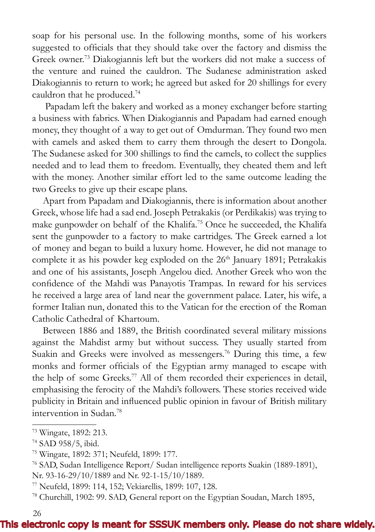soap for his personal use. In the following months, some of his workers suggested to officials that they should take over the factory and dismiss the Greek owner.73 Diakogiannis left but the workers did not make a success of the venture and ruined the cauldron. The Sudanese administration asked Diakogiannis to return to work; he agreed but asked for 20 shillings for every cauldron that he produced.74

 Papadam left the bakery and worked as a money exchanger before starting a business with fabrics. When Diakogiannis and Papadam had earned enough money, they thought of a way to get out of Omdurman. They found two men with camels and asked them to carry them through the desert to Dongola. The Sudanese asked for 300 shillings to fnd the camels, to collect the supplies needed and to lead them to freedom. Eventually, they cheated them and left with the money. Another similar effort led to the same outcome leading the two Greeks to give up their escape plans.

Apart from Papadam and Diakogiannis, there is information about another Greek, whose life had a sad end. Joseph Petrakakis (or Perdikakis) was trying to make gunpowder on behalf of the Khalifa.<sup>75</sup> Once he succeeded, the Khalifa sent the gunpowder to a factory to make cartridges. The Greek earned a lot of money and began to build a luxury home. However, he did not manage to complete it as his powder keg exploded on the 26<sup>th</sup> January 1891; Petrakakis and one of his assistants, Joseph Angelou died. Another Greek who won the confdence of the Mahdi was Panayotis Trampas. In reward for his services he received a large area of land near the government palace. Later, his wife, a former Italian nun, donated this to the Vatican for the erection of the Roman Catholic Cathedral of Khartoum.

Between 1886 and 1889, the British coordinated several military missions against the Mahdist army but without success. They usually started from Suakin and Greeks were involved as messengers.<sup>76</sup> During this time, a few monks and former officials of the Egyptian army managed to escape with the help of some Greeks.<sup>77</sup> All of them recorded their experiences in detail, emphasising the ferocity of the Mahdi's followers. These stories received wide publicity in Britain and infuenced public opinion in favour of British military intervention in Sudan.78

<sup>73</sup> Wingate, 1892: 213.

<sup>74</sup> SAD 958/5, ibid.

<sup>75</sup> Wingate, 1892: 371; Neufeld, 1899: 177.

<sup>76</sup> SAD, Sudan Intelligence Report/ Sudan intelligence reports Suakin (1889-1891),

Nr. 93-16-29/10/1889 and Nr. 92-1-15/10/1889.

<sup>77</sup> Neufeld, 1899: 114, 152; Vekiarellis, 1899: 107, 128.

<sup>78</sup> Churchill, 1902: 99. SAD, General report on the Egyptian Soudan, March 1895,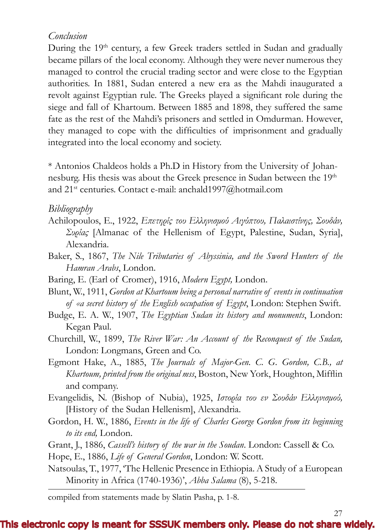# *Conclusion*

During the 19<sup>th</sup> century, a few Greek traders settled in Sudan and gradually became pillars of the local economy. Although they were never numerous they managed to control the crucial trading sector and were close to the Egyptian authorities. In 1881, Sudan entered a new era as the Mahdi inaugurated a revolt against Egyptian rule. The Greeks played a signifcant role during the siege and fall of Khartoum. Between 1885 and 1898, they suffered the same fate as the rest of the Mahdi's prisoners and settled in Omdurman. However, they managed to cope with the diffculties of imprisonment and gradually integrated into the local economy and society.

\* Antonios Chaldeos holds a Ph.D in History from the University of Johannesburg. His thesis was about the Greek presence in Sudan between the 19<sup>th</sup> and 21st centuries. Contact e-mail: anchald1997@hotmail.com

# *Bibliography*

- Achilopoulos, E., 1922, *Επετηρίς του Ελληνισμού Αιγύπτου, Παλαιστίνης, Σουδάν, Συρίας* [Almanac of the Hellenism of Egypt, Palestine, Sudan, Syria], Alexandria.
- Baker, S., 1867, *The Nile Tributaries of Abyssinia, and the Sword Hunters of the Hamran Arabs*, London.
- Baring, E. (Earl of Cromer), 1916, *Modern Egypt,* London.
- Blunt, W., 1911, *Gordon at Khartoum being a personal narrative of events in continuation of «a secret history of the English occupation of Egypt*, London: Stephen Swift.
- Budge, E. A. W., 1907, *The Egyptian Sudan its history and monuments*, London: Kegan Paul.
- Churchill, W., 1899, *The River War: An Account of the Reconquest of the Sudan,*  London: Longmans, Green and Co.
- Egmont Hake, A., 1885, *The Journals of Major-Gen. C. G. Gordon, C.B., at Khartoum, printed from the original mss*, Boston, New York, Houghton, Miffin and company.
- Evangelidis, N. (Bishop of Nubia), 1925, *Ιστορία του εν Σουδάν Ελληνισμού,* [History of the Sudan Hellenism], Alexandria.
- Gordon, H. W., 1886, *Events in the life of Charles George Gordon from its beginning to its end,* London.
- Grant, J., 1886, *Cassell's history of the war in the Soudan*. London: Cassell & Co.
- Hope, E., 1886, *Life of General Gordon*, London: W. Scott.
- Natsoulas, T., 1977, 'The Hellenic Presence in Ethiopia. A Study of a European Minority in Africa (1740-1936)', *Abba Salama* (8), 5-218.

compiled from statements made by Slatin Pasha, p. 1-8.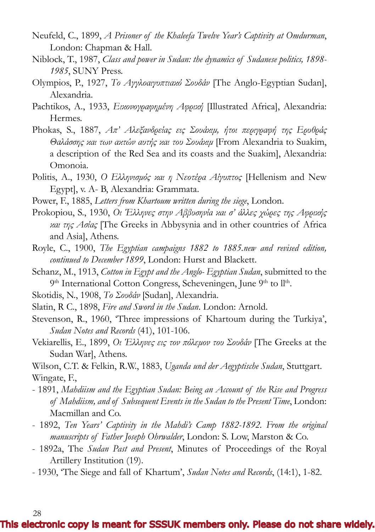- Neufeld, C., 1899, *A Prisoner of the Khaleefa Twelve Year's Captivity at Omdurman*, London: Chapman & Hall.
- Niblock, T., 1987, *Class and power in Sudan: the dynamics of Sudanese politics, 1898- 1985*, SUNY Press.
- Olympios, P., 1927, *Το Αγγλοαιγυπτιακό Σουδάν* [The Anglo-Egyptian Sudan], Alexandria.
- Pachtikos, A., 1933, *Εικονογραφημένη Αφρική* [Illustrated Africa], Alexandria: Hermes.
- Phokas, S., 1887, *Απ' Αλεξανδρείας εις Σουάκιμ, ήτοι περιγραφή της Ερυθράς Θαλάσσης και των ακτών αυτής και του Σουάκιμ* [From Alexandria to Suakim, a description of the Red Sea and its coasts and the Suakim], Alexandria: Omonoia.
- Politis, A., 1930, *Ο Ελληνισμός και η Νεοτέρα Αίγυπτος* [Hellenism and New Egypt], v. A- B, Alexandria: Grammata.
- Power, F., 1885, *Letters from Khartoum written during the siege*, London.
- Prokopiou, S., 1930, *Οι Έλληνες στην Αββυσηνία και σ' άλλες χώρες της Αφρικής και της Ασίας* [The Greeks in Abbysynia and in other countries of Africa and Asia], Athens.
- Royle, C., 1900, *The Egyptian campaigns 1882 to 1885.new and revised edition, continued to December 1899*, London: Hurst and Blackett.
- Schanz, M., 1913, *Cotton in Egypt and the Anglo- Egyptian Sudan*, submitted to the 9<sup>th</sup> International Cotton Congress, Scheveningen, June 9<sup>th</sup> to ll<sup>th</sup>.
- Skotidis, N., 1908, *Το Σουδάν* [Sudan], Alexandria.
- Slatin, R C., 1898, *Fire and Sword in the Sudan*. London: Arnold.
- Stevenson, R., 1960, 'Three impressions of Khartoum during the Turkiya', *Sudan Notes and Records* (41), 101-106.
- Vekiarellis, E., 1899, *Οι Έλληνες εις τον πόλεμον του Σουδάν* [The Greeks at the Sudan War], Athens.

Wilson, C.T. & Felkin, R.W., 1883, *Uganda und der Aegyptische Sudan*, Stuttgart. Wingate, F.,

- 1891, *Mahdiism and the Egyptian Sudan: Being an Account of the Rise and Progress of Mahdiism, and of Subsequent Events in the Sudan to the Present Time*, London: Macmillan and Co.
- 1892, *Ten Years' Captivity in the Mahdi's Camp 1882-1892. From the original manuscripts of Father Joseph Ohrwalder*, London: S. Low, Marston & Co.
- 1892a, The *Sudan Past and Present*, Minutes of Proceedings of the Royal Artillery Institution (19).
- 1930, 'The Siege and fall of Khartum', *Sudan Notes and Records*, (14:1), 1-82.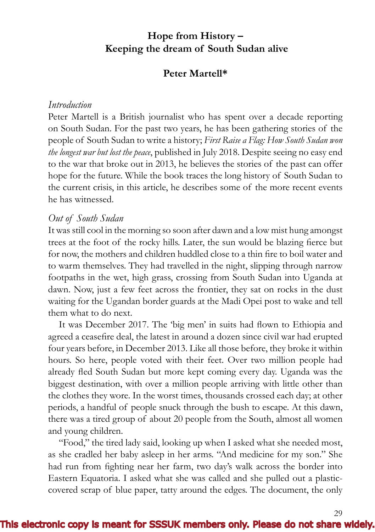# **Hope from History – Keeping the dream of South Sudan alive**

# **Peter Martell\***

#### *Introduction*

Peter Martell is a British journalist who has spent over a decade reporting on South Sudan. For the past two years, he has been gathering stories of the people of South Sudan to write a history; *First Raise a Flag: How South Sudan won the longest war but lost the peace*, published in July 2018. Despite seeing no easy end to the war that broke out in 2013, he believes the stories of the past can offer hope for the future. While the book traces the long history of South Sudan to the current crisis, in this article, he describes some of the more recent events he has witnessed.

#### *Out of South Sudan*

It was still cool in the morning so soon after dawn and a low mist hung amongst trees at the foot of the rocky hills. Later, the sun would be blazing ferce but for now, the mothers and children huddled close to a thin fre to boil water and to warm themselves. They had travelled in the night, slipping through narrow footpaths in the wet, high grass, crossing from South Sudan into Uganda at dawn. Now, just a few feet across the frontier, they sat on rocks in the dust waiting for the Ugandan border guards at the Madi Opei post to wake and tell them what to do next.

It was December 2017. The 'big men' in suits had fown to Ethiopia and agreed a ceasefre deal, the latest in around a dozen since civil war had erupted four years before, in December 2013. Like all those before, they broke it within hours. So here, people voted with their feet. Over two million people had already fed South Sudan but more kept coming every day. Uganda was the biggest destination, with over a million people arriving with little other than the clothes they wore. In the worst times, thousands crossed each day; at other periods, a handful of people snuck through the bush to escape. At this dawn, there was a tired group of about 20 people from the South, almost all women and young children.

"Food," the tired lady said, looking up when I asked what she needed most, as she cradled her baby asleep in her arms. "And medicine for my son." She had run from fghting near her farm, two day's walk across the border into Eastern Equatoria. I asked what she was called and she pulled out a plasticcovered scrap of blue paper, tatty around the edges. The document, the only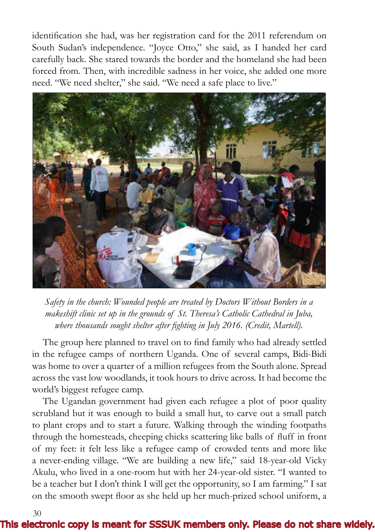identifcation she had, was her registration card for the 2011 referendum on South Sudan's independence. "Joyce Otto," she said, as I handed her card carefully back. She stared towards the border and the homeland she had been forced from. Then, with incredible sadness in her voice, she added one more need. "We need shelter," she said. "We need a safe place to live."



*Safety in the church: Wounded people are treated by Doctors Without Borders in a makeshift clinic set up in the grounds of St. Theresa's Catholic Cathedral in Juba, where thousands sought shelter after fghting in July 2016. (Credit, Martell).*

The group here planned to travel on to fnd family who had already settled in the refugee camps of northern Uganda. One of several camps, Bidi-Bidi was home to over a quarter of a million refugees from the South alone. Spread across the vast low woodlands, it took hours to drive across. It had become the world's biggest refugee camp.

The Ugandan government had given each refugee a plot of poor quality scrubland but it was enough to build a small hut, to carve out a small patch to plant crops and to start a future. Walking through the winding footpaths through the homesteads, cheeping chicks scattering like balls of fuff in front of my feet: it felt less like a refugee camp of crowded tents and more like a never-ending village. "We are building a new life," said 18-year-old Vicky Akulu, who lived in a one-room hut with her 24-year-old sister. "I wanted to be a teacher but I don't think I will get the opportunity, so I am farming." I sat on the smooth swept foor as she held up her much-prized school uniform, a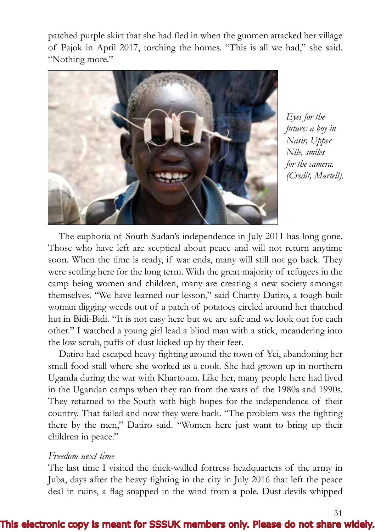patched purple skirt that she had fed in when the gunmen attacked her village of Pajok in April 2017, torching the homes. "This is all we had," she said. "Nothing more."



*Eyes for the future: a boy in Nasir, Upper Nile, smiles for the camera. (Credit, Martell).*

The euphoria of South Sudan's independence in July 2011 has long gone. Those who have left are sceptical about peace and will not return anytime soon. When the time is ready, if war ends, many will still not go back. They were settling here for the long term. With the great majority of refugees in the camp being women and children, many are creating a new society amongst themselves. "We have learned our lesson," said Charity Datiro, a tough-built woman digging weeds out of a patch of potatoes circled around her thatched hut in Bidi-Bidi. "It is not easy here but we are safe and we look out for each other." I watched a young girl lead a blind man with a stick, meandering into the low scrub, puffs of dust kicked up by their feet.

Datiro had escaped heavy fghting around the town of Yei, abandoning her small food stall where she worked as a cook. She had grown up in northern Uganda during the war with Khartoum. Like her, many people here had lived in the Ugandan camps when they ran from the wars of the 1980s and 1990s. They returned to the South with high hopes for the independence of their country. That failed and now they were back. "The problem was the fghting there by the men," Datiro said. "Women here just want to bring up their children in peace."

#### *Freedom next time*

The last time I visited the thick-walled fortress headquarters of the army in Juba, days after the heavy fghting in the city in July 2016 that left the peace deal in ruins, a fag snapped in the wind from a pole. Dust devils whipped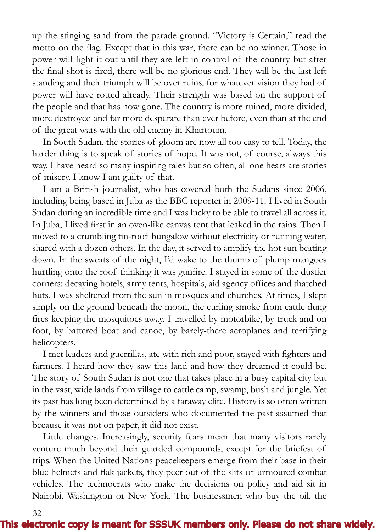up the stinging sand from the parade ground. "Victory is Certain," read the motto on the fag. Except that in this war, there can be no winner. Those in power will fght it out until they are left in control of the country but after the fnal shot is fred, there will be no glorious end. They will be the last left standing and their triumph will be over ruins, for whatever vision they had of power will have rotted already. Their strength was based on the support of the people and that has now gone. The country is more ruined, more divided, more destroyed and far more desperate than ever before, even than at the end of the great wars with the old enemy in Khartoum.

In South Sudan, the stories of gloom are now all too easy to tell. Today, the harder thing is to speak of stories of hope. It was not, of course, always this way. I have heard so many inspiring tales but so often, all one hears are stories of misery. I know I am guilty of that.

I am a British journalist, who has covered both the Sudans since 2006, including being based in Juba as the BBC reporter in 2009-11. I lived in South Sudan during an incredible time and I was lucky to be able to travel all across it. In Juba, I lived frst in an oven-like canvas tent that leaked in the rains. Then I moved to a crumbling tin-roof bungalow without electricity or running water, shared with a dozen others. In the day, it served to amplify the hot sun beating down. In the sweats of the night, I'd wake to the thump of plump mangoes hurtling onto the roof thinking it was gunfre. I stayed in some of the dustier corners: decaying hotels, army tents, hospitals, aid agency offices and thatched huts. I was sheltered from the sun in mosques and churches. At times, I slept simply on the ground beneath the moon, the curling smoke from cattle dung fres keeping the mosquitoes away. I travelled by motorbike, by truck and on foot, by battered boat and canoe, by barely-there aeroplanes and terrifying helicopters.

I met leaders and guerrillas, ate with rich and poor, stayed with fghters and farmers. I heard how they saw this land and how they dreamed it could be. The story of South Sudan is not one that takes place in a busy capital city but in the vast, wide lands from village to cattle camp, swamp, bush and jungle. Yet its past has long been determined by a faraway elite. History is so often written by the winners and those outsiders who documented the past assumed that because it was not on paper, it did not exist.

Little changes. Increasingly, security fears mean that many visitors rarely venture much beyond their guarded compounds, except for the briefest of trips. When the United Nations peacekeepers emerge from their base in their blue helmets and fak jackets, they peer out of the slits of armoured combat vehicles. The technocrats who make the decisions on policy and aid sit in Nairobi, Washington or New York. The businessmen who buy the oil, the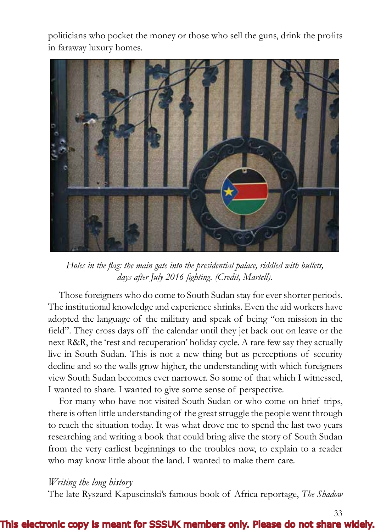politicians who pocket the money or those who sell the guns, drink the profts in faraway luxury homes.



*Holes in the fag: the main gate into the presidential palace, riddled with bullets, days after July 2016 fghting. (Credit, Martell).*

Those foreigners who do come to South Sudan stay for ever shorter periods. The institutional knowledge and experience shrinks. Even the aid workers have adopted the language of the military and speak of being "on mission in the feld". They cross days off the calendar until they jet back out on leave or the next R&R, the 'rest and recuperation' holiday cycle. A rare few say they actually live in South Sudan. This is not a new thing but as perceptions of security decline and so the walls grow higher, the understanding with which foreigners view South Sudan becomes ever narrower. So some of that which I witnessed, I wanted to share. I wanted to give some sense of perspective.

For many who have not visited South Sudan or who come on brief trips, there is often little understanding of the great struggle the people went through to reach the situation today. It was what drove me to spend the last two years researching and writing a book that could bring alive the story of South Sudan from the very earliest beginnings to the troubles now, to explain to a reader who may know little about the land. I wanted to make them care.

#### *Writing the long history*

The late Ryszard Kapuscinski's famous book of Africa reportage, *The Shadow*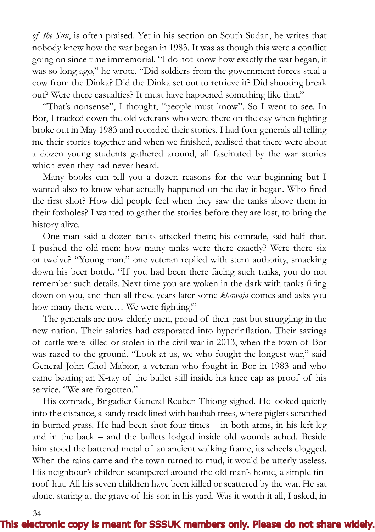*of the Sun*, is often praised. Yet in his section on South Sudan, he writes that nobody knew how the war began in 1983. It was as though this were a confict going on since time immemorial. "I do not know how exactly the war began, it was so long ago," he wrote. "Did soldiers from the government forces steal a cow from the Dinka? Did the Dinka set out to retrieve it? Did shooting break out? Were there casualties? It must have happened something like that."

"That's nonsense", I thought, "people must know". So I went to see. In Bor, I tracked down the old veterans who were there on the day when fghting broke out in May 1983 and recorded their stories. I had four generals all telling me their stories together and when we fnished, realised that there were about a dozen young students gathered around, all fascinated by the war stories which even they had never heard.

Many books can tell you a dozen reasons for the war beginning but I wanted also to know what actually happened on the day it began. Who fred the frst shot? How did people feel when they saw the tanks above them in their foxholes? I wanted to gather the stories before they are lost, to bring the history alive.

One man said a dozen tanks attacked them; his comrade, said half that. I pushed the old men: how many tanks were there exactly? Were there six or twelve? "Young man," one veteran replied with stern authority, smacking down his beer bottle. "If you had been there facing such tanks, you do not remember such details. Next time you are woken in the dark with tanks fring down on you, and then all these years later some *khawaja* comes and asks you how many there were... We were fighting!"

The generals are now elderly men, proud of their past but struggling in the new nation. Their salaries had evaporated into hyperinfation. Their savings of cattle were killed or stolen in the civil war in 2013, when the town of Bor was razed to the ground. "Look at us, we who fought the longest war," said General John Chol Mabior, a veteran who fought in Bor in 1983 and who came bearing an X-ray of the bullet still inside his knee cap as proof of his service. "We are forgotten."

His comrade, Brigadier General Reuben Thiong sighed. He looked quietly into the distance, a sandy track lined with baobab trees, where piglets scratched in burned grass. He had been shot four times – in both arms, in his left leg and in the back – and the bullets lodged inside old wounds ached. Beside him stood the battered metal of an ancient walking frame, its wheels clogged. When the rains came and the town turned to mud, it would be utterly useless. His neighbour's children scampered around the old man's home, a simple tinroof hut. All his seven children have been killed or scattered by the war. He sat alone, staring at the grave of his son in his yard. Was it worth it all, I asked, in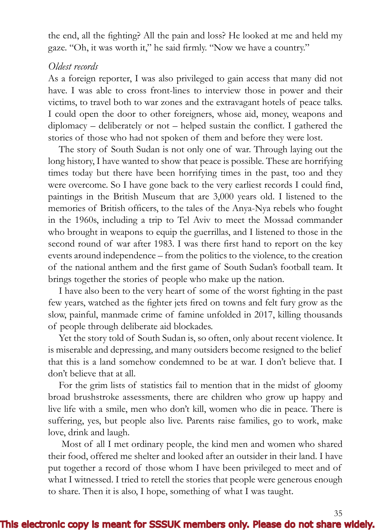the end, all the fghting? All the pain and loss? He looked at me and held my gaze. "Oh, it was worth it," he said frmly. "Now we have a country."

#### *Oldest records*

As a foreign reporter, I was also privileged to gain access that many did not have. I was able to cross front-lines to interview those in power and their victims, to travel both to war zones and the extravagant hotels of peace talks. I could open the door to other foreigners, whose aid, money, weapons and diplomacy – deliberately or not – helped sustain the confict. I gathered the stories of those who had not spoken of them and before they were lost.

The story of South Sudan is not only one of war. Through laying out the long history, I have wanted to show that peace is possible. These are horrifying times today but there have been horrifying times in the past, too and they were overcome. So I have gone back to the very earliest records I could fnd, paintings in the British Museum that are 3,000 years old. I listened to the memories of British officers, to the tales of the Anya-Nya rebels who fought in the 1960s, including a trip to Tel Aviv to meet the Mossad commander who brought in weapons to equip the guerrillas, and I listened to those in the second round of war after 1983. I was there frst hand to report on the key events around independence – from the politics to the violence, to the creation of the national anthem and the frst game of South Sudan's football team. It brings together the stories of people who make up the nation.

I have also been to the very heart of some of the worst fghting in the past few years, watched as the fghter jets fred on towns and felt fury grow as the slow, painful, manmade crime of famine unfolded in 2017, killing thousands of people through deliberate aid blockades.

Yet the story told of South Sudan is, so often, only about recent violence. It is miserable and depressing, and many outsiders become resigned to the belief that this is a land somehow condemned to be at war. I don't believe that. I don't believe that at all.

For the grim lists of statistics fail to mention that in the midst of gloomy broad brushstroke assessments, there are children who grow up happy and live life with a smile, men who don't kill, women who die in peace. There is suffering, yes, but people also live. Parents raise families, go to work, make love, drink and laugh.

 Most of all I met ordinary people, the kind men and women who shared their food, offered me shelter and looked after an outsider in their land. I have put together a record of those whom I have been privileged to meet and of what I witnessed. I tried to retell the stories that people were generous enough to share. Then it is also, I hope, something of what I was taught.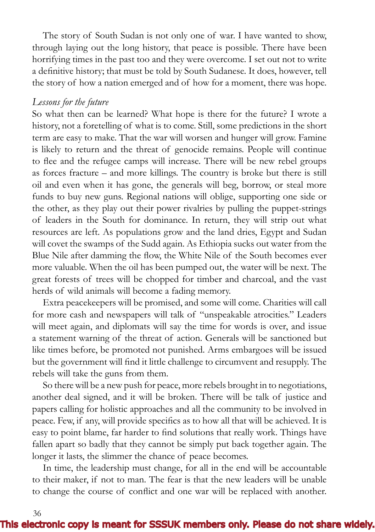The story of South Sudan is not only one of war. I have wanted to show, through laying out the long history, that peace is possible. There have been horrifying times in the past too and they were overcome. I set out not to write a defnitive history; that must be told by South Sudanese. It does, however, tell the story of how a nation emerged and of how for a moment, there was hope.

#### *Lessons for the future*

So what then can be learned? What hope is there for the future? I wrote a history, not a foretelling of what is to come. Still, some predictions in the short term are easy to make. That the war will worsen and hunger will grow. Famine is likely to return and the threat of genocide remains. People will continue to fee and the refugee camps will increase. There will be new rebel groups as forces fracture – and more killings. The country is broke but there is still oil and even when it has gone, the generals will beg, borrow, or steal more funds to buy new guns. Regional nations will oblige, supporting one side or the other, as they play out their power rivalries by pulling the puppet-strings of leaders in the South for dominance. In return, they will strip out what resources are left. As populations grow and the land dries, Egypt and Sudan will covet the swamps of the Sudd again. As Ethiopia sucks out water from the Blue Nile after damming the fow, the White Nile of the South becomes ever more valuable. When the oil has been pumped out, the water will be next. The great forests of trees will be chopped for timber and charcoal, and the vast herds of wild animals will become a fading memory.

Extra peacekeepers will be promised, and some will come. Charities will call for more cash and newspapers will talk of "unspeakable atrocities." Leaders will meet again, and diplomats will say the time for words is over, and issue a statement warning of the threat of action. Generals will be sanctioned but like times before, be promoted not punished. Arms embargoes will be issued but the government will fnd it little challenge to circumvent and resupply. The rebels will take the guns from them.

So there will be a new push for peace, more rebels brought in to negotiations, another deal signed, and it will be broken. There will be talk of justice and papers calling for holistic approaches and all the community to be involved in peace. Few, if any, will provide specifcs as to how all that will be achieved. It is easy to point blame, far harder to fnd solutions that really work. Things have fallen apart so badly that they cannot be simply put back together again. The longer it lasts, the slimmer the chance of peace becomes.

In time, the leadership must change, for all in the end will be accountable to their maker, if not to man. The fear is that the new leaders will be unable to change the course of confict and one war will be replaced with another.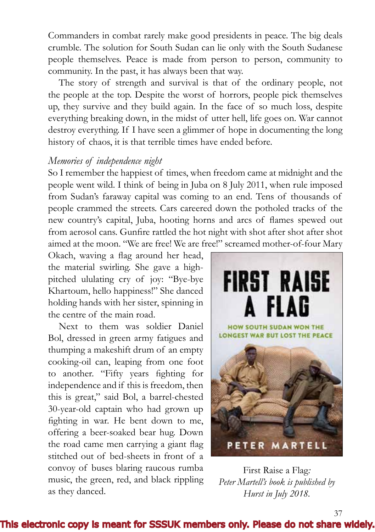Commanders in combat rarely make good presidents in peace. The big deals crumble. The solution for South Sudan can lie only with the South Sudanese people themselves. Peace is made from person to person, community to community. In the past, it has always been that way.

The story of strength and survival is that of the ordinary people, not the people at the top. Despite the worst of horrors, people pick themselves up, they survive and they build again. In the face of so much loss, despite everything breaking down, in the midst of utter hell, life goes on. War cannot destroy everything. If I have seen a glimmer of hope in documenting the long history of chaos, it is that terrible times have ended before.

### *Memories of independence night*

So I remember the happiest of times, when freedom came at midnight and the people went wild. I think of being in Juba on 8 July 2011, when rule imposed from Sudan's faraway capital was coming to an end. Tens of thousands of people crammed the streets. Cars careered down the potholed tracks of the new country's capital, Juba, hooting horns and arcs of fames spewed out from aerosol cans. Gunfre rattled the hot night with shot after shot after shot aimed at the moon. "We are free! We are free!" screamed mother-of-four Mary

Okach, waving a fag around her head, the material swirling. She gave a highpitched ululating cry of joy: "Bye-bye Khartoum, hello happiness!" She danced holding hands with her sister, spinning in the centre of the main road.

Next to them was soldier Daniel Bol, dressed in green army fatigues and thumping a makeshift drum of an empty cooking-oil can, leaping from one foot to another. "Fifty years fghting for independence and if this is freedom, then this is great," said Bol, a barrel-chested 30-year-old captain who had grown up fghting in war. He bent down to me, offering a beer-soaked bear hug. Down the road came men carrying a giant fag stitched out of bed-sheets in front of a convoy of buses blaring raucous rumba music, the green, red, and black rippling as they danced.



First Raise a Flag*: Peter Martell's book is published by Hurst in July 2018.*

37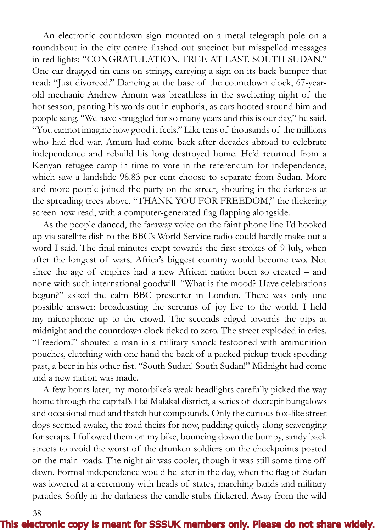An electronic countdown sign mounted on a metal telegraph pole on a roundabout in the city centre fashed out succinct but misspelled messages in red lights: "CONGRATULATION. FREE AT LAST. SOUTH SUDAN." One car dragged tin cans on strings, carrying a sign on its back bumper that read: "Just divorced." Dancing at the base of the countdown clock, 67-yearold mechanic Andrew Amum was breathless in the sweltering night of the hot season, panting his words out in euphoria, as cars hooted around him and people sang. "We have struggled for so many years and this is our day," he said. "You cannot imagine how good it feels." Like tens of thousands of the millions who had fed war, Amum had come back after decades abroad to celebrate independence and rebuild his long destroyed home. He'd returned from a Kenyan refugee camp in time to vote in the referendum for independence, which saw a landslide 98.83 per cent choose to separate from Sudan. More and more people joined the party on the street, shouting in the darkness at the spreading trees above. "THANK YOU FOR FREEDOM," the fickering screen now read, with a computer-generated fag fapping alongside.

As the people danced, the faraway voice on the faint phone line I'd hooked up via satellite dish to the BBC's World Service radio could hardly make out a word I said. The fnal minutes crept towards the frst strokes of 9 July, when after the longest of wars, Africa's biggest country would become two. Not since the age of empires had a new African nation been so created – and none with such international goodwill. "What is the mood? Have celebrations begun?" asked the calm BBC presenter in London. There was only one possible answer: broadcasting the screams of joy live to the world. I held my microphone up to the crowd. The seconds edged towards the pips at midnight and the countdown clock ticked to zero. The street exploded in cries. "Freedom!" shouted a man in a military smock festooned with ammunition pouches, clutching with one hand the back of a packed pickup truck speeding past, a beer in his other fst. "South Sudan! South Sudan!" Midnight had come and a new nation was made.

A few hours later, my motorbike's weak headlights carefully picked the way home through the capital's Hai Malakal district, a series of decrepit bungalows and occasional mud and thatch hut compounds. Only the curious fox-like street dogs seemed awake, the road theirs for now, padding quietly along scavenging for scraps. I followed them on my bike, bouncing down the bumpy, sandy back streets to avoid the worst of the drunken soldiers on the checkpoints posted on the main roads. The night air was cooler, though it was still some time off dawn. Formal independence would be later in the day, when the fag of Sudan was lowered at a ceremony with heads of states, marching bands and military parades. Softly in the darkness the candle stubs fickered. Away from the wild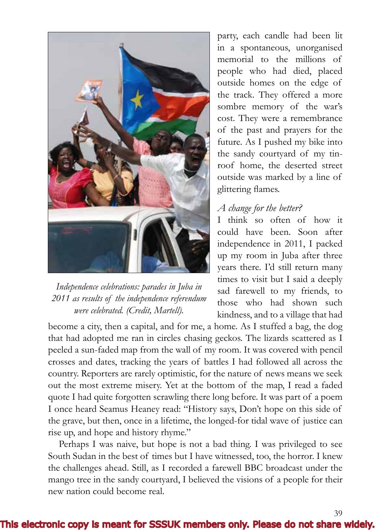

*Independence celebrations: parades in Juba in 2011 as results of the independence referendum were celebrated. (Credit, Martell).*

party, each candle had been lit in a spontaneous, unorganised memorial to the millions of people who had died, placed outside homes on the edge of the track. They offered a more sombre memory of the war's cost. They were a remembrance of the past and prayers for the future. As I pushed my bike into the sandy courtyard of my tinroof home, the deserted street outside was marked by a line of glittering fames.

# *A change for the better?*

I think so often of how it could have been. Soon after independence in 2011, I packed up my room in Juba after three years there. I'd still return many times to visit but I said a deeply sad farewell to my friends, to those who had shown such kindness, and to a village that had

become a city, then a capital, and for me, a home. As I stuffed a bag, the dog that had adopted me ran in circles chasing geckos. The lizards scattered as I peeled a sun-faded map from the wall of my room. It was covered with pencil crosses and dates, tracking the years of battles I had followed all across the country. Reporters are rarely optimistic, for the nature of news means we seek out the most extreme misery. Yet at the bottom of the map, I read a faded quote I had quite forgotten scrawling there long before. It was part of a poem I once heard Seamus Heaney read: "History says, Don't hope on this side of the grave, but then, once in a lifetime, the longed-for tidal wave of justice can rise up, and hope and history rhyme."

Perhaps I was naive, but hope is not a bad thing. I was privileged to see South Sudan in the best of times but I have witnessed, too, the horror. I knew the challenges ahead. Still, as I recorded a farewell BBC broadcast under the mango tree in the sandy courtyard, I believed the visions of a people for their new nation could become real.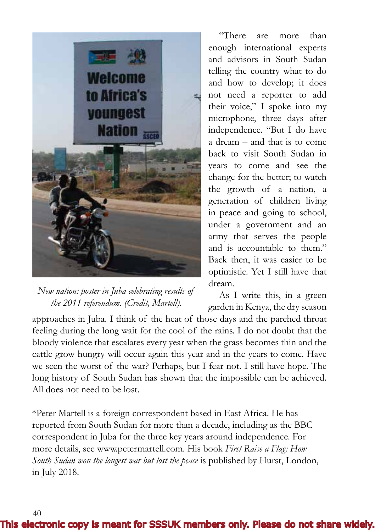

*New nation: poster in Juba celebrating results of the 2011 referendum. (Credit, Martell).*

"There are more than enough international experts and advisors in South Sudan telling the country what to do and how to develop; it does not need a reporter to add their voice," I spoke into my microphone, three days after independence. "But I do have a dream – and that is to come back to visit South Sudan in years to come and see the change for the better; to watch the growth of a nation, a generation of children living in peace and going to school, under a government and an army that serves the people and is accountable to them." Back then, it was easier to be optimistic. Yet I still have that dream.

As I write this, in a green garden in Kenya, the dry season

approaches in Juba. I think of the heat of those days and the parched throat feeling during the long wait for the cool of the rains. I do not doubt that the bloody violence that escalates every year when the grass becomes thin and the cattle grow hungry will occur again this year and in the years to come. Have we seen the worst of the war? Perhaps, but I fear not. I still have hope. The long history of South Sudan has shown that the impossible can be achieved. All does not need to be lost.

\*Peter Martell is a foreign correspondent based in East Africa. He has reported from South Sudan for more than a decade, including as the BBC correspondent in Juba for the three key years around independence. For more details, see www.petermartell.com. His book *First Raise a Flag: How South Sudan won the longest war but lost the peace* is published by Hurst, London, in July 2018.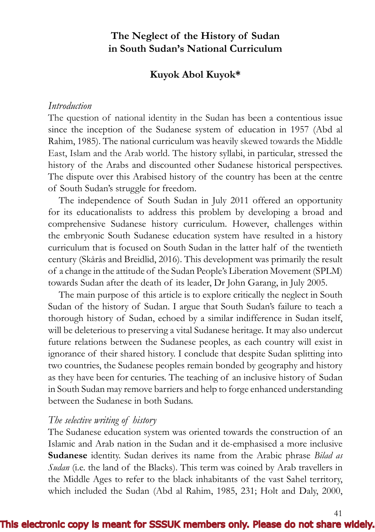# **The Neglect of the History of Sudan in South Sudan's National Curriculum**

#### **Kuyok Abol Kuyok\***

#### *Introduction*

The question of national identity in the Sudan has been a contentious issue since the inception of the Sudanese system of education in 1957 (Abd al Rahim, 1985). The national curriculum was heavily skewed towards the Middle East, Islam and the Arab world. The history syllabi, in particular, stressed the history of the Arabs and discounted other Sudanese historical perspectives. The dispute over this Arabised history of the country has been at the centre of South Sudan's struggle for freedom.

The independence of South Sudan in July 2011 offered an opportunity for its educationalists to address this problem by developing a broad and comprehensive Sudanese history curriculum. However, challenges within the embryonic South Sudanese education system have resulted in a history curriculum that is focused on South Sudan in the latter half of the twentieth century (Skårås and Breidlid, 2016). This development was primarily the result of a change in the attitude of the Sudan People's Liberation Movement (SPLM) towards Sudan after the death of its leader, Dr John Garang, in July 2005.

The main purpose of this article is to explore critically the neglect in South Sudan of the history of Sudan. I argue that South Sudan's failure to teach a thorough history of Sudan, echoed by a similar indifference in Sudan itself, will be deleterious to preserving a vital Sudanese heritage. It may also undercut future relations between the Sudanese peoples, as each country will exist in ignorance of their shared history. I conclude that despite Sudan splitting into two countries, the Sudanese peoples remain bonded by geography and history as they have been for centuries. The teaching of an inclusive history of Sudan in South Sudan may remove barriers and help to forge enhanced understanding between the Sudanese in both Sudans.

#### *The selective writing of history*

The Sudanese education system was oriented towards the construction of an Islamic and Arab nation in the Sudan and it de-emphasised a more inclusive **Sudanese** identity. Sudan derives its name from the Arabic phrase *Bilad as Sudan* (i.e. the land of the Blacks). This term was coined by Arab travellers in the Middle Ages to refer to the black inhabitants of the vast Sahel territory, which included the Sudan (Abd al Rahim, 1985, 231; Holt and Daly, 2000,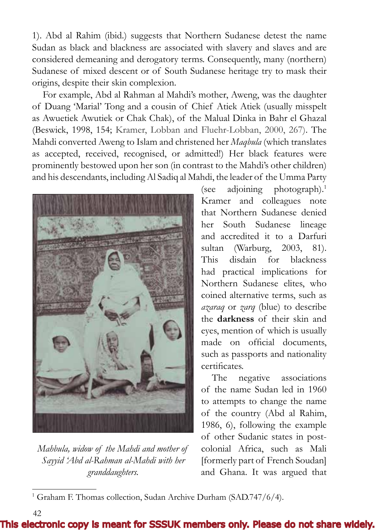1). Abd al Rahim (ibid.) suggests that Northern Sudanese detest the name Sudan as black and blackness are associated with slavery and slaves and are considered demeaning and derogatory terms. Consequently, many (northern) Sudanese of mixed descent or of South Sudanese heritage try to mask their origins, despite their skin complexion.

For example, Abd al Rahman al Mahdi's mother, Aweng, was the daughter of Duang 'Marial' Tong and a cousin of Chief Atiek Atiek (usually misspelt as Awuetiek Awutiek or Chak Chak), of the Malual Dinka in Bahr el Ghazal (Beswick, 1998, 154; Kramer, Lobban and Fluehr-Lobban, 2000, 267). The Mahdi converted Aweng to Islam and christened her *Maqbula* (which translates as accepted, received, recognised, or admitted!) Her black features were prominently bestowed upon her son (in contrast to the Mahdi's other children) and his descendants, including Al Sadiq al Mahdi, the leader of the Umma Party



*Mahbula, widow of the Mahdi and mother of Sayyid 'Abd al-Rahman al-Mahdi with her granddaughters.* 

(see adjoining photograph).<sup>1</sup> Kramer and colleagues note that Northern Sudanese denied her South Sudanese lineage and accredited it to a Darfuri sultan (Warburg, 2003, 81). This disdain for blackness had practical implications for Northern Sudanese elites, who coined alternative terms, such as *azaraq* or *zarq* (blue) to describe the **darkness** of their skin and eyes, mention of which is usually made on official documents, such as passports and nationality certifcates.

The negative associations of the name Sudan led in 1960 to attempts to change the name of the country (Abd al Rahim, 1986, 6), following the example of other Sudanic states in postcolonial Africa, such as Mali [formerly part of French Soudan] and Ghana. It was argued that

<sup>&</sup>lt;sup>1</sup> Graham F. Thomas collection, Sudan Archive Durham (SAD.747/6/4).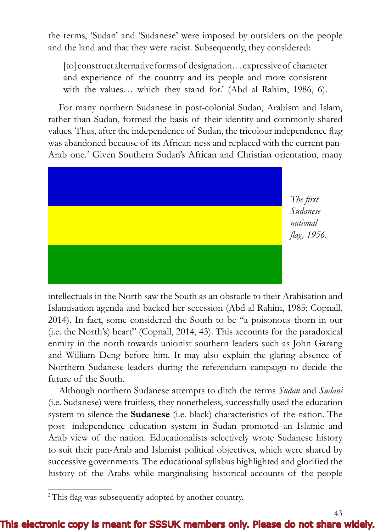the terms, 'Sudan' and 'Sudanese' were imposed by outsiders on the people and the land and that they were racist. Subsequently, they considered:

[to] construct alternative forms of designation… expressive of character and experience of the country and its people and more consistent with the values… which they stand for.' (Abd al Rahim, 1986, 6).

For many northern Sudanese in post-colonial Sudan, Arabism and Islam, rather than Sudan, formed the basis of their identity and commonly shared values. Thus, after the independence of Sudan, the tricolour independence fag was abandoned because of its African-ness and replaced with the current pan-Arab one.<sup>2</sup> Given Southern Sudan's African and Christian orientation, many



*The frst Sudanese national fag, 1956.* 

intellectuals in the North saw the South as an obstacle to their Arabisation and Islamisation agenda and backed her secession (Abd al Rahim, 1985; Copnall, 2014). In fact, some considered the South to be "a poisonous thorn in our (i.e. the North's) heart" (Copnall, 2014, 43). This accounts for the paradoxical enmity in the north towards unionist southern leaders such as John Garang and William Deng before him. It may also explain the glaring absence of Northern Sudanese leaders during the referendum campaign to decide the future of the South.

Although northern Sudanese attempts to ditch the terms *Sudan* and *Sudani*  (i.e. Sudanese) were fruitless, they nonetheless, successfully used the education system to silence the **Sudanese** (i.e. black) characteristics of the nation. The post- independence education system in Sudan promoted an Islamic and Arab view of the nation. Educationalists selectively wrote Sudanese history to suit their pan-Arab and Islamist political objectives, which were shared by successive governments. The educational syllabus highlighted and glorifed the history of the Arabs while marginalising historical accounts of the people

<sup>2</sup>This fag was subsequently adopted by another country.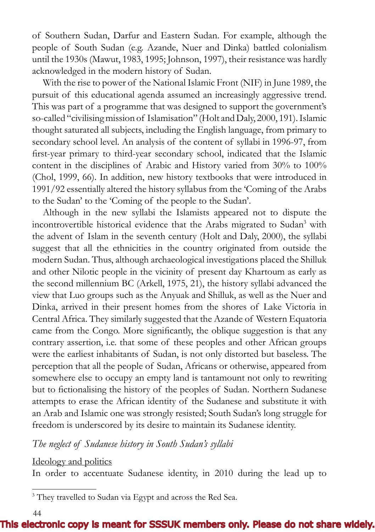of Southern Sudan, Darfur and Eastern Sudan. For example, although the people of South Sudan (e.g. Azande, Nuer and Dinka) battled colonialism until the 1930s (Mawut, 1983, 1995; Johnson, 1997), their resistance was hardly acknowledged in the modern history of Sudan.

With the rise to power of the National Islamic Front (NIF) in June 1989, the pursuit of this educational agenda assumed an increasingly aggressive trend. This was part of a programme that was designed to support the government's so-called "civilising mission of Islamisation" (Holt and Daly, 2000, 191). Islamic thought saturated all subjects, including the English language, from primary to secondary school level. An analysis of the content of syllabi in 1996-97, from frst-year primary to third-year secondary school, indicated that the Islamic content in the disciplines of Arabic and History varied from 30% to 100% (Chol, 1999, 66). In addition, new history textbooks that were introduced in 1991/92 essentially altered the history syllabus from the 'Coming of the Arabs to the Sudan' to the 'Coming of the people to the Sudan'.

Although in the new syllabi the Islamists appeared not to dispute the incontrovertible historical evidence that the Arabs migrated to Sudan<sup>3</sup> with the advent of Islam in the seventh century (Holt and Daly, 2000), the syllabi suggest that all the ethnicities in the country originated from outside the modern Sudan. Thus, although archaeological investigations placed the Shilluk and other Nilotic people in the vicinity of present day Khartoum as early as the second millennium BC (Arkell, 1975, 21), the history syllabi advanced the view that Luo groups such as the Anyuak and Shilluk, as well as the Nuer and Dinka, arrived in their present homes from the shores of Lake Victoria in Central Africa. They similarly suggested that the Azande of Western Equatoria came from the Congo. More signifcantly, the oblique suggestion is that any contrary assertion, i.e. that some of these peoples and other African groups were the earliest inhabitants of Sudan, is not only distorted but baseless. The perception that all the people of Sudan, Africans or otherwise, appeared from somewhere else to occupy an empty land is tantamount not only to rewriting but to fictionalising the history of the peoples of Sudan. Northern Sudanese attempts to erase the African identity of the Sudanese and substitute it with an Arab and Islamic one was strongly resisted; South Sudan's long struggle for freedom is underscored by its desire to maintain its Sudanese identity.

*The neglect of Sudanese history in South Sudan's syllabi*

Ideology and politics

In order to accentuate Sudanese identity, in 2010 during the lead up to

<sup>&</sup>lt;sup>3</sup> They travelled to Sudan via Egypt and across the Red Sea.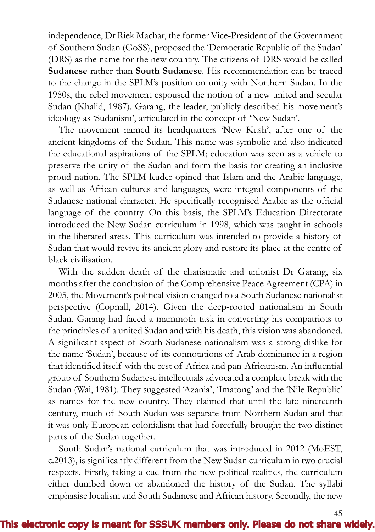independence, Dr Riek Machar, the former Vice-President of the Government of Southern Sudan (GoSS), proposed the 'Democratic Republic of the Sudan' (DRS) as the name for the new country. The citizens of DRS would be called **Sudanese** rather than **South Sudanese***.* His recommendation can be traced to the change in the SPLM's position on unity with Northern Sudan. In the 1980s, the rebel movement espoused the notion of a new united and secular Sudan (Khalid, 1987). Garang, the leader, publicly described his movement's ideology as 'Sudanism', articulated in the concept of 'New Sudan'.

The movement named its headquarters 'New Kush', after one of the ancient kingdoms of the Sudan. This name was symbolic and also indicated the educational aspirations of the SPLM; education was seen as a vehicle to preserve the unity of the Sudan and form the basis for creating an inclusive proud nation. The SPLM leader opined that Islam and the Arabic language, as well as African cultures and languages, were integral components of the Sudanese national character. He specifically recognised Arabic as the official language of the country. On this basis, the SPLM's Education Directorate introduced the New Sudan curriculum in 1998, which was taught in schools in the liberated areas. This curriculum was intended to provide a history of Sudan that would revive its ancient glory and restore its place at the centre of black civilisation.

With the sudden death of the charismatic and unionist Dr Garang, six months after the conclusion of the Comprehensive Peace Agreement (CPA) in 2005, the Movement's political vision changed to a South Sudanese nationalist perspective (Copnall, 2014). Given the deep-rooted nationalism in South Sudan, Garang had faced a mammoth task in converting his compatriots to the principles of a united Sudan and with his death, this vision was abandoned. A signifcant aspect of South Sudanese nationalism was a strong dislike for the name 'Sudan', because of its connotations of Arab dominance in a region that identifed itself with the rest of Africa and pan-Africanism. An infuential group of Southern Sudanese intellectuals advocated a complete break with the Sudan (Wai, 1981). They suggested 'Azania', 'Imatong' and the 'Nile Republic' as names for the new country. They claimed that until the late nineteenth century, much of South Sudan was separate from Northern Sudan and that it was only European colonialism that had forcefully brought the two distinct parts of the Sudan together.

South Sudan's national curriculum that was introduced in 2012 (MoEST, c.2013), is signifcantly different from the New Sudan curriculum in two crucial respects. Firstly, taking a cue from the new political realities, the curriculum either dumbed down or abandoned the history of the Sudan. The syllabi emphasise localism and South Sudanese and African history. Secondly, the new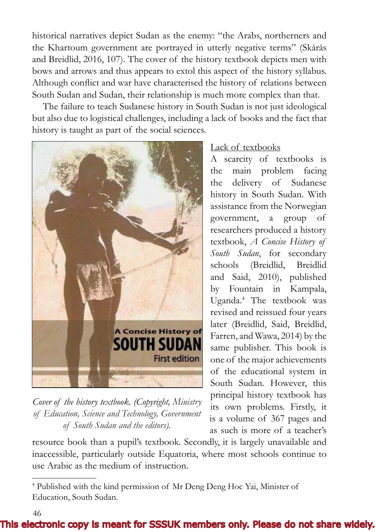historical narratives depict Sudan as the enemy: "the Arabs, northerners and the Khartoum government are portrayed in utterly negative terms" (Skårås and Breidlid, 2016, 107). The cover of the history textbook depicts men with bows and arrows and thus appears to extol this aspect of the history syllabus. Although confict and war have characterised the history of relations between South Sudan and Sudan, their relationship is much more complex than that.

The failure to teach Sudanese history in South Sudan is not just ideological but also due to logistical challenges, including a lack of books and the fact that history is taught as part of the social sciences.



*Cover of the history textbook. (Copyright, Ministry of Education, Science and Technology, Government of South Sudan and the editors).* 

#### Lack of textbooks

A scarcity of textbooks is the main problem facing the delivery of Sudanese history in South Sudan. With assistance from the Norwegian government, a group of researchers produced a history textbook, *A Concise History of South Sudan*, for secondary schools (Breidlid, Breidlid and Said, 2010), published by Fountain in Kampala, Uganda.4 The textbook was revised and reissued four years later (Breidlid, Said, Breidlid, Farren, and Wawa, 2014) by the same publisher. This book is one of the major achievements of the educational system in South Sudan. However, this principal history textbook has its own problems. Firstly, it is a volume of 367 pages and as such is more of a teacher's

resource book than a pupil's textbook. Secondly, it is largely unavailable and inaccessible, particularly outside Equatoria, where most schools continue to use Arabic as the medium of instruction.

<sup>4</sup> Published with the kind permission of Mr Deng Deng Hoc Yai, Minister of Education, South Sudan.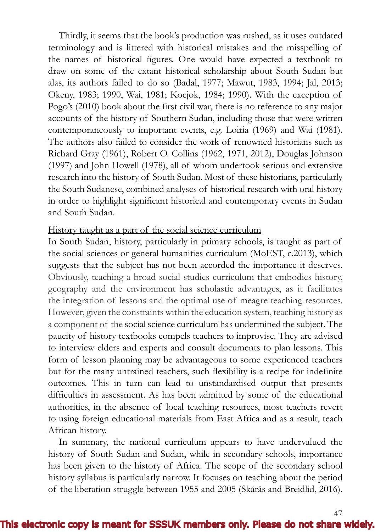Thirdly, it seems that the book's production was rushed, as it uses outdated terminology and is littered with historical mistakes and the misspelling of the names of historical fgures. One would have expected a textbook to draw on some of the extant historical scholarship about South Sudan but alas, its authors failed to do so (Badal, 1977; Mawut, 1983, 1994; Jal, 2013; Okeny, 1983; 1990, Wai, 1981; Kocjok, 1984; 1990). With the exception of Pogo's (2010) book about the frst civil war, there is no reference to any major accounts of the history of Southern Sudan, including those that were written contemporaneously to important events, e.g. Loiria (1969) and Wai (1981). The authors also failed to consider the work of renowned historians such as Richard Gray (1961), Robert O. Collins (1962, 1971, 2012), Douglas Johnson (1997) and John Howell (1978), all of whom undertook serious and extensive research into the history of South Sudan. Most of these historians, particularly the South Sudanese, combined analyses of historical research with oral history in order to highlight signifcant historical and contemporary events in Sudan and South Sudan.

### History taught as a part of the social science curriculum

In South Sudan, history, particularly in primary schools, is taught as part of the social sciences or general humanities curriculum (MoEST, c.2013), which suggests that the subject has not been accorded the importance it deserves. Obviously, teaching a broad social studies curriculum that embodies history, geography and the environment has scholastic advantages, as it facilitates the integration of lessons and the optimal use of meagre teaching resources. However, given the constraints within the education system, teaching history as a component of the social science curriculum has undermined the subject. The paucity of history textbooks compels teachers to improvise. They are advised to interview elders and experts and consult documents to plan lessons. This form of lesson planning may be advantageous to some experienced teachers but for the many untrained teachers, such fexibility is a recipe for indefnite outcomes. This in turn can lead to unstandardised output that presents diffculties in assessment. As has been admitted by some of the educational authorities, in the absence of local teaching resources, most teachers revert to using foreign educational materials from East Africa and as a result, teach African history.

In summary, the national curriculum appears to have undervalued the history of South Sudan and Sudan, while in secondary schools, importance has been given to the history of Africa. The scope of the secondary school history syllabus is particularly narrow. It focuses on teaching about the period of the liberation struggle between 1955 and 2005 (Skårås and Breidlid, 2016).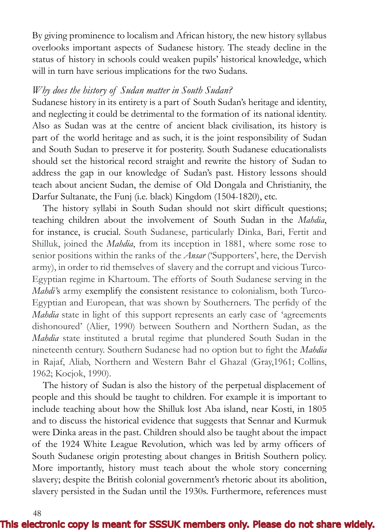By giving prominence to localism and African history, the new history syllabus overlooks important aspects of Sudanese history. The steady decline in the status of history in schools could weaken pupils' historical knowledge, which will in turn have serious implications for the two Sudans.

#### *Why does the history of Sudan matter in South Sudan?*

Sudanese history in its entirety is a part of South Sudan's heritage and identity, and neglecting it could be detrimental to the formation of its national identity. Also as Sudan was at the centre of ancient black civilisation, its history is part of the world heritage and as such, it is the joint responsibility of Sudan and South Sudan to preserve it for posterity. South Sudanese educationalists should set the historical record straight and rewrite the history of Sudan to address the gap in our knowledge of Sudan's past. History lessons should teach about ancient Sudan, the demise of Old Dongala and Christianity, the Darfur Sultanate, the Funj (i.e. black) Kingdom (1504-1820), etc.

The history syllabi in South Sudan should not skirt difficult questions; teaching children about the involvement of South Sudan in the *Mahdia*, for instance, is crucial. South Sudanese, particularly Dinka, Bari, Fertit and Shilluk, joined the *Mahdia*, from its inception in 1881, where some rose to senior positions within the ranks of the *Ansar* ('Supporters', here, the Dervish army), in order to rid themselves of slavery and the corrupt and vicious Turco-Egyptian regime in Khartoum. The efforts of South Sudanese serving in the *Mahdi'*s army exemplify the consistent resistance to colonialism, both Turco-Egyptian and European, that was shown by Southerners. The perfdy of the *Mahdia* state in light of this support represents an early case of 'agreements dishonoured' (Alier, 1990) between Southern and Northern Sudan, as the *Mahdia* state instituted a brutal regime that plundered South Sudan in the nineteenth century. Southern Sudanese had no option but to fght the *Mahdia* in Rajaf, Aliab, Northern and Western Bahr el Ghazal (Gray,1961; Collins, 1962; Kocjok, 1990).

The history of Sudan is also the history of the perpetual displacement of people and this should be taught to children. For example it is important to include teaching about how the Shilluk lost Aba island, near Kosti, in 1805 and to discuss the historical evidence that suggests that Sennar and Kurmuk were Dinka areas in the past. Children should also be taught about the impact of the 1924 White League Revolution, which was led by army offcers of South Sudanese origin protesting about changes in British Southern policy. More importantly, history must teach about the whole story concerning slavery; despite the British colonial government's rhetoric about its abolition, slavery persisted in the Sudan until the 1930s. Furthermore, references must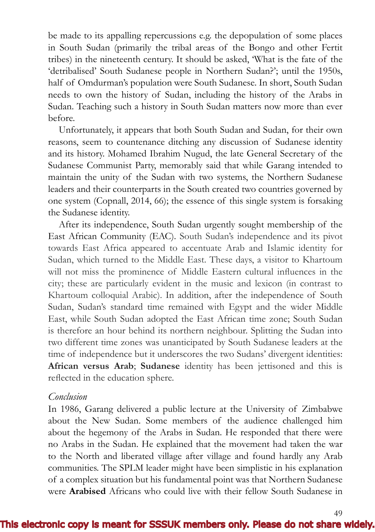be made to its appalling repercussions e.g. the depopulation of some places in South Sudan (primarily the tribal areas of the Bongo and other Fertit tribes) in the nineteenth century. It should be asked, 'What is the fate of the 'detribalised' South Sudanese people in Northern Sudan?'; until the 1950s, half of Omdurman's population were South Sudanese. In short, South Sudan needs to own the history of Sudan, including the history of the Arabs in Sudan. Teaching such a history in South Sudan matters now more than ever before.

Unfortunately, it appears that both South Sudan and Sudan, for their own reasons, seem to countenance ditching any discussion of Sudanese identity and its history. Mohamed Ibrahim Nugud, the late General Secretary of the Sudanese Communist Party, memorably said that while Garang intended to maintain the unity of the Sudan with two systems, the Northern Sudanese leaders and their counterparts in the South created two countries governed by one system (Copnall, 2014, 66); the essence of this single system is forsaking the Sudanese identity.

After its independence, South Sudan urgently sought membership of the East African Community (EAC). South Sudan's independence and its pivot towards East Africa appeared to accentuate Arab and Islamic identity for Sudan, which turned to the Middle East. These days, a visitor to Khartoum will not miss the prominence of Middle Eastern cultural infuences in the city; these are particularly evident in the music and lexicon (in contrast to Khartoum colloquial Arabic). In addition, after the independence of South Sudan, Sudan's standard time remained with Egypt and the wider Middle East, while South Sudan adopted the East African time zone; South Sudan is therefore an hour behind its northern neighbour. Splitting the Sudan into two different time zones was unanticipated by South Sudanese leaders at the time of independence but it underscores the two Sudans' divergent identities: **African versus Arab**; **Sudanese** identity has been jettisoned and this is refected in the education sphere.

#### *Conclusion*

In 1986, Garang delivered a public lecture at the University of Zimbabwe about the New Sudan. Some members of the audience challenged him about the hegemony of the Arabs in Sudan. He responded that there were no Arabs in the Sudan. He explained that the movement had taken the war to the North and liberated village after village and found hardly any Arab communities. The SPLM leader might have been simplistic in his explanation of a complex situation but his fundamental point was that Northern Sudanese were **Arabised** Africans who could live with their fellow South Sudanese in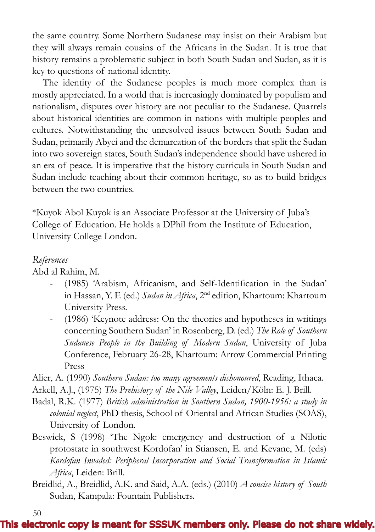the same country. Some Northern Sudanese may insist on their Arabism but they will always remain cousins of the Africans in the Sudan. It is true that history remains a problematic subject in both South Sudan and Sudan, as it is key to questions of national identity.

The identity of the Sudanese peoples is much more complex than is mostly appreciated. In a world that is increasingly dominated by populism and nationalism, disputes over history are not peculiar to the Sudanese. Quarrels about historical identities are common in nations with multiple peoples and cultures. Notwithstanding the unresolved issues between South Sudan and Sudan, primarily Abyei and the demarcation of the borders that split the Sudan into two sovereign states, South Sudan's independence should have ushered in an era of peace. It is imperative that the history curricula in South Sudan and Sudan include teaching about their common heritage, so as to build bridges between the two countries.

\*Kuyok Abol Kuyok is an Associate Professor at the University of Juba's College of Education. He holds a DPhil from the Institute of Education, University College London.

#### *References*

Abd al Rahim, M.

- (1985) 'Arabism, Africanism, and Self-Identifcation in the Sudan' in Hassan, Y. F. (ed.) *Sudan in Africa*, 2nd edition, Khartoum: Khartoum University Press.
- (1986) 'Keynote address: On the theories and hypotheses in writings concerning Southern Sudan' in Rosenberg, D. (ed.) *The Role of Southern Sudanese People in the Building of Modern Sudan*, University of Juba Conference, February 26-28, Khartoum: Arrow Commercial Printing Press

Alier, A. (1990) *Southern Sudan: too many agreements dishonoured*, Reading, Ithaca.

Arkell, A.J., (1975) *The Prehistory of the Nile Valley*, Leiden/Köln: E. J. Brill.

- Badal, R.K. (1977) *British administration in Southern Sudan, 1900-1956: a study in colonial neglect*, PhD thesis, School of Oriental and African Studies (SOAS), University of London.
- Beswick, S (1998) 'The Ngok: emergency and destruction of a Nilotic protostate in southwest Kordofan' in Stiansen, E. and Kevane, M. (eds) *Kordofan Invaded: Peripheral Incorporation and Social Transformation in Islamic Africa*, Leiden: Brill.
- Breidlid, A., Breidlid, A.K. and Said, A.A. (eds.) (2010) *A concise history of South*  Sudan, Kampala: Fountain Publishers.

50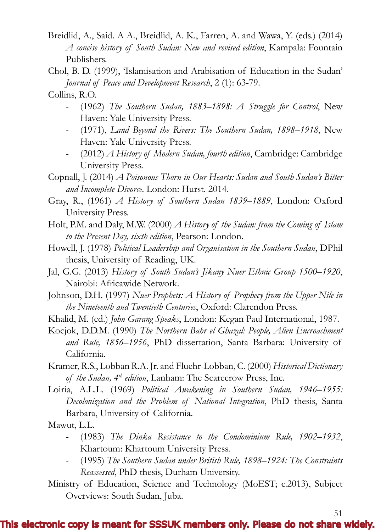- Breidlid, A., Said. A A., Breidlid, A. K., Farren, A. and Wawa, Y. (eds.) (2014) *A concise history of South Sudan: New and revised edition*, Kampala: Fountain Publishers.
- Chol, B. D. (1999), 'Islamisation and Arabisation of Education in the Sudan' *Journal of Peace and Development Research*, 2 (1): 63-79.

#### Collins, R.O.

- (1962) *The Southern Sudan, 1883–1898: A Struggle for Control*, New Haven: Yale University Press.
- (1971), *Land Beyond the Rivers: The Southern Sudan, 1898–1918*, New Haven: Yale University Press.
- (2012) *A History of Modern Sudan, fourth edition*, Cambridge: Cambridge University Press.
- Copnall, J. (2014) *A Poisonous Thorn in Our Hearts: Sudan and South Sudan's Bitter and Incomplete Divorce*. London: Hurst. 2014.
- Gray, R., (1961) *A History of Southern Sudan 1839–1889*, London: Oxford University Press.
- Holt, P.M. and Daly, M.W. (2000) *A History of the Sudan: from the Coming of Islam to the Present Day, sixth edition*, Pearson: London.
- Howell, J. (1978) *Political Leadership and Organisation in the Southern Sudan*, DPhil thesis, University of Reading, UK.
- Jal, G.G. (2013) *History of South Sudan's Jikany Nuer Ethnic Group 1500–1920*, Nairobi: Africawide Network.
- Johnson, D.H. (1997) *Nuer Prophets: A History of Prophecy from the Upper Nile in the Nineteenth and Twentieth Centuries*, Oxford: Clarendon Press.
- Khalid, M. (ed.) *John Garang Speaks*, London: Kegan Paul International, 1987.
- Kocjok, D.D.M. (1990) *The Northern Bahr el Ghazal: People, Alien Encroachment and Rule, 1856–1956*, PhD dissertation, Santa Barbara: University of California.
- Kramer, R.S., Lobban R.A. Jr. and Fluehr-Lobban, C. (2000) *Historical Dictionary of the Sudan, 4th edition*, Lanham: The Scarecrow Press, Inc.
- Loiria, A.L.L. (1969) *Political Awakening in Southern Sudan, 1946–1955: Decolonization and the Problem of National Integration*, PhD thesis, Santa Barbara, University of California.

Mawut, L.L.

- (1983) *The Dinka Resistance to the Condominium Rule, 1902–1932*, Khartoum: Khartoum University Press.
- (1995) *The Southern Sudan under British Rule, 1898–1924: The Constraints Reassessed*, PhD thesis, Durham University.
- Ministry of Education, Science and Technology (MoEST; c.2013), Subject Overviews: South Sudan, Juba.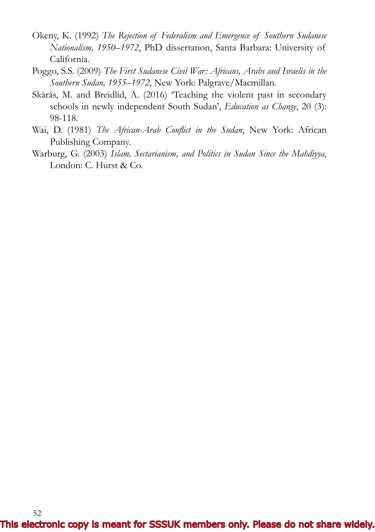- Okeny, K. (1992) *The Rejection of Federalism and Emergence of Southern Sudanese Nationalism, 1950–1972*, PhD dissertation, Santa Barbara: University of California.
- Poggo, S.S. (2009) *The First Sudanese Civil War: Africans, Arabs and Israelis in the Southern Sudan, 1955–1972*, New York: Palgrave/Macmillan.
- Skårås, M. and Breidlid, A. (2016) 'Teaching the violent past in secondary schools in newly independent South Sudan', *Education as Change*, 20 (3): 98-118.
- Wai, D. (1981) *The African-Arab Confict in the Sudan*, New York: African Publishing Company.
- Warburg, G. (2003) *Islam, Sectarianism, and Politics in Sudan Since the Mahdiyya*, London: C. Hurst & Co.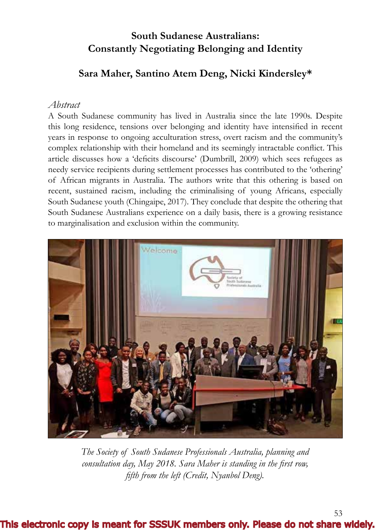# **South Sudanese Australians: Constantly Negotiating Belonging and Identity**

# **Sara Maher, Santino Atem Deng, Nicki Kindersley\***

#### *Abstract*

A South Sudanese community has lived in Australia since the late 1990s. Despite this long residence, tensions over belonging and identity have intensifed in recent years in response to ongoing acculturation stress, overt racism and the community's complex relationship with their homeland and its seemingly intractable confict. This article discusses how a 'defcits discourse' (Dumbrill, 2009) which sees refugees as needy service recipients during settlement processes has contributed to the 'othering' of African migrants in Australia. The authors write that this othering is based on recent, sustained racism, including the criminalising of young Africans, especially South Sudanese youth (Chingaipe, 2017). They conclude that despite the othering that South Sudanese Australians experience on a daily basis, there is a growing resistance to marginalisation and exclusion within the community.



*The Society of South Sudanese Professionals Australia, planning and consultation day, May 2018. Sara Maher is standing in the frst row, ffth from the left (Credit, Nyanbol Deng).*

53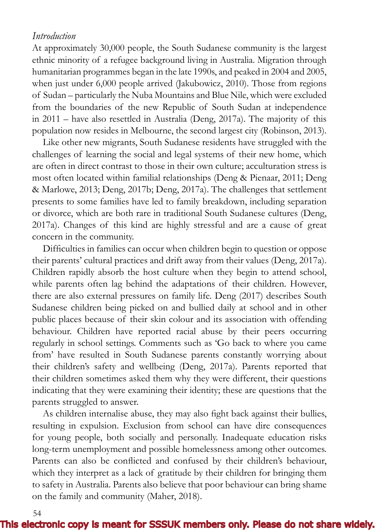#### *Introduction*

At approximately 30,000 people, the South Sudanese community is the largest ethnic minority of a refugee background living in Australia. Migration through humanitarian programmes began in the late 1990s, and peaked in 2004 and 2005, when just under 6,000 people arrived (Jakubowicz, 2010). Those from regions of Sudan – particularly the Nuba Mountains and Blue Nile, which were excluded from the boundaries of the new Republic of South Sudan at independence in 2011 – have also resettled in Australia (Deng, 2017a). The majority of this population now resides in Melbourne, the second largest city (Robinson, 2013).

Like other new migrants, South Sudanese residents have struggled with the challenges of learning the social and legal systems of their new home, which are often in direct contrast to those in their own culture; acculturation stress is most often located within familial relationships (Deng & Pienaar, 2011; Deng & Marlowe, 2013; Deng, 2017b; Deng, 2017a). The challenges that settlement presents to some families have led to family breakdown, including separation or divorce, which are both rare in traditional South Sudanese cultures (Deng, 2017a). Changes of this kind are highly stressful and are a cause of great concern in the community.

Diffculties in families can occur when children begin to question or oppose their parents' cultural practices and drift away from their values (Deng, 2017a). Children rapidly absorb the host culture when they begin to attend school, while parents often lag behind the adaptations of their children. However, there are also external pressures on family life. Deng (2017) describes South Sudanese children being picked on and bullied daily at school and in other public places because of their skin colour and its association with offending behaviour. Children have reported racial abuse by their peers occurring regularly in school settings. Comments such as 'Go back to where you came from' have resulted in South Sudanese parents constantly worrying about their children's safety and wellbeing (Deng, 2017a). Parents reported that their children sometimes asked them why they were different, their questions indicating that they were examining their identity; these are questions that the parents struggled to answer.

As children internalise abuse, they may also fght back against their bullies, resulting in expulsion. Exclusion from school can have dire consequences for young people, both socially and personally. Inadequate education risks long-term unemployment and possible homelessness among other outcomes. Parents can also be conficted and confused by their children's behaviour, which they interpret as a lack of gratitude by their children for bringing them to safety in Australia. Parents also believe that poor behaviour can bring shame on the family and community (Maher, 2018).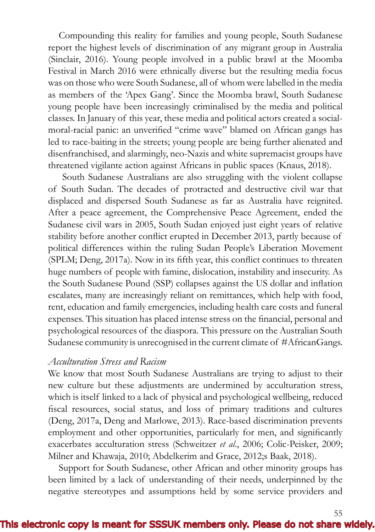Compounding this reality for families and young people, South Sudanese report the highest levels of discrimination of any migrant group in Australia (Sinclair, 2016). Young people involved in a public brawl at the Moomba Festival in March 2016 were ethnically diverse but the resulting media focus was on those who were South Sudanese, all of whom were labelled in the media as members of the 'Apex Gang'. Since the Moomba brawl, South Sudanese young people have been increasingly criminalised by the media and political classes. In January of this year, these media and political actors created a socialmoral-racial panic: an unverifed "crime wave" blamed on African gangs has led to race-baiting in the streets; young people are being further alienated and disenfranchised, and alarmingly, neo-Nazis and white supremacist groups have threatened vigilante action against Africans in public spaces (Knaus, 2018).

 South Sudanese Australians are also struggling with the violent collapse of South Sudan. The decades of protracted and destructive civil war that displaced and dispersed South Sudanese as far as Australia have reignited. After a peace agreement, the Comprehensive Peace Agreement, ended the Sudanese civil wars in 2005, South Sudan enjoyed just eight years of relative stability before another confict erupted in December 2013, partly because of political differences within the ruling Sudan People's Liberation Movement (SPLM; Deng, 2017a). Now in its ffth year, this confict continues to threaten huge numbers of people with famine, dislocation, instability and insecurity. As the South Sudanese Pound (SSP) collapses against the US dollar and infation escalates, many are increasingly reliant on remittances, which help with food, rent, education and family emergencies, including health care costs and funeral expenses. This situation has placed intense stress on the fnancial, personal and psychological resources of the diaspora. This pressure on the Australian South Sudanese community is unrecognised in the current climate of #AfricanGangs.

# *Acculturation Stress and Racism*

We know that most South Sudanese Australians are trying to adjust to their new culture but these adjustments are undermined by acculturation stress, which is itself linked to a lack of physical and psychological wellbeing, reduced fscal resources, social status, and loss of primary traditions and cultures (Deng, 2017a, Deng and Marlowe, 2013). Race-based discrimination prevents employment and other opportunities, particularly for men, and signifcantly exacerbates acculturation stress (Schweitzer *et al*., 2006; Colic-Peisker, 2009; Milner and Khawaja, 2010; Abdelkerim and Grace, 2012;s Baak, 2018).

Support for South Sudanese, other African and other minority groups has been limited by a lack of understanding of their needs, underpinned by the negative stereotypes and assumptions held by some service providers and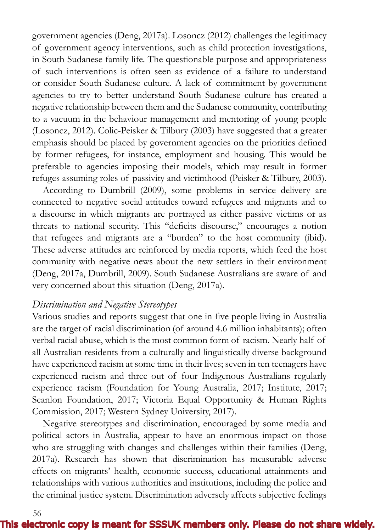government agencies (Deng, 2017a). Losoncz (2012) challenges the legitimacy of government agency interventions, such as child protection investigations, in South Sudanese family life. The questionable purpose and appropriateness of such interventions is often seen as evidence of a failure to understand or consider South Sudanese culture. A lack of commitment by government agencies to try to better understand South Sudanese culture has created a negative relationship between them and the Sudanese community, contributing to a vacuum in the behaviour management and mentoring of young people (Losoncz, 2012). Colic-Peisker & Tilbury (2003) have suggested that a greater emphasis should be placed by government agencies on the priorities defned by former refugees, for instance, employment and housing. This would be preferable to agencies imposing their models, which may result in former refuges assuming roles of passivity and victimhood (Peisker & Tilbury, 2003).

According to Dumbrill (2009), some problems in service delivery are connected to negative social attitudes toward refugees and migrants and to a discourse in which migrants are portrayed as either passive victims or as threats to national security. This "deficits discourse," encourages a notion that refugees and migrants are a "burden" to the host community (ibid). These adverse attitudes are reinforced by media reports, which feed the host community with negative news about the new settlers in their environment (Deng, 2017a, Dumbrill, 2009). South Sudanese Australians are aware of and very concerned about this situation (Deng, 2017a).

#### *Discrimination and Negative Stereotypes*

Various studies and reports suggest that one in fve people living in Australia are the target of racial discrimination (of around 4.6 million inhabitants); often verbal racial abuse, which is the most common form of racism. Nearly half of all Australian residents from a culturally and linguistically diverse background have experienced racism at some time in their lives; seven in ten teenagers have experienced racism and three out of four Indigenous Australians regularly experience racism (Foundation for Young Australia, 2017; Institute, 2017; Scanlon Foundation, 2017; Victoria Equal Opportunity & Human Rights Commission, 2017; Western Sydney University, 2017).

Negative stereotypes and discrimination, encouraged by some media and political actors in Australia, appear to have an enormous impact on those who are struggling with changes and challenges within their families (Deng, 2017a). Research has shown that discrimination has measurable adverse effects on migrants' health, economic success, educational attainments and relationships with various authorities and institutions, including the police and the criminal justice system. Discrimination adversely affects subjective feelings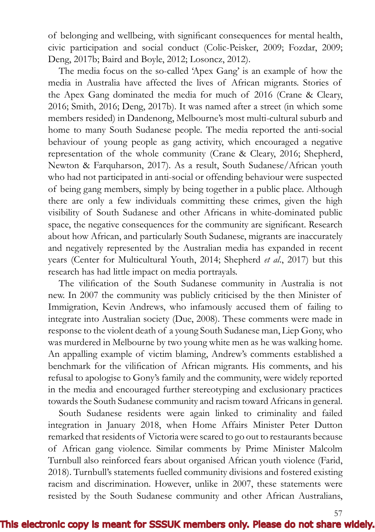of belonging and wellbeing, with signifcant consequences for mental health, civic participation and social conduct (Colic-Peisker, 2009; Fozdar, 2009; Deng, 2017b; Baird and Boyle, 2012; Losoncz, 2012).

The media focus on the so-called 'Apex Gang' is an example of how the media in Australia have affected the lives of African migrants. Stories of the Apex Gang dominated the media for much of 2016 (Crane & Cleary, 2016; Smith, 2016; Deng, 2017b). It was named after a street (in which some members resided) in Dandenong, Melbourne's most multi-cultural suburb and home to many South Sudanese people. The media reported the anti-social behaviour of young people as gang activity, which encouraged a negative representation of the whole community (Crane & Cleary, 2016; Shepherd, Newton & Farquharson, 2017). As a result, South Sudanese/African youth who had not participated in anti-social or offending behaviour were suspected of being gang members, simply by being together in a public place. Although there are only a few individuals committing these crimes, given the high visibility of South Sudanese and other Africans in white-dominated public space, the negative consequences for the community are signifcant. Research about how African, and particularly South Sudanese, migrants are inaccurately and negatively represented by the Australian media has expanded in recent years (Center for Multicultural Youth, 2014; Shepherd *et al*., 2017) but this research has had little impact on media portrayals.

The vilifcation of the South Sudanese community in Australia is not new. In 2007 the community was publicly criticised by the then Minister of Immigration, Kevin Andrews, who infamously accused them of failing to integrate into Australian society (Due, 2008). These comments were made in response to the violent death of a young South Sudanese man, Liep Gony, who was murdered in Melbourne by two young white men as he was walking home. An appalling example of victim blaming, Andrew's comments established a benchmark for the vilifcation of African migrants. His comments, and his refusal to apologise to Gony's family and the community, were widely reported in the media and encouraged further stereotyping and exclusionary practices towards the South Sudanese community and racism toward Africans in general.

South Sudanese residents were again linked to criminality and failed integration in January 2018, when Home Affairs Minister Peter Dutton remarked that residents of Victoria were scared to go out to restaurants because of African gang violence. Similar comments by Prime Minister Malcolm Turnbull also reinforced fears about organised African youth violence (Farid, 2018). Turnbull's statements fuelled community divisions and fostered existing racism and discrimination. However, unlike in 2007, these statements were resisted by the South Sudanese community and other African Australians,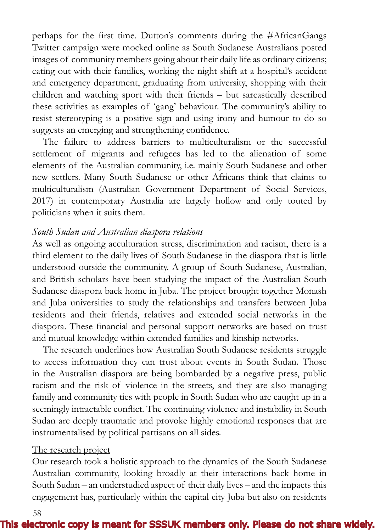perhaps for the frst time. Dutton's comments during the #AfricanGangs Twitter campaign were mocked online as South Sudanese Australians posted images of community members going about their daily life as ordinary citizens; eating out with their families, working the night shift at a hospital's accident and emergency department, graduating from university, shopping with their children and watching sport with their friends – but sarcastically described these activities as examples of 'gang' behaviour. The community's ability to resist stereotyping is a positive sign and using irony and humour to do so suggests an emerging and strengthening confdence.

The failure to address barriers to multiculturalism or the successful settlement of migrants and refugees has led to the alienation of some elements of the Australian community, i.e. mainly South Sudanese and other new settlers. Many South Sudanese or other Africans think that claims to multiculturalism (Australian Government Department of Social Services, 2017) in contemporary Australia are largely hollow and only touted by politicians when it suits them.

#### *South Sudan and Australian diaspora relations*

As well as ongoing acculturation stress, discrimination and racism, there is a third element to the daily lives of South Sudanese in the diaspora that is little understood outside the community. A group of South Sudanese, Australian, and British scholars have been studying the impact of the Australian South Sudanese diaspora back home in Juba. The project brought together Monash and Juba universities to study the relationships and transfers between Juba residents and their friends, relatives and extended social networks in the diaspora. These fnancial and personal support networks are based on trust and mutual knowledge within extended families and kinship networks.

The research underlines how Australian South Sudanese residents struggle to access information they can trust about events in South Sudan. Those in the Australian diaspora are being bombarded by a negative press, public racism and the risk of violence in the streets, and they are also managing family and community ties with people in South Sudan who are caught up in a seemingly intractable confict. The continuing violence and instability in South Sudan are deeply traumatic and provoke highly emotional responses that are instrumentalised by political partisans on all sides.

#### The research project

Our research took a holistic approach to the dynamics of the South Sudanese Australian community, looking broadly at their interactions back home in South Sudan – an understudied aspect of their daily lives – and the impacts this engagement has, particularly within the capital city Juba but also on residents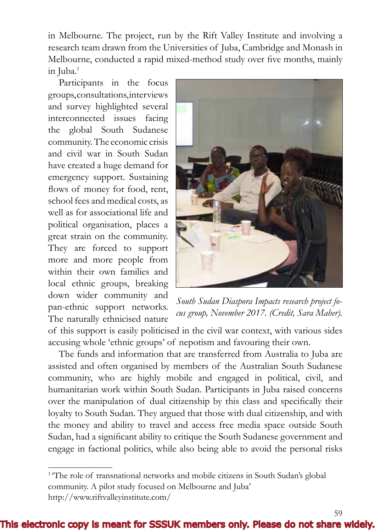in Melbourne. The project, run by the Rift Valley Institute and involving a research team drawn from the Universities of Juba, Cambridge and Monash in Melbourne, conducted a rapid mixed-method study over fve months, mainly in Juba.1

Participants in the focus groups, consultations, interviews and survey highlighted several interconnected issues facing the global South Sudanese community. The economic crisis and civil war in South Sudan have created a huge demand for emergency support. Sustaining flows of money for food, rent, school fees and medical costs, as well as for associational life and political organisation, places a great strain on the community. They are forced to support more and more people from within their own families and local ethnic groups, breaking down wider community and pan-ethnic support networks. The naturally ethnicised nature



*South Sudan Diaspora Impacts research project focus group, November 2017. (Credit, Sara Maher).*

of this support is easily politicised in the civil war context, with various sides accusing whole 'ethnic groups' of nepotism and favouring their own.

The funds and information that are transferred from Australia to Juba are assisted and often organised by members of the Australian South Sudanese community, who are highly mobile and engaged in political, civil, and humanitarian work within South Sudan. Participants in Juba raised concerns over the manipulation of dual citizenship by this class and specifcally their loyalty to South Sudan. They argued that those with dual citizenship, and with the money and ability to travel and access free media space outside South Sudan, had a signifcant ability to critique the South Sudanese government and engage in factional politics, while also being able to avoid the personal risks

<sup>&</sup>lt;sup>1</sup> The role of transnational networks and mobile citizens in South Sudan's global community. A pilot study focused on Melbourne and Juba' http://www.riftvalleyinstitute.com/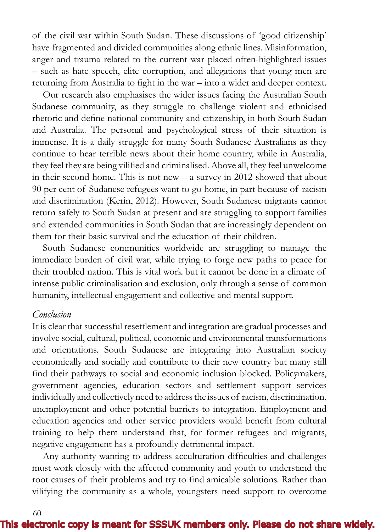of the civil war within South Sudan. These discussions of 'good citizenship' have fragmented and divided communities along ethnic lines. Misinformation, anger and trauma related to the current war placed often-highlighted issues – such as hate speech, elite corruption, and allegations that young men are returning from Australia to fght in the war – into a wider and deeper context.

Our research also emphasises the wider issues facing the Australian South Sudanese community, as they struggle to challenge violent and ethnicised rhetoric and defne national community and citizenship, in both South Sudan and Australia. The personal and psychological stress of their situation is immense. It is a daily struggle for many South Sudanese Australians as they continue to hear terrible news about their home country, while in Australia, they feel they are being vilifed and criminalised. Above all, they feel unwelcome in their second home. This is not new – a survey in 2012 showed that about 90 per cent of Sudanese refugees want to go home, in part because of racism and discrimination (Kerin, 2012). However, South Sudanese migrants cannot return safely to South Sudan at present and are struggling to support families and extended communities in South Sudan that are increasingly dependent on them for their basic survival and the education of their children.

South Sudanese communities worldwide are struggling to manage the immediate burden of civil war, while trying to forge new paths to peace for their troubled nation. This is vital work but it cannot be done in a climate of intense public criminalisation and exclusion, only through a sense of common humanity, intellectual engagement and collective and mental support.

#### *Conclusion*

It is clear that successful resettlement and integration are gradual processes and involve social, cultural, political, economic and environmental transformations and orientations. South Sudanese are integrating into Australian society economically and socially and contribute to their new country but many still fnd their pathways to social and economic inclusion blocked. Policymakers, government agencies, education sectors and settlement support services individually and collectively need to address the issues of racism, discrimination, unemployment and other potential barriers to integration. Employment and education agencies and other service providers would beneft from cultural training to help them understand that, for former refugees and migrants, negative engagement has a profoundly detrimental impact.

Any authority wanting to address acculturation diffculties and challenges must work closely with the affected community and youth to understand the root causes of their problems and try to fnd amicable solutions. Rather than vilifying the community as a whole, youngsters need support to overcome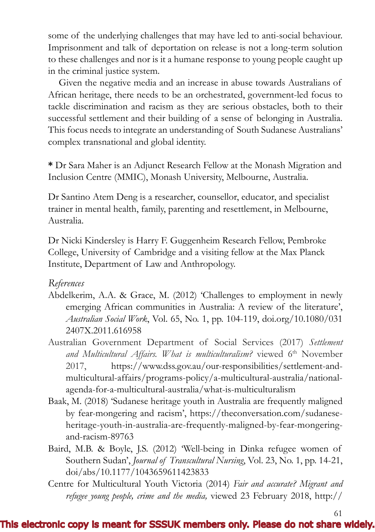some of the underlying challenges that may have led to anti-social behaviour. Imprisonment and talk of deportation on release is not a long-term solution to these challenges and nor is it a humane response to young people caught up in the criminal justice system.

Given the negative media and an increase in abuse towards Australians of African heritage, there needs to be an orchestrated, government-led focus to tackle discrimination and racism as they are serious obstacles, both to their successful settlement and their building of a sense of belonging in Australia. This focus needs to integrate an understanding of South Sudanese Australians' complex transnational and global identity.

**\*** Dr Sara Maher is an Adjunct Research Fellow at the Monash Migration and Inclusion Centre (MMIC), Monash University, Melbourne, Australia.

Dr Santino Atem Deng is a researcher, counsellor, educator, and specialist trainer in mental health, family, parenting and resettlement, in Melbourne, Australia.

Dr Nicki Kindersley is Harry F. Guggenheim Research Fellow, Pembroke College, University of Cambridge and a visiting fellow at the Max Planck Institute, Department of Law and Anthropology.

*References*

- Abdelkerim, A.A. & Grace, M. (2012) 'Challenges to employment in newly emerging African communities in Australia: A review of the literature', *Australian Social Work*, Vol. 65, No. 1, pp. 104-119, doi.org/10.1080/031 2407X.2011.616958
- Australian Government Department of Social Services (2017) *Settlement*  and Multicultural Affairs. What is multiculturalism? viewed 6<sup>th</sup> November 2017, https://www.dss.gov.au/our-responsibilities/settlement-andmulticultural-affairs/programs-policy/a-multicultural-australia/nationalagenda-for-a-multicultural-australia/what-is-multiculturalism
- Baak, M. (2018) 'Sudanese heritage youth in Australia are frequently maligned by fear-mongering and racism', https://theconversation.com/sudaneseheritage-youth-in-australia-are-frequently-maligned-by-fear-mongeringand-racism-89763
- Baird, M.B. & Boyle, J.S. (2012) 'Well-being in Dinka refugee women of Southern Sudan', *Journal of Transcultural Nursing*, Vol. 23, No. 1, pp. 14-21, doi/abs/10.1177/1043659611423833
- Centre for Multicultural Youth Victoria (2014) *Fair and accurate? Migrant and refugee young people, crime and the media,* viewed 23 February 2018, http://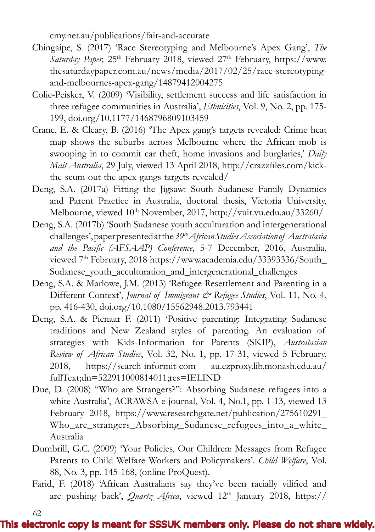cmy.net.au/publications/fair-and-accurate

- Chingaipe, S. (2017) 'Race Stereotyping and Melbourne's Apex Gang', *The Saturday Paper,* 25th February 2018, viewed 27th February, https://www. thesaturdaypaper.com.au/news/media/2017/02/25/race-stereotypingand-melbournes-apex-gang/14879412004275
- Colic-Peisker, V. (2009) 'Visibility, settlement success and life satisfaction in three refugee communities in Australia', *Ethnicities*, Vol. 9, No. 2, pp. 175- 199, doi.org/10.1177/1468796809103459
- Crane, E. & Cleary, B. (2016) 'The Apex gang's targets revealed: Crime heat map shows the suburbs across Melbourne where the African mob is swooping in to commit car theft, home invasions and burglaries,' *Daily Mail Australia*, 29 July, viewed 13 April 2018, http://crazzfles.com/kickthe-scum-out-the-apex-gangs-targets-revealed/
- Deng, S.A. (2017a) Fitting the Jigsaw: South Sudanese Family Dynamics and Parent Practice in Australia, doctoral thesis, Victoria University, Melbourne, viewed  $10^{th}$  November, 2017, http://vuir.vu.edu.au/33260/
- Deng, S.A. (2017b) 'South Sudanese youth acculturation and intergenerational challenges', paper presented at the *39th African Studies Association of Australasia and the Pacifc (AFSAAP) Conference*, 5-7 December, 2016, Australia, viewed 7th February, 2018 https://www.academia.edu/33393336/South\_ Sudanese\_youth\_acculturation\_and\_intergenerational\_challenges
- Deng, S.A. & Marlowe, J.M. (2013) 'Refugee Resettlement and Parenting in a Different Context', *Journal of Immigrant & Refugee Studies*, Vol. 11, No. 4, pp. 416-430, doi.org/10.1080/15562948.2013.793441
- Deng, S.A. & Pienaar F. (2011) 'Positive parenting: Integrating Sudanese traditions and New Zealand styles of parenting. An evaluation of strategies with Kids-Information for Parents (SKIP), *Australasian Review of African Studies*, Vol. 32, No. 1, pp. 17-31, viewed 5 February, 2018, https://search-informit-com au.ezproxy.lib.monash.edu.au/ fullText;dn=522911000814011;res=IELIND
- Due, D. (2008) "Who are Strangers?": Absorbing Sudanese refugees into a white Australia', ACRAWSA e-journal, Vol. 4, No.1, pp. 1-13, viewed 13 February 2018, https://www.researchgate.net/publication/275610291\_ Who\_are\_strangers\_Absorbing\_Sudanese\_refugees\_into\_a\_white\_ Australia
- Dumbrill, G.C. (2009) 'Your Policies, Our Children: Messages from Refugee Parents to Child Welfare Workers and Policymakers'. *Child Welfare*, Vol. 88, No. 3, pp. 145-168, (online ProQuest).
- Farid, F. (2018) 'African Australians say they've been racially vilifed and are pushing back', *Quartz Africa*, viewed 12th January 2018, https://

<sup>62</sup>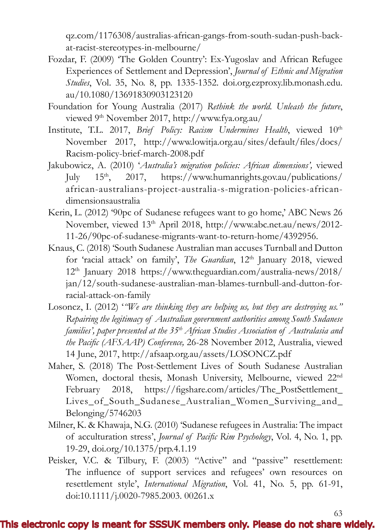qz.com/1176308/australias-african-gangs-from-south-sudan-push-backat-racist-stereotypes-in-melbourne/

- Fozdar, F. (2009) 'The Golden Country': Ex-Yugoslav and African Refugee Experiences of Settlement and Depression', *Journal of Ethnic and Migration Studies*, Vol. 35, No. 8, pp. 1335-1352. doi.org.ezproxy.lib.monash.edu. au/10.1080/13691830903123120
- Foundation for Young Australia (2017) *Rethink the world. Unleash the future*, viewed 9th November 2017, http://www.fya.org.au/
- Institute, T.L. 2017, *Brief Policy: Racism Undermines Health*, viewed  $10<sup>th</sup>$ November 2017, http://www.lowitja.org.au/sites/default/fles/docs/ Racism-policy-brief-march-2008.pdf
- Jakubowicz, A. (2010) '*Australia's migration policies: African dimensions',* viewed July  $15<sup>th</sup>$ ,  $2017$ , https://www.humanrights.gov.au/publications/ african-australians-project-australia-s-migration-policies-africandimensionsaustralia
- Kerin, L. (2012) '90pc of Sudanese refugees want to go home,' ABC News 26 November, viewed 13th April 2018, http://www.abc.net.au/news/2012- 11-26/90pc-of-sudanese-migrants-want-to-return-home/4392956.
- Knaus, C. (2018) 'South Sudanese Australian man accuses Turnball and Dutton for 'racial attack' on family', *The Guardian*, 12<sup>th</sup> January 2018, viewed 12th January 2018 https://www.theguardian.com/australia-news/2018/ jan/12/south-sudanese-australian-man-blames-turnbull-and-dutton-forracial-attack-on-family
- Losoncz, I. (2012) '*"We are thinking they are helping us, but they are destroying us." Repairing the legitimacy of Australian government authorities among South Sudanese families', paper presented at the 35th African Studies Association of Australasia and the Pacifc (AFSAAP) Conference,* 26-28 November 2012, Australia, viewed 14 June, 2017, http://afsaap.org.au/assets/LOSONCZ.pdf
- Maher, S. (2018) The Post-Settlement Lives of South Sudanese Australian Women, doctoral thesis, Monash University, Melbourne, viewed 22nd February 2018, https://figshare.com/articles/The\_PostSettlement\_ Lives\_of\_South\_Sudanese\_Australian\_Women\_Surviving\_and\_ Belonging/5746203
- Milner, K. & Khawaja, N.G. (2010) 'Sudanese refugees in Australia: The impact of acculturation stress', *Journal of Pacifc Rim Psychology*, Vol. 4, No. 1, pp. 19-29, doi.org/10.1375/prp.4.1.19
- Peisker, V.C. & Tilbury, F. (2003) "Active" and "passive" resettlement: The infuence of support services and refugees' own resources on resettlement style', *International Migration*, Vol. 41, No. 5, pp. 61-91, doi:10.1111/j.0020-7985.2003. 00261.x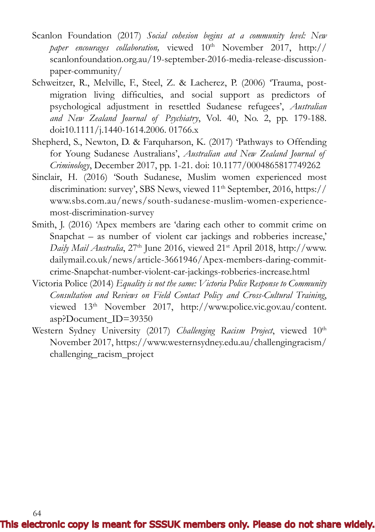- Scanlon Foundation (2017) *Social cohesion begins at a community level: New paper encourages collaboration, viewed 10<sup>th</sup> November 2017, http://* scanlonfoundation.org.au/19-september-2016-media-release-discussionpaper-community/
- Schweitzer, R., Melville, F., Steel, Z. & Lacherez, P. (2006) 'Trauma, postmigration living diffculties, and social support as predictors of psychological adjustment in resettled Sudanese refugees', *Australian and New Zealand Journal of Psychiatry*, Vol. 40, No. 2, pp. 179-188. doi**:**10.1111/j.1440-1614.2006. 01766.x
- Shepherd, S., Newton, D. & Farquharson, K. (2017) 'Pathways to Offending for Young Sudanese Australians', *Australian and New Zealand Journal of Criminology*, December 2017, pp. 1-21. doi: 10.1177/0004865817749262
- Sinclair, H. (2016) 'South Sudanese, Muslim women experienced most discrimination: survey', SBS News, viewed  $11<sup>th</sup>$  September, 2016, https:// www.sbs.com.au/news/south-sudanese-muslim-women-experiencemost-discrimination-survey
- Smith, J. (2016) 'Apex members are 'daring each other to commit crime on Snapchat – as number of violent car jackings and robberies increase,' *Daily Mail Australia*, 27th June 2016, viewed 21st April 2018, http://www. dailymail.co.uk/news/article-3661946/Apex-members-daring-commitcrime-Snapchat-number-violent-car-jackings-robberies-increase.html
- Victoria Police (2014) *Equality is not the same: Victoria Police Response to Community Consultation and Reviews on Field Contact Policy and Cross-Cultural Training*, viewed 13<sup>th</sup> November 2017, http://www.police.vic.gov.au/content. asp?Document\_ID=39350
- Western Sydney University (2017) *Challenging Racism Project*, viewed 10<sup>th</sup> November 2017, https://www.westernsydney.edu.au/challengingracism/ challenging\_racism\_project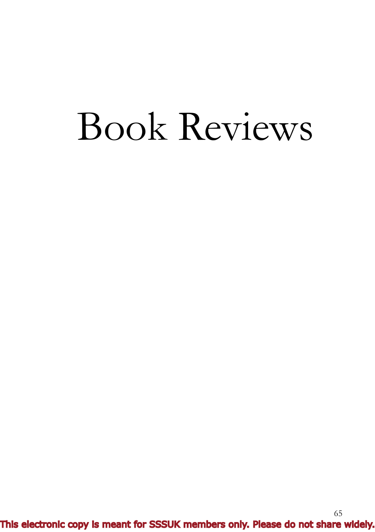# Book Reviews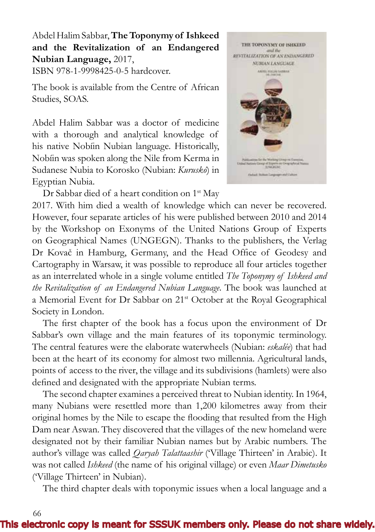Abdel Halim Sabbar, **The Toponymy of Ishkeed and the Revitalization of an Endangered Nubian Language,** 2017, ISBN 978-1-9998425-0-5 hardcover.

The book is available from the Centre of African Studies, SOAS.

Abdel Halim Sabbar was a doctor of medicine with a thorough and analytical knowledge of his native Nobíin Nubian language. Historically, Nobíin was spoken along the Nile from Kerma in Sudanese Nubia to Korosko (Nubian: *Kuruskó*) in Egyptian Nubia.



Dr Sabbar died of a heart condition on 1<sup>st</sup> May

2017. With him died a wealth of knowledge which can never be recovered. However, four separate articles of his were published between 2010 and 2014 by the Workshop on Exonyms of the United Nations Group of Experts on Geographical Names (UNGEGN). Thanks to the publishers, the Verlag Dr Kovač in Hamburg, Germany, and the Head Office of Geodesy and Cartography in Warsaw, it was possible to reproduce all four articles together as an interrelated whole in a single volume entitled *The Toponymy of Ishkeed and the Revitalization of an Endangered Nubian Language*. The book was launched at a Memorial Event for Dr Sabbar on 21st October at the Royal Geographical Society in London.

The frst chapter of the book has a focus upon the environment of Dr Sabbar's own village and the main features of its toponymic terminology. The central features were the elaborate waterwheels (Nubian: *eskalée*) that had been at the heart of its economy for almost two millennia. Agricultural lands, points of access to the river, the village and its subdivisions (hamlets) were also defned and designated with the appropriate Nubian terms.

The second chapter examines a perceived threat to Nubian identity. In 1964, many Nubians were resettled more than 1,200 kilometres away from their original homes by the Nile to escape the fooding that resulted from the High Dam near Aswan. They discovered that the villages of the new homeland were designated not by their familiar Nubian names but by Arabic numbers. The author's village was called *Qaryah Talattaashir* ('Village Thirteen' in Arabic). It was not called *Ishkeed* (the name of his original village) or even *Maar Dimetusko*  ('Village Thirteen' in Nubian).

The third chapter deals with toponymic issues when a local language and a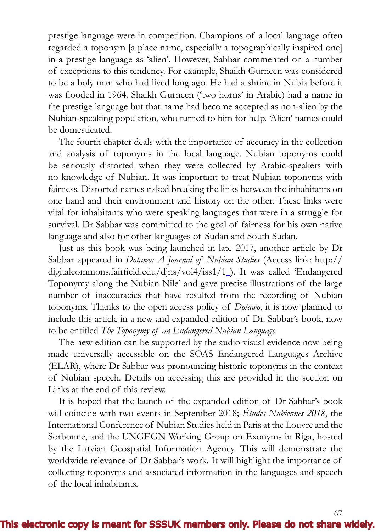prestige language were in competition. Champions of a local language often regarded a toponym [a place name, especially a topographically inspired one] in a prestige language as 'alien'. However, Sabbar commented on a number of exceptions to this tendency. For example, Shaikh Gurneen was considered to be a holy man who had lived long ago. He had a shrine in Nubia before it was fooded in 1964. Shaikh Gurneen ('two horns' in Arabic) had a name in the prestige language but that name had become accepted as non-alien by the Nubian-speaking population, who turned to him for help. 'Alien' names could be domesticated.

The fourth chapter deals with the importance of accuracy in the collection and analysis of toponyms in the local language. Nubian toponyms could be seriously distorted when they were collected by Arabic-speakers with no knowledge of Nubian. It was important to treat Nubian toponyms with fairness. Distorted names risked breaking the links between the inhabitants on one hand and their environment and history on the other. These links were vital for inhabitants who were speaking languages that were in a struggle for survival. Dr Sabbar was committed to the goal of fairness for his own native language and also for other languages of Sudan and South Sudan.

Just as this book was being launched in late 2017, another article by Dr Sabbar appeared in *Dotawo: A Journal of Nubian Studies* (Access link: http:// digitalcommons.fairfeld.edu/djns/vol4/iss1/1 ). It was called 'Endangered Toponymy along the Nubian Nile' and gave precise illustrations of the large number of inaccuracies that have resulted from the recording of Nubian toponyms. Thanks to the open access policy of *Dotawo*, it is now planned to include this article in a new and expanded edition of Dr. Sabbar's book, now to be entitled *The Toponymy of an Endangered Nubian Language*.

The new edition can be supported by the audio visual evidence now being made universally accessible on the SOAS Endangered Languages Archive (ELAR), where Dr Sabbar was pronouncing historic toponyms in the context of Nubian speech. Details on accessing this are provided in the section on Links at the end of this review.

It is hoped that the launch of the expanded edition of Dr Sabbar's book will coincide with two events in September 2018; *Études Nubiennes 2018*, the International Conference of Nubian Studies held in Paris at the Louvre and the Sorbonne, and the UNGEGN Working Group on Exonyms in Riga, hosted by the Latvian Geospatial Information Agency. This will demonstrate the worldwide relevance of Dr Sabbar's work. It will highlight the importance of collecting toponyms and associated information in the languages and speech of the local inhabitants.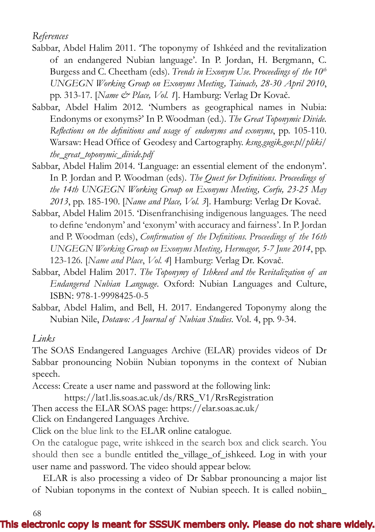# *References*

- Sabbar, Abdel Halim 2011. 'The toponymy of Ishkéed and the revitalization of an endangered Nubian language'. In P. Jordan, H. Bergmann, C. Burgess and C. Cheetham (eds). *Trends in Exonym Use. Proceedings of the 10<sup>th</sup> UNGEGN Working Group on Exonyms Meeting, Tainach, 28-30 April 2010*, pp. 313-17. [*Name & Place, Vol. 1*]. Hamburg: Verlag Dr Kovač.
- Sabbar, Abdel Halim 2012. 'Numbers as geographical names in Nubia: Endonyms or exonyms?' In P. Woodman (ed.). *The Great Toponymic Divide. Refections on the defnitions and usage of endonyms and exonyms*, pp. 105-110. Warsaw: Head Offce of Geodesy and Cartography. *ksng.gugik.gov.pl/pliki/ the\_great\_toponymic\_divide.pdf*
- Sabbar, Abdel Halim 2014. 'Language: an essential element of the endonym'. In P. Jordan and P. Woodman (eds). *The Quest for Defnitions*. *Proceedings of the 14th UNGEGN Working Group on Exonyms Meeting, Corfu, 23-25 May 2013*, pp. 185-190. [*Name and Place, Vol. 3*]. Hamburg: Verlag Dr Kovač.
- Sabbar, Abdel Halim 2015. 'Disenfranchising indigenous languages. The need to defne 'endonym' and 'exonym' with accuracy and fairness'. In P. Jordan and P. Woodman (eds), *Confrmation of the Defnitions. Proceedings of the 16th UNGEGN Working Group on Exonyms Meeting, Hermagor, 5-7 June 2014*, pp. 123-126*.* [*Name and Place*, *Vol. 4*] Hamburg: Verlag Dr. Kovač.
- Sabbar, Abdel Halim 2017. *The Toponymy of Ishkeed and the Revitalization of an Endangered Nubian Language*. Oxford: Nubian Languages and Culture, ISBN: 978-1-9998425-0-5
- Sabbar, Abdel Halim, and Bell, H. 2017. Endangered Toponymy along the Nubian Nile, *Dotawo: A Journal of Nubian Studies*. Vol. 4, pp. 9-34.

### *Links*

The SOAS Endangered Languages Archive (ELAR) provides videos of Dr Sabbar pronouncing Nobiin Nubian toponyms in the context of Nubian speech.

Access: Create a user name and password at the following link:

https://lat1.lis.soas.ac.uk/ds/RRS\_V1/RrsRegistration Then access the ELAR SOAS page: https://elar.soas.ac.uk/

Click on Endangered Languages Archive.

Click on the blue link to the ELAR online catalogue.

On the catalogue page, write ishkeed in the search box and click search. You should then see a bundle entitled the\_village\_of\_ishkeed. Log in with your user name and password. The video should appear below.

ELAR is also processing a video of Dr Sabbar pronouncing a major list of Nubian toponyms in the context of Nubian speech. It is called nobiin\_

68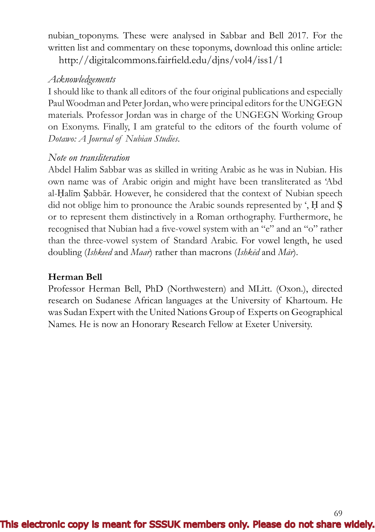nubian\_toponyms. These were analysed in Sabbar and Bell 2017. For the written list and commentary on these toponyms, download this online article:

http://digitalcommons.fairfeld.edu/djns/vol4/iss1/1

#### *Acknowledgements*

I should like to thank all editors of the four original publications and especially Paul Woodman and Peter Jordan, who were principal editors for the UNGEGN materials. Professor Jordan was in charge of the UNGEGN Working Group on Exonyms. Finally, I am grateful to the editors of the fourth volume of *Dotawo: A Journal of Nubian Studies*.

## *Note on transliteration*

Abdel Halim Sabbar was as skilled in writing Arabic as he was in Nubian. His own name was of Arabic origin and might have been transliterated as 'Abd al-Ḥalīm Ṣabbār. However, he considered that the context of Nubian speech did not oblige him to pronounce the Arabic sounds represented by ', Ḥ and Ṣ or to represent them distinctively in a Roman orthography. Furthermore, he recognised that Nubian had a fve-vowel system with an "e" and an "o" rather than the three-vowel system of Standard Arabic. For vowel length, he used doubling (*Ishkeed* and *Maar*) rather than macrons (*Ishkēd* and *Mār*).

#### **Herman Bell**

Professor Herman Bell, PhD (Northwestern) and MLitt. (Oxon.), directed research on Sudanese African languages at the University of Khartoum. He was Sudan Expert with the United Nations Group of Experts on Geographical Names. He is now an Honorary Research Fellow at Exeter University.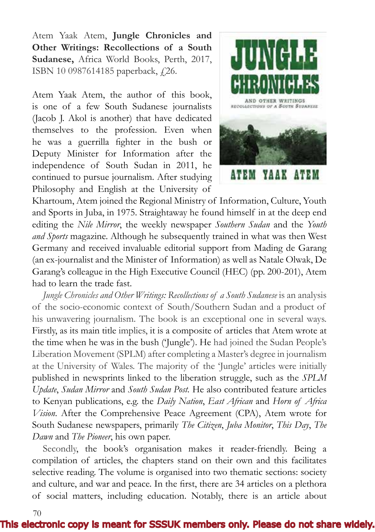Atem Yaak Atem, **Jungle Chronicles and Other Writings: Recollections of a South Sudanese,** Africa World Books, Perth, 2017, ISBN 10 0987614185 paperback, £26.

Atem Yaak Atem, the author of this book, is one of a few South Sudanese journalists (Jacob J. Akol is another) that have dedicated themselves to the profession. Even when he was a guerrilla fghter in the bush or Deputy Minister for Information after the independence of South Sudan in 2011, he continued to pursue journalism. After studying Philosophy and English at the University of



Khartoum, Atem joined the Regional Ministry of Information, Culture, Youth and Sports in Juba, in 1975. Straightaway he found himself in at the deep end editing the *Nile Mirror*, the weekly newspaper *Southern Sudan* and the *Youth and Sports* magazine. Although he subsequently trained in what was then West Germany and received invaluable editorial support from Mading de Garang (an ex-journalist and the Minister of Information) as well as Natale Olwak, De Garang's colleague in the High Executive Council (HEC) (pp. 200-201), Atem had to learn the trade fast.

*Jungle Chronicles and Other Writings: Recollections of a South Sudanese* is an analysis of the socio-economic context of South/Southern Sudan and a product of his unwavering journalism. The book is an exceptional one in several ways. Firstly, as its main title implies, it is a composite of articles that Atem wrote at the time when he was in the bush ('Jungle'). He had joined the Sudan People's Liberation Movement (SPLM) after completing a Master's degree in journalism at the University of Wales. The majority of the 'Jungle' articles were initially published in newsprints linked to the liberation struggle, such as the *SPLM Update*, *Sudan Mirror* and *South Sudan Post.* He also contributed feature articles to Kenyan publications, e.g. the *Daily Nation*, *East African* and *Horn of Africa Vision*. After the Comprehensive Peace Agreement (CPA), Atem wrote for South Sudanese newspapers, primarily *The Citizen*, *Juba Monitor*, *This Day*, *The Dawn* and *The Pioneer*, his own paper.

Secondly, the book's organisation makes it reader-friendly. Being a compilation of articles, the chapters stand on their own and this facilitates selective reading. The volume is organised into two thematic sections: society and culture, and war and peace. In the frst, there are 34 articles on a plethora of social matters, including education. Notably, there is an article about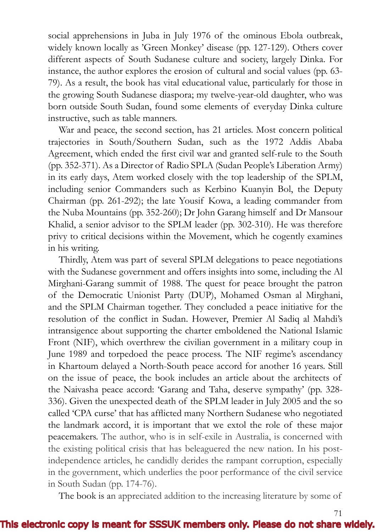social apprehensions in Juba in July 1976 of the ominous Ebola outbreak, widely known locally as 'Green Monkey' disease (pp. 127-129). Others cover different aspects of South Sudanese culture and society, largely Dinka. For instance, the author explores the erosion of cultural and social values (pp. 63- 79). As a result, the book has vital educational value, particularly for those in the growing South Sudanese diaspora; my twelve-year-old daughter, who was born outside South Sudan, found some elements of everyday Dinka culture instructive, such as table manners.

War and peace, the second section, has 21 articles. Most concern political trajectories in South/Southern Sudan, such as the 1972 Addis Ababa Agreement, which ended the frst civil war and granted self-rule to the South (pp. 352-371). As a Director of Radio SPLA (Sudan People's Liberation Army) in its early days, Atem worked closely with the top leadership of the SPLM, including senior Commanders such as Kerbino Kuanyin Bol, the Deputy Chairman (pp. 261-292); the late Yousif Kowa, a leading commander from the Nuba Mountains (pp. 352-260); Dr John Garang himself and Dr Mansour Khalid, a senior advisor to the SPLM leader (pp. 302-310). He was therefore privy to critical decisions within the Movement, which he cogently examines in his writing.

Thirdly, Atem was part of several SPLM delegations to peace negotiations with the Sudanese government and offers insights into some, including the Al Mirghani-Garang summit of 1988. The quest for peace brought the patron of the Democratic Unionist Party (DUP), Mohamed Osman al Mirghani, and the SPLM Chairman together. They concluded a peace initiative for the resolution of the confict in Sudan. However, Premier Al Sadiq al Mahdi's intransigence about supporting the charter emboldened the National Islamic Front (NIF), which overthrew the civilian government in a military coup in June 1989 and torpedoed the peace process. The NIF regime's ascendancy in Khartoum delayed a North-South peace accord for another 16 years. Still on the issue of peace, the book includes an article about the architects of the Naivasha peace accord: 'Garang and Taha, deserve sympathy' (pp. 328- 336). Given the unexpected death of the SPLM leader in July 2005 and the so called 'CPA curse' that has afficted many Northern Sudanese who negotiated the landmark accord, it is important that we extol the role of these major peacemakers. The author, who is in self-exile in Australia, is concerned with the existing political crisis that has beleaguered the new nation. In his postindependence articles, he candidly derides the rampant corruption, especially in the government, which underlies the poor performance of the civil service in South Sudan (pp. 174-76).

The book is an appreciated addition to the increasing literature by some of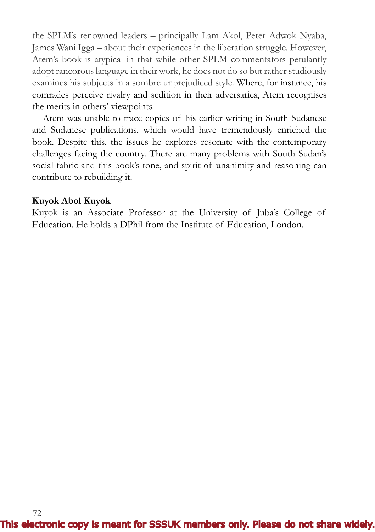the SPLM's renowned leaders – principally Lam Akol, Peter Adwok Nyaba, James Wani Igga – about their experiences in the liberation struggle. However, Atem's book is atypical in that while other SPLM commentators petulantly adopt rancorous language in their work, he does not do so but rather studiously examines his subjects in a sombre unprejudiced style. Where, for instance, his comrades perceive rivalry and sedition in their adversaries, Atem recognises the merits in others' viewpoints.

Atem was unable to trace copies of his earlier writing in South Sudanese and Sudanese publications, which would have tremendously enriched the book. Despite this, the issues he explores resonate with the contemporary challenges facing the country. There are many problems with South Sudan's social fabric and this book's tone, and spirit of unanimity and reasoning can contribute to rebuilding it.

#### **Kuyok Abol Kuyok**

Kuyok is an Associate Professor at the University of Juba's College of Education. He holds a DPhil from the Institute of Education, London.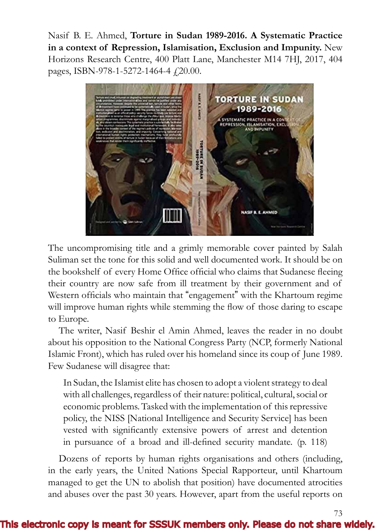Nasif B. E. Ahmed, **Torture in Sudan 1989-2016. A Systematic Practice in a context of Repression, Islamisation, Exclusion and Impunity.** New Horizons Research Centre, 400 Platt Lane, Manchester M14 7HJ, 2017, 404 pages, ISBN-978-1-5272-1464-4  $f$ 20.00.



The uncompromising title and a grimly memorable cover painted by Salah Suliman set the tone for this solid and well documented work. It should be on the bookshelf of every Home Office official who claims that Sudanese fleeing their country are now safe from ill treatment by their government and of Western officials who maintain that "engagement" with the Khartoum regime will improve human rights while stemming the flow of those daring to escape to Europe.

The writer, Nasif Beshir el Amin Ahmed, leaves the reader in no doubt about his opposition to the National Congress Party (NCP, formerly National Islamic Front), which has ruled over his homeland since its coup of June 1989. Few Sudanese will disagree that:

In Sudan, the Islamist elite has chosen to adopt a violent strategy to deal with all challenges, regardless of their nature: political, cultural, social or economic problems. Tasked with the implementation of this repressive policy, the NISS [National Intelligence and Security Service] has been vested with signifcantly extensive powers of arrest and detention in pursuance of a broad and ill-defned security mandate. (p. 118)

Dozens of reports by human rights organisations and others (including, in the early years, the United Nations Special Rapporteur, until Khartoum managed to get the UN to abolish that position) have documented atrocities and abuses over the past 30 years. However, apart from the useful reports on

73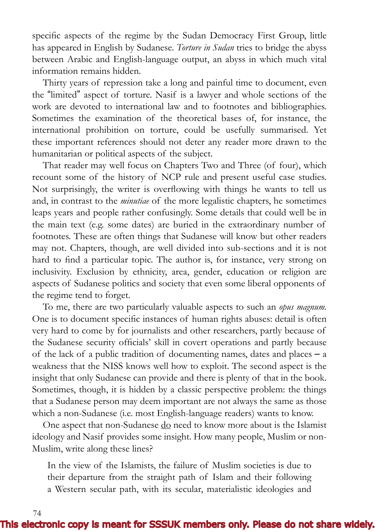specifc aspects of the regime by the Sudan Democracy First Group, little has appeared in English by Sudanese. *Torture in Sudan* tries to bridge the abyss between Arabic and English-language output, an abyss in which much vital information remains hidden.

Thirty years of repression take a long and painful time to document, even the "limited" aspect of torture. Nasif is a lawyer and whole sections of the work are devoted to international law and to footnotes and bibliographies. Sometimes the examination of the theoretical bases of, for instance, the international prohibition on torture, could be usefully summarised. Yet these important references should not deter any reader more drawn to the humanitarian or political aspects of the subject.

That reader may well focus on Chapters Two and Three (of four), which recount some of the history of NCP rule and present useful case studies. Not surprisingly, the writer is overfowing with things he wants to tell us and, in contrast to the *minutiae* of the more legalistic chapters, he sometimes leaps years and people rather confusingly. Some details that could well be in the main text (e.g. some dates) are buried in the extraordinary number of footnotes. These are often things that Sudanese will know but other readers may not. Chapters, though, are well divided into sub-sections and it is not hard to fnd a particular topic. The author is, for instance, very strong on inclusivity. Exclusion by ethnicity, area, gender, education or religion are aspects of Sudanese politics and society that even some liberal opponents of the regime tend to forget.

To me, there are two particularly valuable aspects to such an *opus magnum.*  One is to document specifc instances of human rights abuses: detail is often very hard to come by for journalists and other researchers, partly because of the Sudanese security officials' skill in covert operations and partly because of the lack of a public tradition of documenting names, dates and places – a weakness that the NISS knows well how to exploit. The second aspect is the insight that only Sudanese can provide and there is plenty of that in the book. Sometimes, though, it is hidden by a classic perspective problem: the things that a Sudanese person may deem important are not always the same as those which a non-Sudanese (i.e. most English-language readers) wants to know.

One aspect that non-Sudanese do need to know more about is the Islamist ideology and Nasif provides some insight. How many people, Muslim or non-Muslim, write along these lines?

In the view of the Islamists, the failure of Muslim societies is due to their departure from the straight path of Islam and their following a Western secular path, with its secular, materialistic ideologies and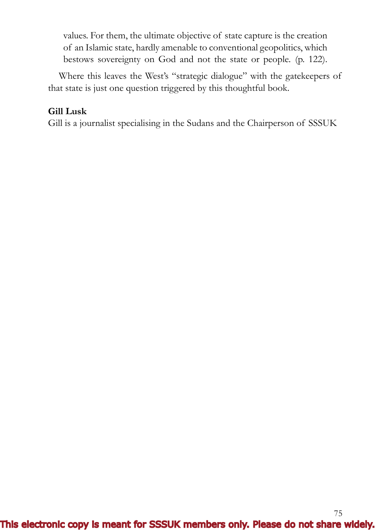values. For them, the ultimate objective of state capture is the creation of an Islamic state, hardly amenable to conventional geopolitics, which bestows sovereignty on God and not the state or people. (p. 122).

Where this leaves the West's "strategic dialogue" with the gatekeepers of that state is just one question triggered by this thoughtful book.

#### **Gill Lusk**

Gill is a journalist specialising in the Sudans and the Chairperson of SSSUK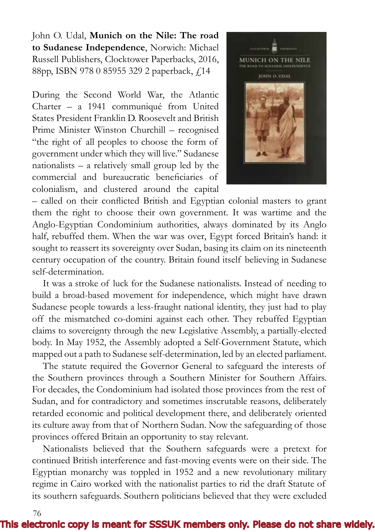John O. Udal, **Munich on the Nile: The road to Sudanese Independence**, Norwich: Michael Russell Publishers, Clocktower Paperbacks, 2016, 88pp, ISBN 978 0 85955 329 2 paperback, £14

During the Second World War, the Atlantic Charter – a 1941 communiqué from United States President Franklin D. Roosevelt and British Prime Minister Winston Churchill – recognised "the right of all peoples to choose the form of government under which they will live." Sudanese nationalists – a relatively small group led by the commercial and bureaucratic benefciaries of colonialism, and clustered around the capital



– called on their conficted British and Egyptian colonial masters to grant them the right to choose their own government. It was wartime and the Anglo-Egyptian Condominium authorities, always dominated by its Anglo half, rebuffed them. When the war was over, Egypt forced Britain's hand: it sought to reassert its sovereignty over Sudan, basing its claim on its nineteenth century occupation of the country. Britain found itself believing in Sudanese self-determination.

It was a stroke of luck for the Sudanese nationalists. Instead of needing to build a broad-based movement for independence, which might have drawn Sudanese people towards a less-fraught national identity, they just had to play off the mismatched co-domini against each other. They rebuffed Egyptian claims to sovereignty through the new Legislative Assembly, a partially-elected body. In May 1952, the Assembly adopted a Self-Government Statute, which mapped out a path to Sudanese self-determination, led by an elected parliament.

The statute required the Governor General to safeguard the interests of the Southern provinces through a Southern Minister for Southern Affairs. For decades, the Condominium had isolated those provinces from the rest of Sudan, and for contradictory and sometimes inscrutable reasons, deliberately retarded economic and political development there, and deliberately oriented its culture away from that of Northern Sudan. Now the safeguarding of those provinces offered Britain an opportunity to stay relevant.

Nationalists believed that the Southern safeguards were a pretext for continued British interference and fast-moving events were on their side. The Egyptian monarchy was toppled in 1952 and a new revolutionary military regime in Cairo worked with the nationalist parties to rid the draft Statute of its southern safeguards. Southern politicians believed that they were excluded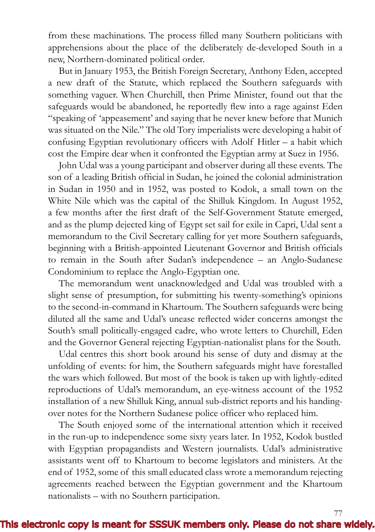from these machinations. The process flled many Southern politicians with apprehensions about the place of the deliberately de-developed South in a new, Northern-dominated political order.

But in January 1953, the British Foreign Secretary, Anthony Eden, accepted a new draft of the Statute, which replaced the Southern safeguards with something vaguer. When Churchill, then Prime Minister, found out that the safeguards would be abandoned, he reportedly few into a rage against Eden "speaking of 'appeasement' and saying that he never knew before that Munich was situated on the Nile." The old Tory imperialists were developing a habit of confusing Egyptian revolutionary officers with Adolf Hitler  $-$  a habit which cost the Empire dear when it confronted the Egyptian army at Suez in 1956.

John Udal was a young participant and observer during all these events. The son of a leading British official in Sudan, he joined the colonial administration in Sudan in 1950 and in 1952, was posted to Kodok, a small town on the White Nile which was the capital of the Shilluk Kingdom. In August 1952, a few months after the frst draft of the Self-Government Statute emerged, and as the plump dejected king of Egypt set sail for exile in Capri, Udal sent a memorandum to the Civil Secretary calling for yet more Southern safeguards, beginning with a British-appointed Lieutenant Governor and British officials to remain in the South after Sudan's independence – an Anglo-Sudanese Condominium to replace the Anglo-Egyptian one.

The memorandum went unacknowledged and Udal was troubled with a slight sense of presumption, for submitting his twenty-something's opinions to the second-in-command in Khartoum. The Southern safeguards were being diluted all the same and Udal's unease refected wider concerns amongst the South's small politically-engaged cadre, who wrote letters to Churchill, Eden and the Governor General rejecting Egyptian-nationalist plans for the South.

Udal centres this short book around his sense of duty and dismay at the unfolding of events: for him, the Southern safeguards might have forestalled the wars which followed. But most of the book is taken up with lightly-edited reproductions of Udal's memorandum, an eye-witness account of the 1952 installation of a new Shilluk King, annual sub-district reports and his handingover notes for the Northern Sudanese police officer who replaced him.

The South enjoyed some of the international attention which it received in the run-up to independence some sixty years later. In 1952, Kodok bustled with Egyptian propagandists and Western journalists. Udal's administrative assistants went off to Khartoum to become legislators and ministers. At the end of 1952, some of this small educated class wrote a memorandum rejecting agreements reached between the Egyptian government and the Khartoum nationalists – with no Southern participation.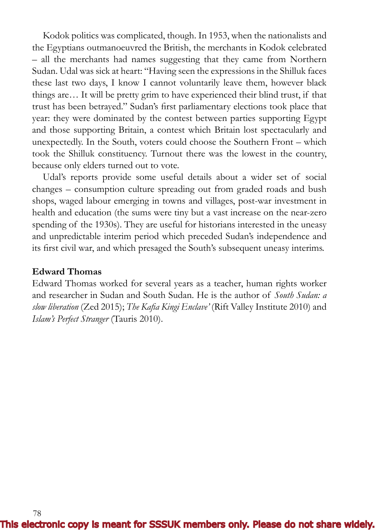Kodok politics was complicated, though. In 1953, when the nationalists and the Egyptians outmanoeuvred the British, the merchants in Kodok celebrated – all the merchants had names suggesting that they came from Northern Sudan. Udal was sick at heart: "Having seen the expressions in the Shilluk faces these last two days, I know I cannot voluntarily leave them, however black things are… It will be pretty grim to have experienced their blind trust, if that trust has been betrayed." Sudan's frst parliamentary elections took place that year: they were dominated by the contest between parties supporting Egypt and those supporting Britain, a contest which Britain lost spectacularly and unexpectedly. In the South, voters could choose the Southern Front – which took the Shilluk constituency. Turnout there was the lowest in the country, because only elders turned out to vote.

Udal's reports provide some useful details about a wider set of social changes – consumption culture spreading out from graded roads and bush shops, waged labour emerging in towns and villages, post-war investment in health and education (the sums were tiny but a vast increase on the near-zero spending of the 1930s). They are useful for historians interested in the uneasy and unpredictable interim period which preceded Sudan's independence and its frst civil war, and which presaged the South's subsequent uneasy interims.

#### **Edward Thomas**

Edward Thomas worked for several years as a teacher, human rights worker and researcher in Sudan and South Sudan. He is the author of *South Sudan: a slow liberation* (Zed 2015); *The Kafa Kingi Enclave'* (Rift Valley Institute 2010) and *Islam's Perfect Stranger* (Tauris 2010).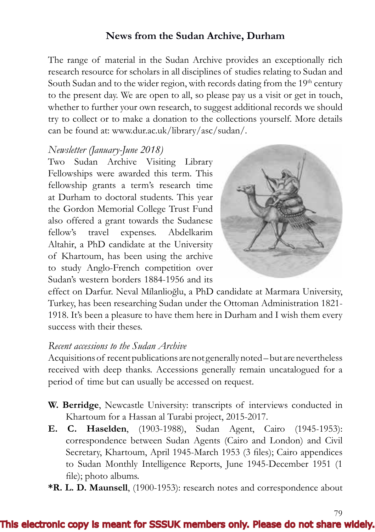### **News from the Sudan Archive, Durham**

The range of material in the Sudan Archive provides an exceptionally rich research resource for scholars in all disciplines of studies relating to Sudan and South Sudan and to the wider region, with records dating from the 19<sup>th</sup> century to the present day. We are open to all, so please pay us a visit or get in touch, whether to further your own research, to suggest additional records we should try to collect or to make a donation to the collections yourself. More details can be found at: www.dur.ac.uk/library/asc/sudan/.

#### *Newsletter (January-June 2018)*

Two Sudan Archive Visiting Library Fellowships were awarded this term. This fellowship grants a term's research time at Durham to doctoral students. This year the Gordon Memorial College Trust Fund also offered a grant towards the Sudanese fellow's travel expenses. Abdelkarim Altahir, a PhD candidate at the University of Khartoum, has been using the archive to study Anglo-French competition over Sudan's western borders 1884-1956 and its



effect on Darfur. Neval Mílanlioğlu, a PhD candidate at Marmara University, Turkey, has been researching Sudan under the Ottoman Administration 1821- 1918. It's been a pleasure to have them here in Durham and I wish them every success with their theses.

#### *Recent accessions to the Sudan Archive*

Acquisitions of recent publications are not generally noted – but are nevertheless received with deep thanks. Accessions generally remain uncatalogued for a period of time but can usually be accessed on request.

- **W. Berridge**, Newcastle University: transcripts of interviews conducted in Khartoum for a Hassan al Turabi project, 2015-2017.
- **E. C. Haselden**, (1903-1988), Sudan Agent, Cairo (1945-1953): correspondence between Sudan Agents (Cairo and London) and Civil Secretary, Khartoum, April 1945-March 1953 (3 fles); Cairo appendices to Sudan Monthly Intelligence Reports, June 1945-December 1951 (1 fle); photo albums.
- **\*R. L. D. Maunsell**, (1900-1953): research notes and correspondence about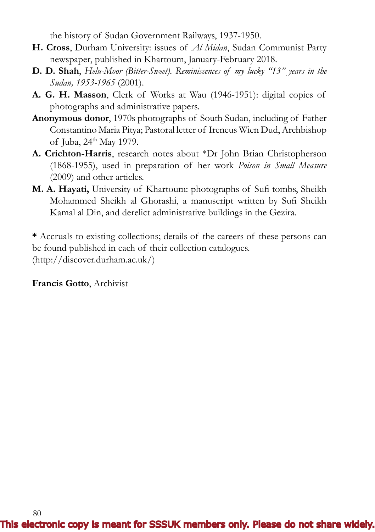the history of Sudan Government Railways, 1937-1950.

- **H. Cross**, Durham University: issues of *Al Midan*, Sudan Communist Party newspaper, published in Khartoum, January-February 2018.
- **D. D. Shah**, *Helu-Moor (Bitter-Sweet). Reminiscences of my lucky "13" years in the Sudan, 1953-1965* (2001).
- **A. G. H. Masson**, Clerk of Works at Wau (1946-1951): digital copies of photographs and administrative papers.
- **Anonymous donor**, 1970s photographs of South Sudan, including of Father Constantino Maria Pitya; Pastoral letter of Ireneus Wien Dud, Archbishop of Juba, 24<sup>th</sup> May 1979.
- **A. Crichton-Harris**, research notes about \*Dr John Brian Christopherson (1868-1955), used in preparation of her work *Poison in Small Measure* (2009) and other articles.
- **M. A. Hayati,** University of Khartoum: photographs of Suf tombs, Sheikh Mohammed Sheikh al Ghorashi, a manuscript written by Suf Sheikh Kamal al Din, and derelict administrative buildings in the Gezira.

**\*** Accruals to existing collections; details of the careers of these persons can be found published in each of their collection catalogues. (http://discover.durham.ac.uk/)

**Francis Gotto**, Archivist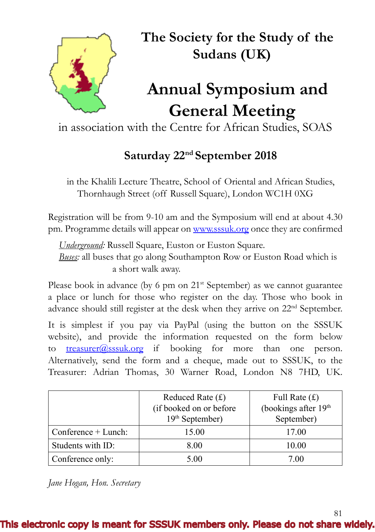

**The Society for the Study of the Sudans (UK)** 

# **Annual Symposium and General Meeting**

in association with the Centre for African Studies, SOAS

# **Saturday 22nd September 2018**

in the Khalili Lecture Theatre, School of Oriental and African Studies, Thornhaugh Street (off Russell Square), London WC1H 0XG

Registration will be from 9-10 am and the Symposium will end at about 4.30 pm. Programme details will appear on www.sssuk.org once they are confrmed

*Underground:* Russell Square, Euston or Euston Square.

*Buses:* all buses that go along Southampton Row or Euston Road which is a short walk away.

Please book in advance (by 6 pm on 21<sup>st</sup> September) as we cannot guarantee a place or lunch for those who register on the day. Those who book in advance should still register at the desk when they arrive on 22nd September.

It is simplest if you pay via PayPal (using the button on the SSSUK website), and provide the information requested on the form below to treasurer@sssuk.org if booking for more than one person. Alternatively, send the form and a cheque, made out to SSSUK, to the Treasurer: Adrian Thomas, 30 Warner Road, London N8 7HD, UK.

|                     | Reduced Rate $(f)$          | Full Rate $(f)$      |
|---------------------|-----------------------------|----------------------|
|                     | (if booked on or before     | (bookings after 19th |
|                     | 19 <sup>th</sup> September) | September)           |
| Conference + Lunch: | 15.00                       | 17.00                |
| Students with ID:   | 8.00                        | 10.00                |
| Conference only:    | 5.00                        | 7.00                 |

*Jane Hogan, Hon. Secretary*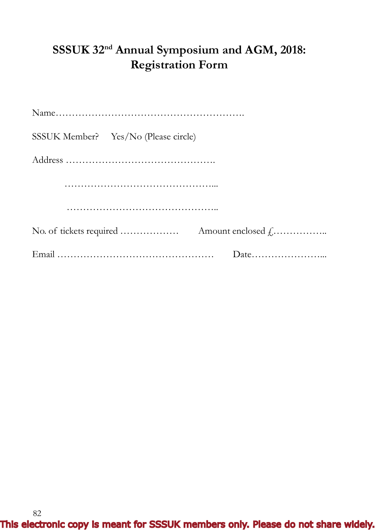# **SSSUK 32nd Annual Symposium and AGM, 2018: Registration Form**

| SSSUK Member? Yes/No (Please circle) |
|--------------------------------------|
|                                      |
|                                      |
|                                      |
|                                      |
| Date                                 |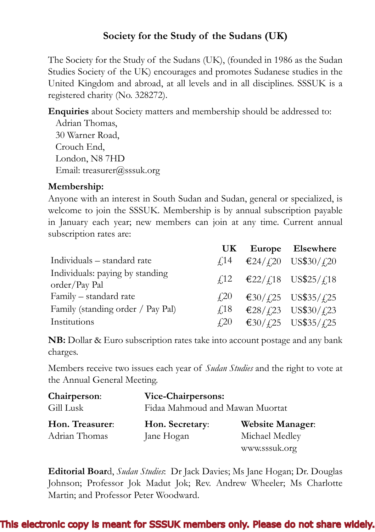# **Society for the Study of the Sudans (UK)**

The Society for the Study of the Sudans (UK), (founded in 1986 as the Sudan Studies Society of the UK) encourages and promotes Sudanese studies in the United Kingdom and abroad, at all levels and in all disciplines. SSSUK is a registered charity (No. 328272).

**Enquiries** about Society matters and membership should be addressed to:

 Adrian Thomas, 30 Warner Road, Crouch End, London, N8 7HD Email: treasurer@sssuk.org

## **Membership:**

Anyone with an interest in South Sudan and Sudan, general or specialized, is welcome to join the SSSUK. Membership is by annual subscription payable in January each year; new members can join at any time. Current annual subscription rates are:

|                                                  |             | UK Europe Elsewhere                        |
|--------------------------------------------------|-------------|--------------------------------------------|
| Individuals - standard rate                      | $\angle 14$ | €24/ $f$ 20 US\$30/ $f$ 20                 |
| Individuals: paying by standing<br>order/Pay Pal |             | £12 $\epsilon$ 22/£18 US\$25/£18           |
| Family – standard rate                           | $\angle 20$ | €30/ $\frac{1}{25}$ US\$35/ $\frac{1}{25}$ |
| Family (standing order / Pay Pal)                | $\angle 18$ | €28/ $\frac{1}{23}$ US\$30/ $\frac{1}{23}$ |
| Institutions                                     | f20         | €30/ $\frac{1}{25}$ US\$35/ $\frac{1}{25}$ |

**NB:** Dollar & Euro subscription rates take into account postage and any bank charges.

Members receive two issues each year of *Sudan Studies* and the right to vote at the Annual General Meeting.

| Chairperson:    | <b>Vice-Chairpersons:</b>       |                         |  |
|-----------------|---------------------------------|-------------------------|--|
| Gill Lusk       | Fidaa Mahmoud and Mawan Muortat |                         |  |
| Hon. Treasurer: | Hon. Secretary:                 | <b>Website Manager:</b> |  |
| Adrian Thomas   | Jane Hogan                      | Michael Medley          |  |
|                 |                                 | www.sssuk.org           |  |

**Editorial Boar**d, *Sudan Studies*: Dr Jack Davies; Ms Jane Hogan; Dr. Douglas Johnson; Professor Jok Madut Jok; Rev. Andrew Wheeler; Ms Charlotte Martin; and Professor Peter Woodward.